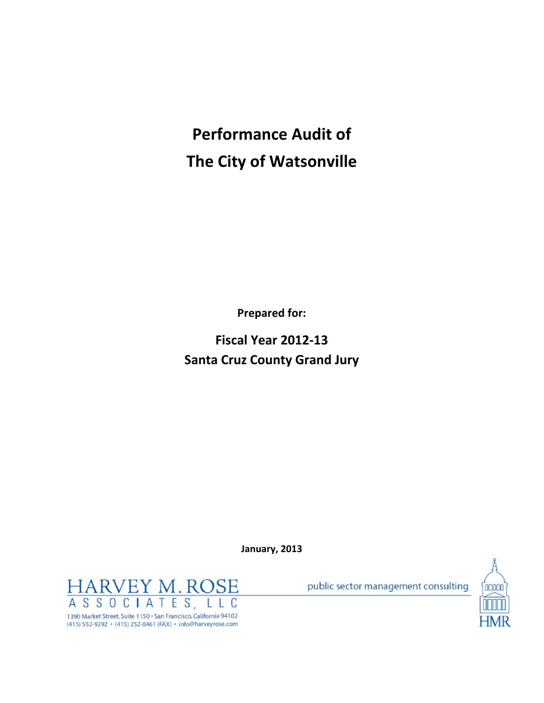# **Performance Audit of The City of Watsonville**

**Prepared for:**

**Fiscal Year 2012‐13 Santa Cruz County Grand Jury**

**January, 2013**

**HARVEY M. ROSE** ASSOCIATES, C L 1390 Market Street, Suite 1150 · San Francisco, California 94102 (415) 552-9292 · (415) 252-0461 (FAX) · info@harveyrose.com

public sector management consulting

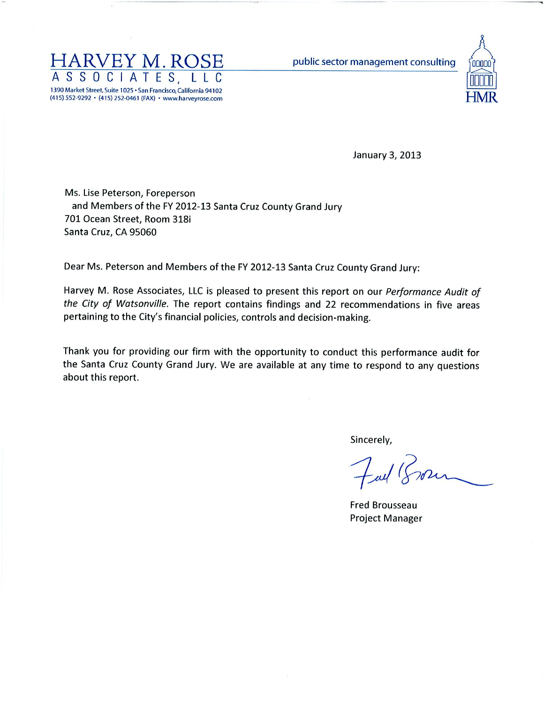

public sector management consulting



January 3, 2013

Ms. Lise Peterson, Foreperson and Members of the FY 2012-13 Santa Cruz County Grand Jury 701 Ocean Street, Room 318i Santa Cruz, CA 95060

Dear Ms. Peterson and Members of the FY 2012-13 Santa Cruz County Grand Jury:

Harvey M. Rose Associates, LLC is pleased to present this report on our Performance Audit of the City of Watsonville. The report contains findings and 22 recommendations in five areas pertaining to the City's financial policies, controls and decision-making.

Thank you for providing our firm with the opportunity to conduct this performance audit for the Santa Cruz County Grand Jury. We are available at any time to respond to any questions about this report.

Sincerely,

**Fred Brousseau Project Manager**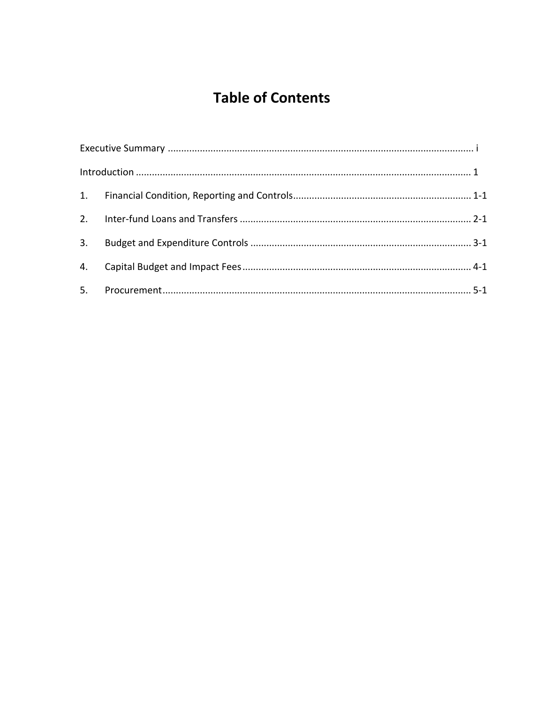# **Table of Contents**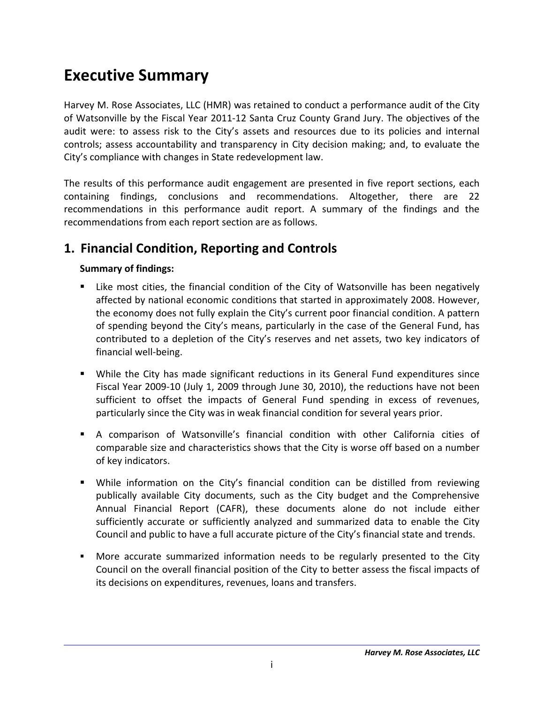# **Executive Summary**

Harvey M. Rose Associates, LLC (HMR) was retained to conduct a performance audit of the City of Watsonville by the Fiscal Year 2011‐12 Santa Cruz County Grand Jury. The objectives of the audit were: to assess risk to the City's assets and resources due to its policies and internal controls; assess accountability and transparency in City decision making; and, to evaluate the City's compliance with changes in State redevelopment law.

The results of this performance audit engagement are presented in five report sections, each containing findings, conclusions and recommendations. Altogether, there are 22 recommendations in this performance audit report. A summary of the findings and the recommendations from each report section are as follows.

## **1. Financial Condition, Reporting and Controls**

#### **Summary of findings:**

- Like most cities, the financial condition of the City of Watsonville has been negatively affected by national economic conditions that started in approximately 2008. However, the economy does not fully explain the City's current poor financial condition. A pattern of spending beyond the City's means, particularly in the case of the General Fund, has contributed to a depletion of the City's reserves and net assets, two key indicators of financial well‐being.
- While the City has made significant reductions in its General Fund expenditures since Fiscal Year 2009‐10 (July 1, 2009 through June 30, 2010), the reductions have not been sufficient to offset the impacts of General Fund spending in excess of revenues, particularly since the City was in weak financial condition for several years prior.
- A comparison of Watsonville's financial condition with other California cities of comparable size and characteristics shows that the City is worse off based on a number of key indicators.
- While information on the City's financial condition can be distilled from reviewing publically available City documents, such as the City budget and the Comprehensive Annual Financial Report (CAFR), these documents alone do not include either sufficiently accurate or sufficiently analyzed and summarized data to enable the City Council and public to have a full accurate picture of the City's financial state and trends.
- More accurate summarized information needs to be regularly presented to the City Council on the overall financial position of the City to better assess the fiscal impacts of its decisions on expenditures, revenues, loans and transfers.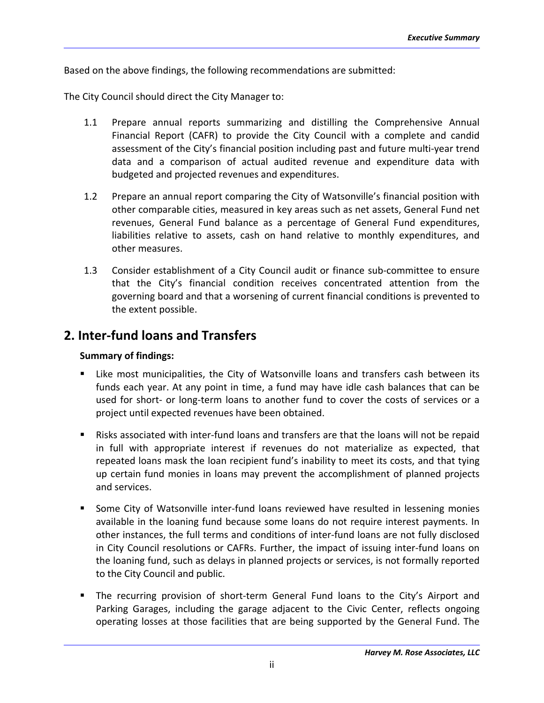Based on the above findings, the following recommendations are submitted:

The City Council should direct the City Manager to:

- 1.1 Prepare annual reports summarizing and distilling the Comprehensive Annual Financial Report (CAFR) to provide the City Council with a complete and candid assessment of the City's financial position including past and future multi‐year trend data and a comparison of actual audited revenue and expenditure data with budgeted and projected revenues and expenditures.
- 1.2 Prepare an annual report comparing the City of Watsonville's financial position with other comparable cities, measured in key areas such as net assets, General Fund net revenues, General Fund balance as a percentage of General Fund expenditures, liabilities relative to assets, cash on hand relative to monthly expenditures, and other measures.
- 1.3 Consider establishment of a City Council audit or finance sub‐committee to ensure that the City's financial condition receives concentrated attention from the governing board and that a worsening of current financial conditions is prevented to the extent possible.

### **2. Inter‐fund loans and Transfers**

#### **Summary of findings:**

- Like most municipalities, the City of Watsonville loans and transfers cash between its funds each year. At any point in time, a fund may have idle cash balances that can be used for short‐ or long‐term loans to another fund to cover the costs of services or a project until expected revenues have been obtained.
- Risks associated with inter-fund loans and transfers are that the loans will not be repaid in full with appropriate interest if revenues do not materialize as expected, that repeated loans mask the loan recipient fund's inability to meet its costs, and that tying up certain fund monies in loans may prevent the accomplishment of planned projects and services.
- Some City of Watsonville inter-fund loans reviewed have resulted in lessening monies available in the loaning fund because some loans do not require interest payments. In other instances, the full terms and conditions of inter‐fund loans are not fully disclosed in City Council resolutions or CAFRs. Further, the impact of issuing inter‐fund loans on the loaning fund, such as delays in planned projects or services, is not formally reported to the City Council and public.
- The recurring provision of short-term General Fund loans to the City's Airport and Parking Garages, including the garage adjacent to the Civic Center, reflects ongoing operating losses at those facilities that are being supported by the General Fund. The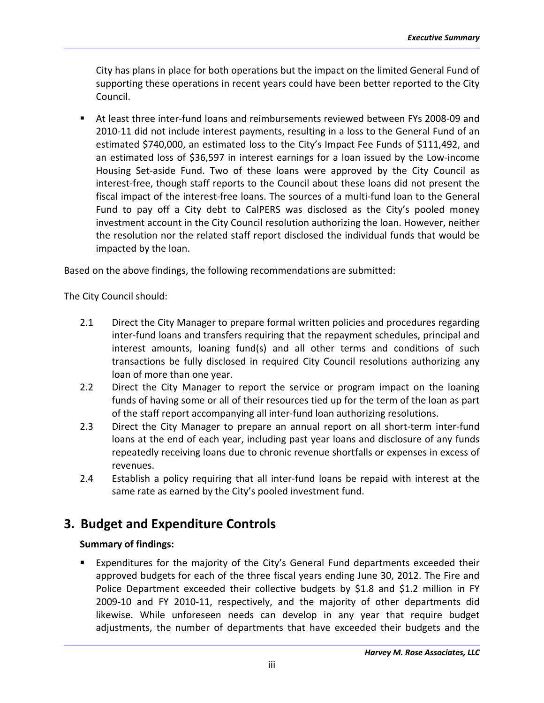City has plans in place for both operations but the impact on the limited General Fund of supporting these operations in recent years could have been better reported to the City Council.

■ At least three inter-fund loans and reimbursements reviewed between FYs 2008-09 and 2010-11 did not include interest payments, resulting in a loss to the General Fund of an estimated \$740,000, an estimated loss to the City's Impact Fee Funds of \$111,492, and an estimated loss of \$36,597 in interest earnings for a loan issued by the Low‐income Housing Set‐aside Fund. Two of these loans were approved by the City Council as interest‐free, though staff reports to the Council about these loans did not present the fiscal impact of the interest-free loans. The sources of a multi-fund loan to the General Fund to pay off a City debt to CalPERS was disclosed as the City's pooled money investment account in the City Council resolution authorizing the loan. However, neither the resolution nor the related staff report disclosed the individual funds that would be impacted by the loan.

Based on the above findings, the following recommendations are submitted:

The City Council should:

- 2.1 Direct the City Manager to prepare formal written policies and procedures regarding inter‐fund loans and transfers requiring that the repayment schedules, principal and interest amounts, loaning fund(s) and all other terms and conditions of such transactions be fully disclosed in required City Council resolutions authorizing any loan of more than one year.
- 2.2 Direct the City Manager to report the service or program impact on the loaning funds of having some or all of their resources tied up for the term of the loan as part of the staff report accompanying all inter‐fund loan authorizing resolutions.
- 2.3 Direct the City Manager to prepare an annual report on all short-term inter-fund loans at the end of each year, including past year loans and disclosure of any funds repeatedly receiving loans due to chronic revenue shortfalls or expenses in excess of revenues.
- 2.4 Establish a policy requiring that all inter-fund loans be repaid with interest at the same rate as earned by the City's pooled investment fund.

### **3. Budget and Expenditure Controls**

#### **Summary of findings:**

 Expenditures for the majority of the City's General Fund departments exceeded their approved budgets for each of the three fiscal years ending June 30, 2012. The Fire and Police Department exceeded their collective budgets by \$1.8 and \$1.2 million in FY 2009‐10 and FY 2010‐11, respectively, and the majority of other departments did likewise. While unforeseen needs can develop in any year that require budget adjustments, the number of departments that have exceeded their budgets and the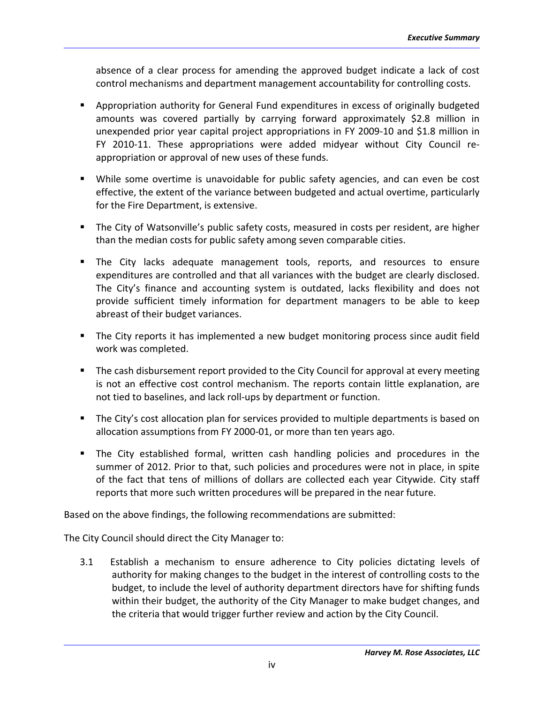absence of a clear process for amending the approved budget indicate a lack of cost control mechanisms and department management accountability for controlling costs.

- **•** Appropriation authority for General Fund expenditures in excess of originally budgeted amounts was covered partially by carrying forward approximately \$2.8 million in unexpended prior year capital project appropriations in FY 2009‐10 and \$1.8 million in FY 2010‐11. These appropriations were added midyear without City Council re‐ appropriation or approval of new uses of these funds.
- While some overtime is unavoidable for public safety agencies, and can even be cost effective, the extent of the variance between budgeted and actual overtime, particularly for the Fire Department, is extensive.
- The City of Watsonville's public safety costs, measured in costs per resident, are higher than the median costs for public safety among seven comparable cities.
- **The City lacks adequate management tools, reports, and resources to ensure** expenditures are controlled and that all variances with the budget are clearly disclosed. The City's finance and accounting system is outdated, lacks flexibility and does not provide sufficient timely information for department managers to be able to keep abreast of their budget variances.
- The City reports it has implemented a new budget monitoring process since audit field work was completed.
- The cash disbursement report provided to the City Council for approval at every meeting is not an effective cost control mechanism. The reports contain little explanation, are not tied to baselines, and lack roll‐ups by department or function.
- The City's cost allocation plan for services provided to multiple departments is based on allocation assumptions from FY 2000‐01, or more than ten years ago.
- The City established formal, written cash handling policies and procedures in the summer of 2012. Prior to that, such policies and procedures were not in place, in spite of the fact that tens of millions of dollars are collected each year Citywide. City staff reports that more such written procedures will be prepared in the near future.

Based on the above findings, the following recommendations are submitted:

The City Council should direct the City Manager to:

3.1 Establish a mechanism to ensure adherence to City policies dictating levels of authority for making changes to the budget in the interest of controlling costs to the budget, to include the level of authority department directors have for shifting funds within their budget, the authority of the City Manager to make budget changes, and the criteria that would trigger further review and action by the City Council.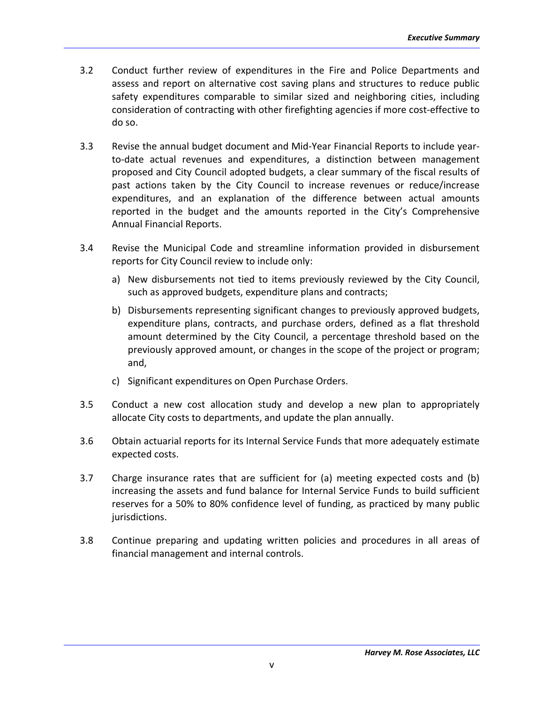- 3.2 Conduct further review of expenditures in the Fire and Police Departments and assess and report on alternative cost saving plans and structures to reduce public safety expenditures comparable to similar sized and neighboring cities, including consideration of contracting with other firefighting agencies if more cost-effective to do so.
- 3.3 Revise the annual budget document and Mid‐Year Financial Reports to include year‐ to-date actual revenues and expenditures, a distinction between management proposed and City Council adopted budgets, a clear summary of the fiscal results of past actions taken by the City Council to increase revenues or reduce/increase expenditures, and an explanation of the difference between actual amounts reported in the budget and the amounts reported in the City's Comprehensive Annual Financial Reports.
- 3.4 Revise the Municipal Code and streamline information provided in disbursement reports for City Council review to include only:
	- a) New disbursements not tied to items previously reviewed by the City Council, such as approved budgets, expenditure plans and contracts;
	- b) Disbursements representing significant changes to previously approved budgets, expenditure plans, contracts, and purchase orders, defined as a flat threshold amount determined by the City Council, a percentage threshold based on the previously approved amount, or changes in the scope of the project or program; and,
	- c) Significant expenditures on Open Purchase Orders.
- 3.5 Conduct a new cost allocation study and develop a new plan to appropriately allocate City costs to departments, and update the plan annually.
- 3.6 Obtain actuarial reports for its Internal Service Funds that more adequately estimate expected costs.
- 3.7 Charge insurance rates that are sufficient for (a) meeting expected costs and (b) increasing the assets and fund balance for Internal Service Funds to build sufficient reserves for a 50% to 80% confidence level of funding, as practiced by many public jurisdictions.
- 3.8 Continue preparing and updating written policies and procedures in all areas of financial management and internal controls.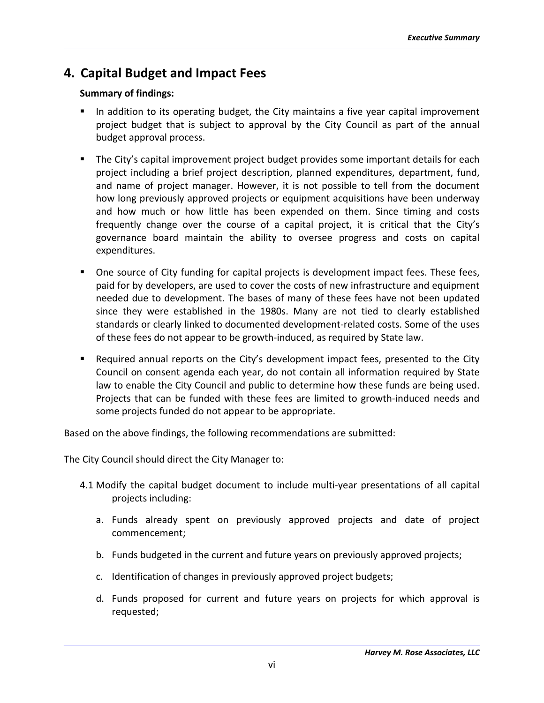## **4. Capital Budget and Impact Fees**

#### **Summary of findings:**

- In addition to its operating budget, the City maintains a five year capital improvement project budget that is subject to approval by the City Council as part of the annual budget approval process.
- **The City's capital improvement project budget provides some important details for each** project including a brief project description, planned expenditures, department, fund, and name of project manager. However, it is not possible to tell from the document how long previously approved projects or equipment acquisitions have been underway and how much or how little has been expended on them. Since timing and costs frequently change over the course of a capital project, it is critical that the City's governance board maintain the ability to oversee progress and costs on capital expenditures.
- **Dimeth** One source of City funding for capital projects is development impact fees. These fees, paid for by developers, are used to cover the costs of new infrastructure and equipment needed due to development. The bases of many of these fees have not been updated since they were established in the 1980s. Many are not tied to clearly established standards or clearly linked to documented development‐related costs. Some of the uses of these fees do not appear to be growth‐induced, as required by State law.
- Required annual reports on the City's development impact fees, presented to the City Council on consent agenda each year, do not contain all information required by State law to enable the City Council and public to determine how these funds are being used. Projects that can be funded with these fees are limited to growth‐induced needs and some projects funded do not appear to be appropriate.

Based on the above findings, the following recommendations are submitted:

The City Council should direct the City Manager to:

- 4.1 Modify the capital budget document to include multi-year presentations of all capital projects including:
	- a. Funds already spent on previously approved projects and date of project commencement;
	- b. Funds budgeted in the current and future years on previously approved projects;
	- c. Identification of changes in previously approved project budgets;
	- d. Funds proposed for current and future years on projects for which approval is requested;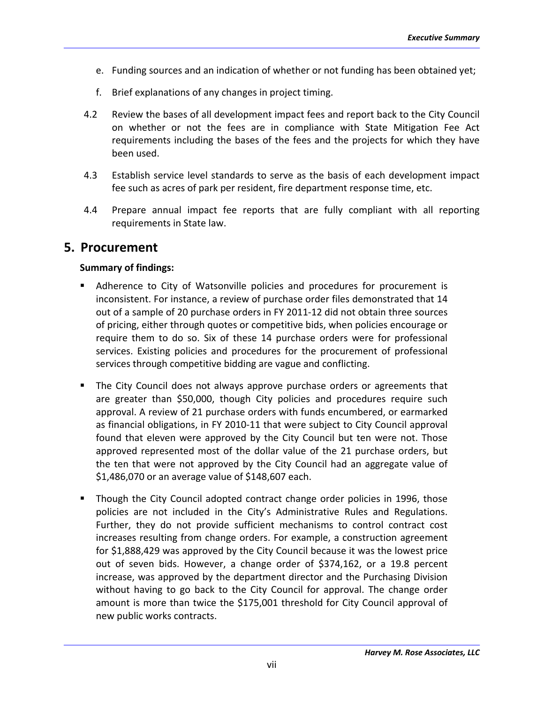- e. Funding sources and an indication of whether or not funding has been obtained yet;
- f. Brief explanations of any changes in project timing.
- 4.2 Review the bases of all development impact fees and report back to the City Council on whether or not the fees are in compliance with State Mitigation Fee Act requirements including the bases of the fees and the projects for which they have been used.
- 4.3 Establish service level standards to serve as the basis of each development impact fee such as acres of park per resident, fire department response time, etc.
- 4.4 Prepare annual impact fee reports that are fully compliant with all reporting requirements in State law.

#### **5. Procurement**

#### **Summary of findings:**

- Adherence to City of Watsonville policies and procedures for procurement is inconsistent. For instance, a review of purchase order files demonstrated that 14 out of a sample of 20 purchase orders in FY 2011‐12 did not obtain three sources of pricing, either through quotes or competitive bids, when policies encourage or require them to do so. Six of these 14 purchase orders were for professional services. Existing policies and procedures for the procurement of professional services through competitive bidding are vague and conflicting.
- The City Council does not always approve purchase orders or agreements that are greater than \$50,000, though City policies and procedures require such approval. A review of 21 purchase orders with funds encumbered, or earmarked as financial obligations, in FY 2010‐11 that were subject to City Council approval found that eleven were approved by the City Council but ten were not. Those approved represented most of the dollar value of the 21 purchase orders, but the ten that were not approved by the City Council had an aggregate value of \$1,486,070 or an average value of \$148,607 each.
- Though the City Council adopted contract change order policies in 1996, those policies are not included in the City's Administrative Rules and Regulations. Further, they do not provide sufficient mechanisms to control contract cost increases resulting from change orders. For example, a construction agreement for \$1,888,429 was approved by the City Council because it was the lowest price out of seven bids. However, a change order of \$374,162, or a 19.8 percent increase, was approved by the department director and the Purchasing Division without having to go back to the City Council for approval. The change order amount is more than twice the \$175,001 threshold for City Council approval of new public works contracts.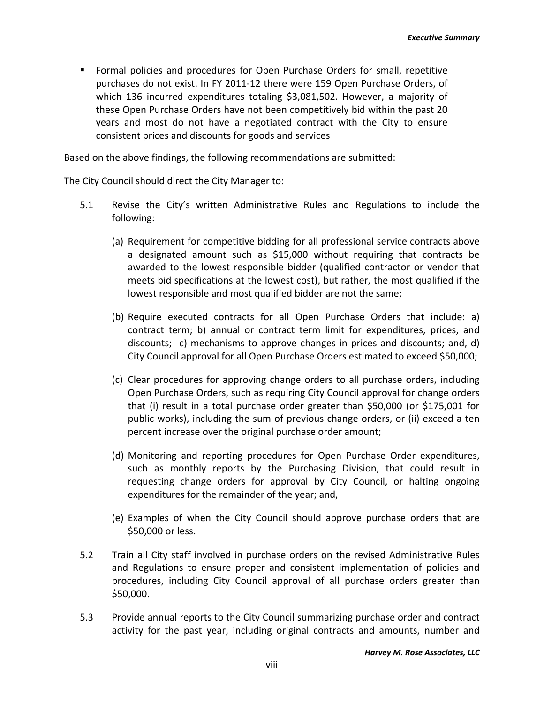Formal policies and procedures for Open Purchase Orders for small, repetitive purchases do not exist. In FY 2011‐12 there were 159 Open Purchase Orders, of which 136 incurred expenditures totaling \$3,081,502. However, a majority of these Open Purchase Orders have not been competitively bid within the past 20 years and most do not have a negotiated contract with the City to ensure consistent prices and discounts for goods and services

Based on the above findings, the following recommendations are submitted:

The City Council should direct the City Manager to:

- 5.1 Revise the City's written Administrative Rules and Regulations to include the following:
	- (a) Requirement for competitive bidding for all professional service contracts above a designated amount such as \$15,000 without requiring that contracts be awarded to the lowest responsible bidder (qualified contractor or vendor that meets bid specifications at the lowest cost), but rather, the most qualified if the lowest responsible and most qualified bidder are not the same;
	- (b) Require executed contracts for all Open Purchase Orders that include: a) contract term; b) annual or contract term limit for expenditures, prices, and discounts; c) mechanisms to approve changes in prices and discounts; and, d) City Council approval for all Open Purchase Orders estimated to exceed \$50,000;
	- (c) Clear procedures for approving change orders to all purchase orders, including Open Purchase Orders, such as requiring City Council approval for change orders that (i) result in a total purchase order greater than \$50,000 (or \$175,001 for public works), including the sum of previous change orders, or (ii) exceed a ten percent increase over the original purchase order amount;
	- (d) Monitoring and reporting procedures for Open Purchase Order expenditures, such as monthly reports by the Purchasing Division, that could result in requesting change orders for approval by City Council, or halting ongoing expenditures for the remainder of the year; and,
	- (e) Examples of when the City Council should approve purchase orders that are \$50,000 or less.
- 5.2 Train all City staff involved in purchase orders on the revised Administrative Rules and Regulations to ensure proper and consistent implementation of policies and procedures, including City Council approval of all purchase orders greater than \$50,000.
- 5.3 Provide annual reports to the City Council summarizing purchase order and contract activity for the past year, including original contracts and amounts, number and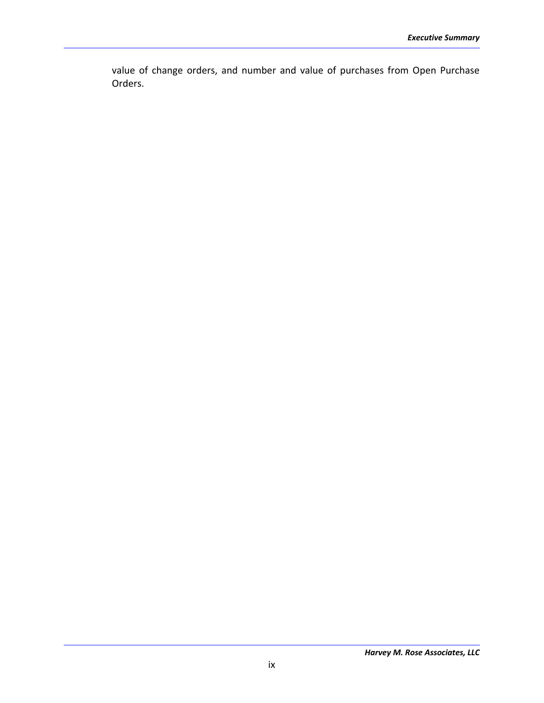value of change orders, and number and value of purchases from Open Purchase Orders.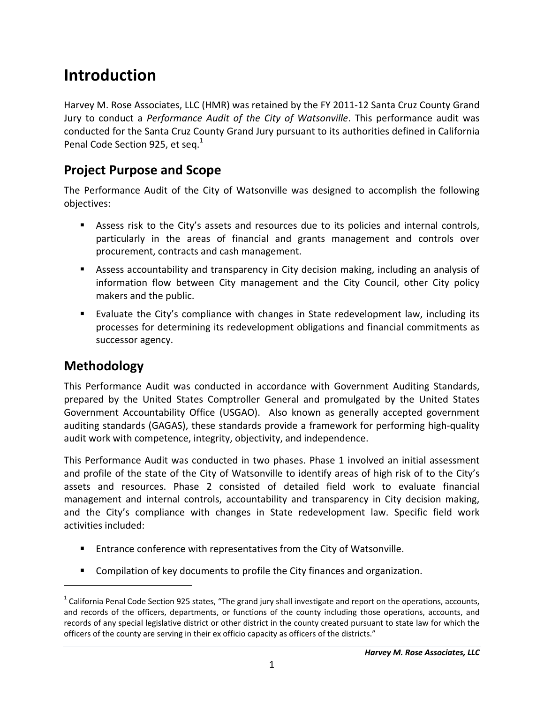# **Introduction**

Harvey M. Rose Associates, LLC (HMR) was retained by the FY 2011‐12 Santa Cruz County Grand Jury to conduct a *Performance Audit of the City of Watsonville*. This performance audit was conducted for the Santa Cruz County Grand Jury pursuant to its authorities defined in California Penal Code Section 925, et seq.<sup>1</sup>

### **Project Purpose and Scope**

The Performance Audit of the City of Watsonville was designed to accomplish the following objectives:

- Assess risk to the City's assets and resources due to its policies and internal controls, particularly in the areas of financial and grants management and controls over procurement, contracts and cash management.
- Assess accountability and transparency in City decision making, including an analysis of information flow between City management and the City Council, other City policy makers and the public.
- Evaluate the City's compliance with changes in State redevelopment law, including its processes for determining its redevelopment obligations and financial commitments as successor agency.

## **Methodology**

 $\overline{a}$ 

This Performance Audit was conducted in accordance with Government Auditing Standards, prepared by the United States Comptroller General and promulgated by the United States Government Accountability Office (USGAO). Also known as generally accepted government auditing standards (GAGAS), these standards provide a framework for performing high‐quality audit work with competence, integrity, objectivity, and independence.

This Performance Audit was conducted in two phases. Phase 1 involved an initial assessment and profile of the state of the City of Watsonville to identify areas of high risk of to the City's assets and resources. Phase 2 consisted of detailed field work to evaluate financial management and internal controls, accountability and transparency in City decision making, and the City's compliance with changes in State redevelopment law. Specific field work activities included:

- **Entrance conference with representatives from the City of Watsonville.**
- **Compilation of key documents to profile the City finances and organization.**

 $1$  California Penal Code Section 925 states, "The grand jury shall investigate and report on the operations, accounts, and records of the officers, departments, or functions of the county including those operations, accounts, and records of any special legislative district or other district in the county created pursuant to state law for which the officers of the county are serving in their ex officio capacity as officers of the districts."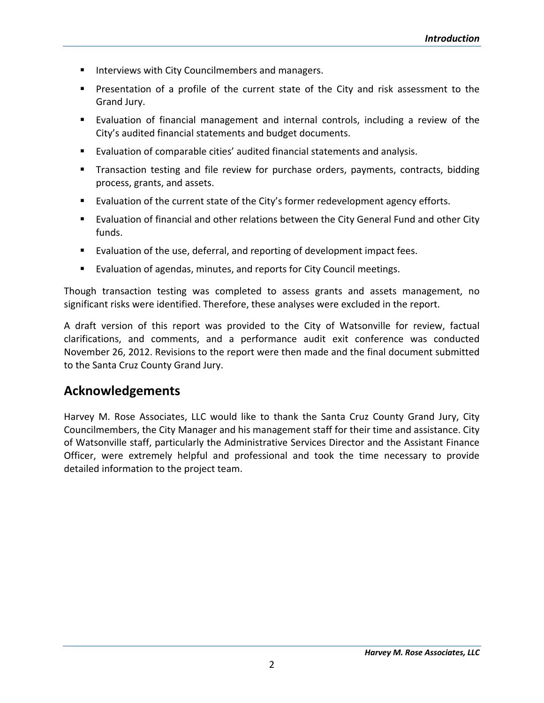- **Interviews with City Councilmembers and managers.**
- **Presentation of a profile of the current state of the City and risk assessment to the** Grand Jury.
- Evaluation of financial management and internal controls, including a review of the City's audited financial statements and budget documents.
- Evaluation of comparable cities' audited financial statements and analysis.
- **Transaction testing and file review for purchase orders, payments, contracts, bidding** process, grants, and assets.
- Evaluation of the current state of the City's former redevelopment agency efforts.
- **Evaluation of financial and other relations between the City General Fund and other City** funds.
- Evaluation of the use, deferral, and reporting of development impact fees.
- Evaluation of agendas, minutes, and reports for City Council meetings.

Though transaction testing was completed to assess grants and assets management, no significant risks were identified. Therefore, these analyses were excluded in the report.

A draft version of this report was provided to the City of Watsonville for review, factual clarifications, and comments, and a performance audit exit conference was conducted November 26, 2012. Revisions to the report were then made and the final document submitted to the Santa Cruz County Grand Jury.

### **Acknowledgements**

Harvey M. Rose Associates, LLC would like to thank the Santa Cruz County Grand Jury, City Councilmembers, the City Manager and his management staff for their time and assistance. City of Watsonville staff, particularly the Administrative Services Director and the Assistant Finance Officer, were extremely helpful and professional and took the time necessary to provide detailed information to the project team.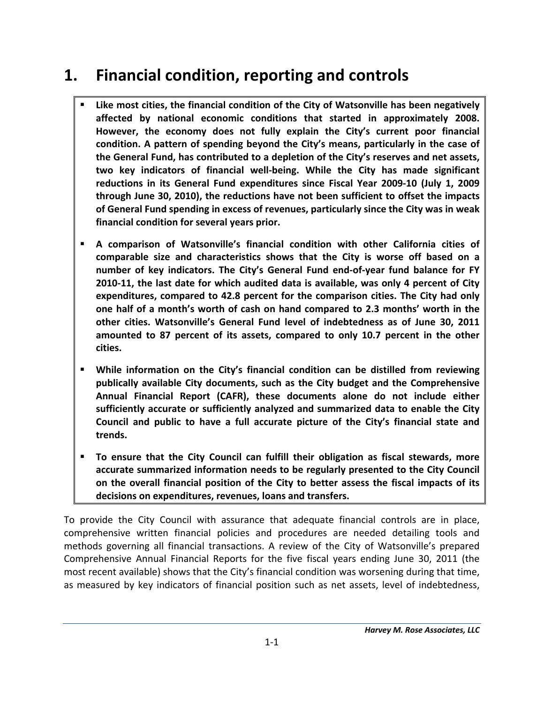# **1. Financial condition, reporting and controls**

- **Like most cities, the financial condition of the City of Watsonville has been negatively affected by national economic conditions that started in approximately 2008. However, the economy does not fully explain the City's current poor financial condition. A pattern of spending beyond the City's means, particularly in the case of the General Fund, has contributed to a depletion of the City's reserves and net assets, two key indicators of financial well‐being. While the City has made significant reductions in its General Fund expenditures since Fiscal Year 2009‐10 (July 1, 2009 through June 30, 2010), the reductions have not been sufficient to offset the impacts of General Fund spending in excess of revenues, particularly since the City was in weak financial condition for several years prior.**
- **A comparison of Watsonville's financial condition with other California cities of comparable size and characteristics shows that the City is worse off based on a number of key indicators. The City's General Fund end‐of‐year fund balance for FY 2010‐11, the last date for which audited data is available, was only 4 percent of City expenditures, compared to 42.8 percent for the comparison cities. The City had only one half of a month's worth of cash on hand compared to 2.3 months' worth in the other cities. Watsonville's General Fund level of indebtedness as of June 30, 2011 amounted to 87 percent of its assets, compared to only 10.7 percent in the other cities.**
- **While information on the City's financial condition can be distilled from reviewing publically available City documents, such as the City budget and the Comprehensive Annual Financial Report (CAFR), these documents alone do not include either sufficiently accurate or sufficiently analyzed and summarized data to enable the City Council and public to have a full accurate picture of the City's financial state and trends.**
- **To ensure that the City Council can fulfill their obligation as fiscal stewards, more accurate summarized information needs to be regularly presented to the City Council on the overall financial position of the City to better assess the fiscal impacts of its decisions on expenditures, revenues, loans and transfers.**

To provide the City Council with assurance that adequate financial controls are in place, comprehensive written financial policies and procedures are needed detailing tools and methods governing all financial transactions. A review of the City of Watsonville's prepared Comprehensive Annual Financial Reports for the five fiscal years ending June 30, 2011 (the most recent available) shows that the City's financial condition was worsening during that time, as measured by key indicators of financial position such as net assets, level of indebtedness,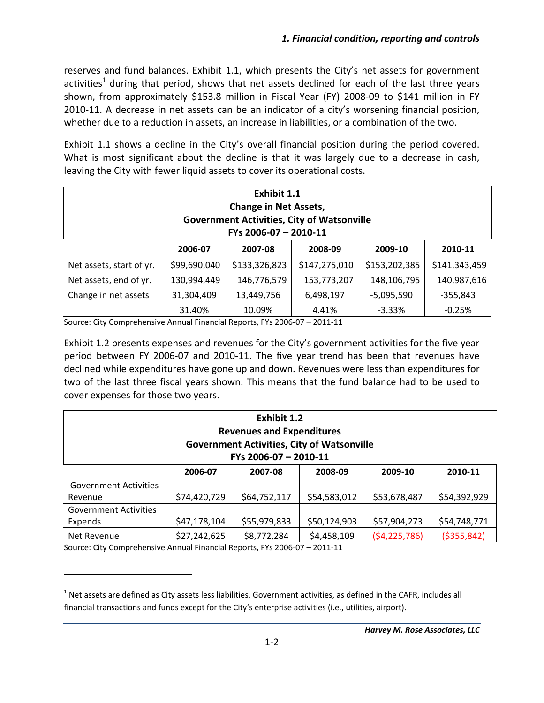reserves and fund balances. Exhibit 1.1, which presents the City's net assets for government activities<sup>1</sup> during that period, shows that net assets declined for each of the last three years shown, from approximately \$153.8 million in Fiscal Year (FY) 2008‐09 to \$141 million in FY 2010‐11. A decrease in net assets can be an indicator of a city's worsening financial position, whether due to a reduction in assets, an increase in liabilities, or a combination of the two.

Exhibit 1.1 shows a decline in the City's overall financial position during the period covered. What is most significant about the decline is that it was largely due to a decrease in cash, leaving the City with fewer liquid assets to cover its operational costs.

| <b>Exhibit 1.1</b><br><b>Change in Net Assets,</b><br><b>Government Activities, City of Watsonville</b><br>FYs 2006-07 - 2010-11 |                                                                     |               |               |               |               |  |  |  |  |
|----------------------------------------------------------------------------------------------------------------------------------|---------------------------------------------------------------------|---------------|---------------|---------------|---------------|--|--|--|--|
|                                                                                                                                  | 2007-08<br>2006-07<br>2008-09<br>2009-10<br>2010-11                 |               |               |               |               |  |  |  |  |
| Net assets, start of yr.                                                                                                         | \$99,690,040                                                        | \$133,326,823 | \$147,275,010 | \$153,202,385 | \$141,343,459 |  |  |  |  |
| Net assets, end of yr.                                                                                                           | 130,994,449                                                         | 146,776,579   | 153,773,207   | 148,106,795   | 140,987,616   |  |  |  |  |
| Change in net assets                                                                                                             | 31,304,409<br>13,449,756<br>6,498,197<br>$-5,095,590$<br>$-355,843$ |               |               |               |               |  |  |  |  |
|                                                                                                                                  | 31.40%                                                              | 10.09%        | 4.41%         | $-3.33%$      | $-0.25%$      |  |  |  |  |

Source: City Comprehensive Annual Financial Reports, FYs 2006‐07 – 2011‐11

Exhibit 1.2 presents expenses and revenues for the City's government activities for the five year period between FY 2006‐07 and 2010‐11. The five year trend has been that revenues have declined while expenditures have gone up and down. Revenues were less than expenditures for two of the last three fiscal years shown. This means that the fund balance had to be used to cover expenses for those two years.

| <b>Exhibit 1.2</b><br><b>Revenues and Expenditures</b><br><b>Government Activities, City of Watsonville</b><br>FYs 2006-07 - 2010-11 |                                                                              |              |              |                |               |  |  |  |  |
|--------------------------------------------------------------------------------------------------------------------------------------|------------------------------------------------------------------------------|--------------|--------------|----------------|---------------|--|--|--|--|
|                                                                                                                                      | 2007-08<br>2008-09<br>2009-10<br>2006-07<br>2010-11                          |              |              |                |               |  |  |  |  |
| <b>Government Activities</b>                                                                                                         |                                                                              |              |              |                |               |  |  |  |  |
| Revenue                                                                                                                              | \$74,420,729                                                                 | \$64,752,117 | \$54,583,012 | \$53,678,487   | \$54,392,929  |  |  |  |  |
| <b>Government Activities</b>                                                                                                         |                                                                              |              |              |                |               |  |  |  |  |
| Expends                                                                                                                              | \$47,178,104<br>\$55,979,833<br>\$50,124,903<br>\$57,904,273<br>\$54,748,771 |              |              |                |               |  |  |  |  |
| Net Revenue                                                                                                                          | \$27,242,625                                                                 | \$8,772,284  | \$4,458,109  | (54, 225, 786) | ( \$355, 842) |  |  |  |  |

Source: City Comprehensive Annual Financial Reports, FYs 2006‐07 – 2011‐11

 $1$  Net assets are defined as City assets less liabilities. Government activities, as defined in the CAFR, includes all financial transactions and funds except for the City's enterprise activities (i.e., utilities, airport).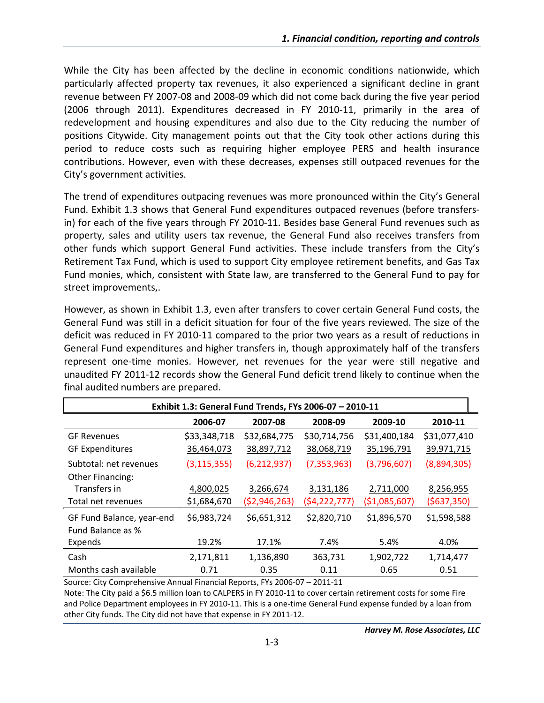While the City has been affected by the decline in economic conditions nationwide, which particularly affected property tax revenues, it also experienced a significant decline in grant revenue between FY 2007‐08 and 2008‐09 which did not come back during the five year period (2006 through 2011). Expenditures decreased in FY 2010‐11, primarily in the area of redevelopment and housing expenditures and also due to the City reducing the number of positions Citywide. City management points out that the City took other actions during this period to reduce costs such as requiring higher employee PERS and health insurance contributions. However, even with these decreases, expenses still outpaced revenues for the City's government activities.

The trend of expenditures outpacing revenues was more pronounced within the City's General Fund. Exhibit 1.3 shows that General Fund expenditures outpaced revenues (before transfers‐ in) for each of the five years through FY 2010‐11. Besides base General Fund revenues such as property, sales and utility users tax revenue, the General Fund also receives transfers from other funds which support General Fund activities. These include transfers from the City's Retirement Tax Fund, which is used to support City employee retirement benefits, and Gas Tax Fund monies, which, consistent with State law, are transferred to the General Fund to pay for street improvements,.

However, as shown in Exhibit 1.3, even after transfers to cover certain General Fund costs, the General Fund was still in a deficit situation for four of the five years reviewed. The size of the deficit was reduced in FY 2010‐11 compared to the prior two years as a result of reductions in General Fund expenditures and higher transfers in, though approximately half of the transfers represent one-time monies. However, net revenues for the year were still negative and unaudited FY 2011‐12 records show the General Fund deficit trend likely to continue when the final audited numbers are prepared.

|                           | Exhibit 1.3: General Fund Trends, FYs 2006-07 - 2010-11 |                |                |                |              |  |  |  |
|---------------------------|---------------------------------------------------------|----------------|----------------|----------------|--------------|--|--|--|
|                           | 2006-07                                                 | 2007-08        | 2008-09        | 2009-10        | 2010-11      |  |  |  |
| <b>GF Revenues</b>        | \$33,348,718                                            | \$32,684,775   | \$30,714,756   | \$31,400,184   | \$31,077,410 |  |  |  |
| <b>GF Expenditures</b>    | 36,464,073                                              | 38,897,712     | 38,068,719     | 35,196,791     | 39,971,715   |  |  |  |
| Subtotal: net revenues    | (3, 115, 355)                                           | (6, 212, 937)  | (7, 353, 963)  | (3,796,607)    | (8,894,305)  |  |  |  |
| <b>Other Financing:</b>   |                                                         |                |                |                |              |  |  |  |
| Transfers in              | 4,800,025                                               | 3,266,674      | 3,131,186      | 2,711,000      | 8,256,955    |  |  |  |
| Total net revenues        | \$1,684,670                                             | ( \$2,946,263) | (54, 222, 777) | ( \$1,085,607) | (5637, 350)  |  |  |  |
| GF Fund Balance, year-end | \$6,983,724                                             | \$6,651,312    | \$2,820,710    | \$1,896,570    | \$1,598,588  |  |  |  |
| Fund Balance as %         |                                                         |                |                |                |              |  |  |  |
| Expends                   | 19.2%                                                   | 17.1%          | 7.4%           | 5.4%           | 4.0%         |  |  |  |
| Cash                      | 2,171,811                                               | 1,136,890      | 363,731        | 1,902,722      | 1,714,477    |  |  |  |
| Months cash available     | 0.71                                                    | 0.35           | 0.11           | 0.65           | 0.51         |  |  |  |
|                           |                                                         |                |                |                |              |  |  |  |

Source: City Comprehensive Annual Financial Reports, FYs 2006‐07 – 2011‐11

Note: The City paid a \$6.5 million loan to CALPERS in FY 2010‐11 to cover certain retirement costs for some Fire and Police Department employees in FY 2010-11. This is a one-time General Fund expense funded by a loan from other City funds. The City did not have that expense in FY 2011‐12.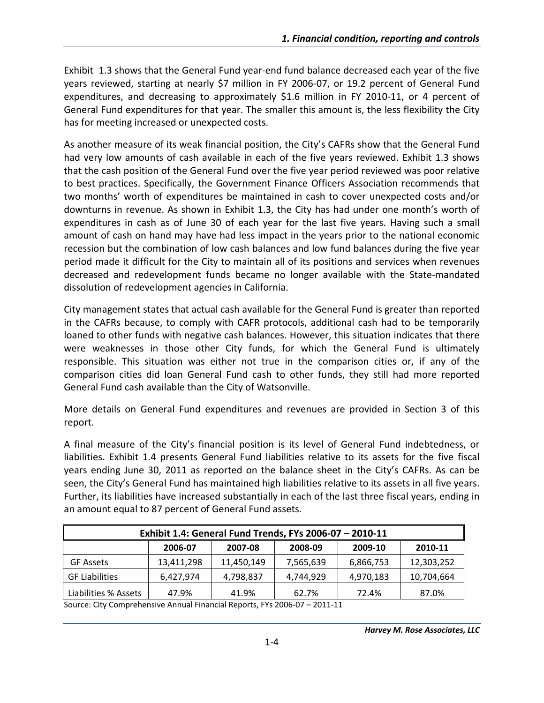Exhibit 1.3 shows that the General Fund year‐end fund balance decreased each year of the five years reviewed, starting at nearly \$7 million in FY 2006‐07, or 19.2 percent of General Fund expenditures, and decreasing to approximately \$1.6 million in FY 2010‐11, or 4 percent of General Fund expenditures for that year. The smaller this amount is, the less flexibility the City has for meeting increased or unexpected costs.

As another measure of its weak financial position, the City's CAFRs show that the General Fund had very low amounts of cash available in each of the five years reviewed. Exhibit 1.3 shows that the cash position of the General Fund over the five year period reviewed was poor relative to best practices. Specifically, the Government Finance Officers Association recommends that two months' worth of expenditures be maintained in cash to cover unexpected costs and/or downturns in revenue. As shown in Exhibit 1.3, the City has had under one month's worth of expenditures in cash as of June 30 of each year for the last five years. Having such a small amount of cash on hand may have had less impact in the years prior to the national economic recession but the combination of low cash balances and low fund balances during the five year period made it difficult for the City to maintain all of its positions and services when revenues decreased and redevelopment funds became no longer available with the State‐mandated dissolution of redevelopment agencies in California.

City management states that actual cash available for the General Fund is greater than reported in the CAFRs because, to comply with CAFR protocols, additional cash had to be temporarily loaned to other funds with negative cash balances. However, this situation indicates that there were weaknesses in those other City funds, for which the General Fund is ultimately responsible. This situation was either not true in the comparison cities or, if any of the comparison cities did loan General Fund cash to other funds, they still had more reported General Fund cash available than the City of Watsonville.

More details on General Fund expenditures and revenues are provided in Section 3 of this report.

A final measure of the City's financial position is its level of General Fund indebtedness, or liabilities. Exhibit 1.4 presents General Fund liabilities relative to its assets for the five fiscal years ending June 30, 2011 as reported on the balance sheet in the City's CAFRs. As can be seen, the City's General Fund has maintained high liabilities relative to its assets in all five years. Further, its liabilities have increased substantially in each of the last three fiscal years, ending in an amount equal to 87 percent of General Fund assets.

| Exhibit 1.4: General Fund Trends, FYs 2006-07 - 2010-11 |            |            |           |           |            |  |  |  |  |
|---------------------------------------------------------|------------|------------|-----------|-----------|------------|--|--|--|--|
| 2010-11<br>2007-08<br>2009-10<br>2008-09<br>2006-07     |            |            |           |           |            |  |  |  |  |
| <b>GF Assets</b>                                        | 13,411,298 | 11,450,149 | 7,565,639 | 6,866,753 | 12,303,252 |  |  |  |  |
| <b>GF Liabilities</b>                                   | 6,427,974  | 4,798,837  | 4,744,929 | 4,970,183 | 10,704,664 |  |  |  |  |
| Liabilities % Assets                                    | 47.9%      | 41.9%      | 62.7%     | 72.4%     | 87.0%      |  |  |  |  |

Source: City Comprehensive Annual Financial Reports, FYs 2006‐07 – 2011‐11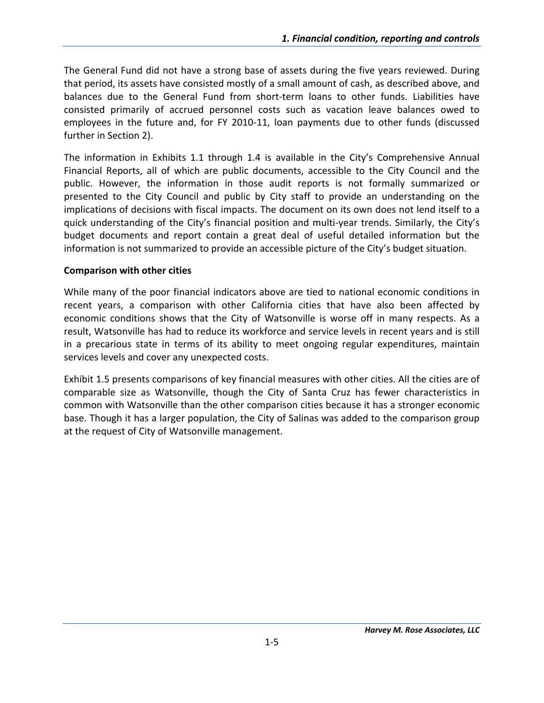The General Fund did not have a strong base of assets during the five years reviewed. During that period, its assets have consisted mostly of a small amount of cash, as described above, and balances due to the General Fund from short‐term loans to other funds. Liabilities have consisted primarily of accrued personnel costs such as vacation leave balances owed to employees in the future and, for FY 2010‐11, loan payments due to other funds (discussed further in Section 2).

The information in Exhibits 1.1 through 1.4 is available in the City's Comprehensive Annual Financial Reports, all of which are public documents, accessible to the City Council and the public. However, the information in those audit reports is not formally summarized or presented to the City Council and public by City staff to provide an understanding on the implications of decisions with fiscal impacts. The document on its own does not lend itself to a quick understanding of the City's financial position and multi‐year trends. Similarly, the City's budget documents and report contain a great deal of useful detailed information but the information is not summarized to provide an accessible picture of the City's budget situation.

#### **Comparison with other cities**

While many of the poor financial indicators above are tied to national economic conditions in recent years, a comparison with other California cities that have also been affected by economic conditions shows that the City of Watsonville is worse off in many respects. As a result, Watsonville has had to reduce its workforce and service levels in recent years and is still in a precarious state in terms of its ability to meet ongoing regular expenditures, maintain services levels and cover any unexpected costs.

Exhibit 1.5 presents comparisons of key financial measures with other cities. All the cities are of comparable size as Watsonville, though the City of Santa Cruz has fewer characteristics in common with Watsonville than the other comparison cities because it has a stronger economic base. Though it has a larger population, the City of Salinas was added to the comparison group at the request of City of Watsonville management.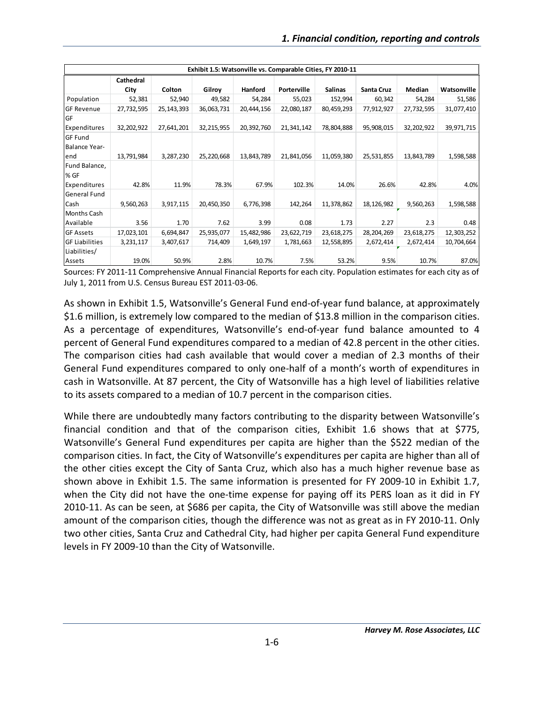|                       | Exhibit 1.5: Watsonville vs. Comparable Cities, FY 2010-11 |            |            |                |             |                |            |            |             |
|-----------------------|------------------------------------------------------------|------------|------------|----------------|-------------|----------------|------------|------------|-------------|
|                       | Cathedral                                                  |            |            |                |             |                |            |            |             |
|                       | City                                                       | Colton     | Gilroy     | <b>Hanford</b> | Porterville | <b>Salinas</b> | Santa Cruz | Median     | Watsonville |
| Population            | 52,381                                                     | 52,940     | 49,582     | 54,284         | 55,023      | 152,994        | 60,342     | 54,284     | 51,586      |
| <b>GF Revenue</b>     | 27,732,595                                                 | 25,143,393 | 36,063,731 | 20,444,156     | 22,080,187  | 80,459,293     | 77,912,927 | 27,732,595 | 31,077,410  |
| GF                    |                                                            |            |            |                |             |                |            |            |             |
| Expenditures          | 32,202,922                                                 | 27,641,201 | 32,215,955 | 20,392,760     | 21,341,142  | 78,804,888     | 95,908,015 | 32,202,922 | 39,971,715  |
| <b>GF Fund</b>        |                                                            |            |            |                |             |                |            |            |             |
| Balance Year-         |                                                            |            |            |                |             |                |            |            |             |
| end                   | 13,791,984                                                 | 3,287,230  | 25,220,668 | 13,843,789     | 21,841,056  | 11,059,380     | 25,531,855 | 13,843,789 | 1,598,588   |
| Fund Balance,         |                                                            |            |            |                |             |                |            |            |             |
| % GF                  |                                                            |            |            |                |             |                |            |            |             |
| Expenditures          | 42.8%                                                      | 11.9%      | 78.3%      | 67.9%          | 102.3%      | 14.0%          | 26.6%      | 42.8%      | 4.0%        |
| General Fund          |                                                            |            |            |                |             |                |            |            |             |
| Cash                  | 9,560,263                                                  | 3,917,115  | 20,450,350 | 6,776,398      | 142,264     | 11,378,862     | 18,126,982 | 9,560,263  | 1,598,588   |
| <b>Months Cash</b>    |                                                            |            |            |                |             |                |            |            |             |
| Available             | 3.56                                                       | 1.70       | 7.62       | 3.99           | 0.08        | 1.73           | 2.27       | 2.3        | 0.48        |
| <b>GF Assets</b>      | 17,023,101                                                 | 6,694,847  | 25,935,077 | 15,482,986     | 23,622,719  | 23,618,275     | 28,204,269 | 23,618,275 | 12,303,252  |
| <b>GF Liabilities</b> | 3,231,117                                                  | 3,407,617  | 714,409    | 1,649,197      | 1,781,663   | 12,558,895     | 2,672,414  | 2,672,414  | 10,704,664  |
| Liabilities/          |                                                            |            |            |                |             |                |            |            |             |
| Assets                | 19.0%                                                      | 50.9%      | 2.8%       | 10.7%          | 7.5%        | 53.2%          | 9.5%       | 10.7%      | 87.0%       |

Sources: FY 2011‐11 Comprehensive Annual Financial Reports for each city. Population estimates for each city as of July 1, 2011 from U.S. Census Bureau EST 2011‐03‐06.

As shown in Exhibit 1.5, Watsonville's General Fund end‐of‐year fund balance, at approximately \$1.6 million, is extremely low compared to the median of \$13.8 million in the comparison cities. As a percentage of expenditures, Watsonville's end-of-year fund balance amounted to 4 percent of General Fund expenditures compared to a median of 42.8 percent in the other cities. The comparison cities had cash available that would cover a median of 2.3 months of their General Fund expenditures compared to only one‐half of a month's worth of expenditures in cash in Watsonville. At 87 percent, the City of Watsonville has a high level of liabilities relative to its assets compared to a median of 10.7 percent in the comparison cities.

While there are undoubtedly many factors contributing to the disparity between Watsonville's financial condition and that of the comparison cities, Exhibit 1.6 shows that at \$775, Watsonville's General Fund expenditures per capita are higher than the \$522 median of the comparison cities. In fact, the City of Watsonville's expenditures per capita are higher than all of the other cities except the City of Santa Cruz, which also has a much higher revenue base as shown above in Exhibit 1.5. The same information is presented for FY 2009-10 in Exhibit 1.7, when the City did not have the one-time expense for paying off its PERS loan as it did in FY 2010-11. As can be seen, at \$686 per capita, the City of Watsonville was still above the median amount of the comparison cities, though the difference was not as great as in FY 2010‐11. Only two other cities, Santa Cruz and Cathedral City, had higher per capita General Fund expenditure levels in FY 2009‐10 than the City of Watsonville.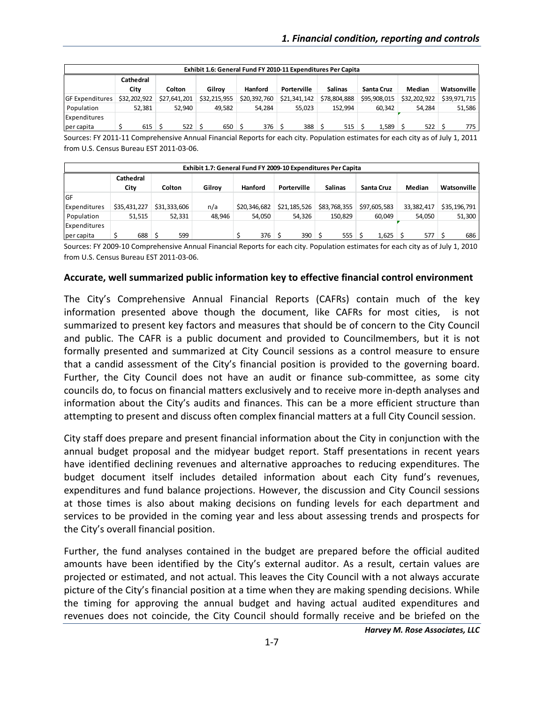|                        | Exhibit 1.6: General Fund FY 2010-11 Expenditures Per Capita |               |                     |              |              |                |              |              |              |  |
|------------------------|--------------------------------------------------------------|---------------|---------------------|--------------|--------------|----------------|--------------|--------------|--------------|--|
|                        | Cathedral                                                    |               |                     |              |              |                |              |              |              |  |
|                        | City                                                         | <b>Colton</b> | Gilrov              | Hanford      | Porterville  | <b>Salinas</b> | Santa Cruz   | Median       | Watsonville  |  |
| <b>GF Expenditures</b> | \$32,202,922                                                 | \$27,641,201  | \$32,215,955        | \$20,392,760 | \$21,341,142 | \$78,804,888   | \$95,908,015 | \$32,202,922 | \$39.971.715 |  |
| Population             | 52,381                                                       | 52.940        | 49.582              | 54.284       | 55,023       | 152.994        | 60.342       | 54.284       | 51,586       |  |
| Expenditures           |                                                              |               |                     |              |              |                |              |              |              |  |
| per capita             | 615                                                          | 522           | $650$ $\frac{1}{5}$ | 376          | 388          | $515$ :        | 1.589        | 522          | 775          |  |

Sources: FY 2011‐11 Comprehensive Annual Financial Reports for each city. Population estimates for each city as of July 1, 2011 from U.S. Census Bureau EST 2011‐03‐06.

|              | Exhibit 1.7: General Fund FY 2009-10 Expenditures Per Capita |               |        |                |              |                |              |            |              |  |
|--------------|--------------------------------------------------------------|---------------|--------|----------------|--------------|----------------|--------------|------------|--------------|--|
|              | <b>Cathedral</b><br>City                                     | <b>Colton</b> | Gilroy | <b>Hanford</b> | Porterville  | <b>Salinas</b> | Santa Cruz   | Median     | Watsonville  |  |
| <b>IGF</b>   |                                                              |               |        |                |              |                |              |            |              |  |
| Expenditures | \$35,431,227                                                 | \$31.333.606  | n/a    | \$20.346.682   | \$21,185,526 | \$83,768,355   | \$97,605,583 | 33.382.417 | \$35,196,791 |  |
| Population   | 51,515                                                       | 52,331        | 48.946 | 54,050         | 54,326       | 150.829        | 60.049       | 54,050     | 51,300       |  |
| Expenditures |                                                              |               |        |                |              |                |              |            |              |  |
| per capita   | $688$ \$                                                     | 599           |        | $376$ S        | $390$ \$     | 555            | $1.625$ \$   | 577        | 686          |  |

Sources: FY 2009‐10 Comprehensive Annual Financial Reports for each city. Population estimates for each city as of July 1, 2010 from U.S. Census Bureau EST 2011‐03‐06.

#### **Accurate, well summarized public information key to effective financial control environment**

The City's Comprehensive Annual Financial Reports (CAFRs) contain much of the key information presented above though the document, like CAFRs for most cities, is not summarized to present key factors and measures that should be of concern to the City Council and public. The CAFR is a public document and provided to Councilmembers, but it is not formally presented and summarized at City Council sessions as a control measure to ensure that a candid assessment of the City's financial position is provided to the governing board. Further, the City Council does not have an audit or finance sub‐committee, as some city councils do, to focus on financial matters exclusively and to receive more in‐depth analyses and information about the City's audits and finances. This can be a more efficient structure than attempting to present and discuss often complex financial matters at a full City Council session.

City staff does prepare and present financial information about the City in conjunction with the annual budget proposal and the midyear budget report. Staff presentations in recent years have identified declining revenues and alternative approaches to reducing expenditures. The budget document itself includes detailed information about each City fund's revenues, expenditures and fund balance projections. However, the discussion and City Council sessions at those times is also about making decisions on funding levels for each department and services to be provided in the coming year and less about assessing trends and prospects for the City's overall financial position.

Further, the fund analyses contained in the budget are prepared before the official audited amounts have been identified by the City's external auditor. As a result, certain values are projected or estimated, and not actual. This leaves the City Council with a not always accurate picture of the City's financial position at a time when they are making spending decisions. While the timing for approving the annual budget and having actual audited expenditures and revenues does not coincide, the City Council should formally receive and be briefed on the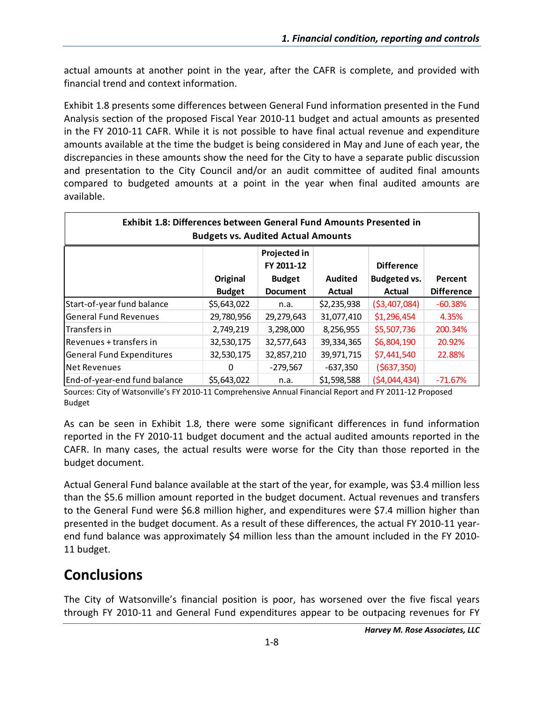actual amounts at another point in the year, after the CAFR is complete, and provided with financial trend and context information.

Exhibit 1.8 presents some differences between General Fund information presented in the Fund Analysis section of the proposed Fiscal Year 2010‐11 budget and actual amounts as presented in the FY 2010‐11 CAFR. While it is not possible to have final actual revenue and expenditure amounts available at the time the budget is being considered in May and June of each year, the discrepancies in these amounts show the need for the City to have a separate public discussion and presentation to the City Council and/or an audit committee of audited final amounts compared to budgeted amounts at a point in the year when final audited amounts are available.

| Exhibit 1.8: Differences between General Fund Amounts Presented in<br><b>Budgets vs. Audited Actual Amounts</b> |               |                 |                |                     |                   |  |  |  |
|-----------------------------------------------------------------------------------------------------------------|---------------|-----------------|----------------|---------------------|-------------------|--|--|--|
| Projected in<br>FY 2011-12<br><b>Difference</b>                                                                 |               |                 |                |                     |                   |  |  |  |
|                                                                                                                 | Original      | <b>Budget</b>   | <b>Audited</b> | <b>Budgeted vs.</b> | Percent           |  |  |  |
|                                                                                                                 | <b>Budget</b> | <b>Document</b> | Actual         | Actual              | <b>Difference</b> |  |  |  |
| Start-of-year fund balance                                                                                      | \$5,643,022   | n.a.            | \$2,235,938    | ( \$3,407,084)      | $-60.38%$         |  |  |  |
| General Fund Revenues                                                                                           | 29,780,956    | 29,279,643      | 31,077,410     | \$1,296,454         | 4.35%             |  |  |  |
| lTransfers in                                                                                                   | 2,749,219     | 3,298,000       | 8,256,955      | \$5,507,736         | 200.34%           |  |  |  |
| Revenues + transfers in                                                                                         | 32,530,175    | 32,577,643      | 39,334,365     | \$6,804,190         | 20.92%            |  |  |  |
| General Fund Expenditures                                                                                       | 32,530,175    | 32,857,210      | 39,971,715     | \$7,441,540         | 22.88%            |  |  |  |
| Net Revenues                                                                                                    | 0             | $-279,567$      | $-637,350$     | (5637, 350)         |                   |  |  |  |
| End-of-year-end fund balance                                                                                    | \$5,643,022   | n.a.            | \$1,598,588    | (54,044,434)        | $-71.67%$         |  |  |  |

Sources: City of Watsonville's FY 2010‐11 Comprehensive Annual Financial Report and FY 2011‐12 Proposed Budget

As can be seen in Exhibit 1.8, there were some significant differences in fund information reported in the FY 2010‐11 budget document and the actual audited amounts reported in the CAFR. In many cases, the actual results were worse for the City than those reported in the budget document.

Actual General Fund balance available at the start of the year, for example, was \$3.4 million less than the \$5.6 million amount reported in the budget document. Actual revenues and transfers to the General Fund were \$6.8 million higher, and expenditures were \$7.4 million higher than presented in the budget document. As a result of these differences, the actual FY 2010‐11 year‐ end fund balance was approximately \$4 million less than the amount included in the FY 2010-11 budget.

## **Conclusions**

The City of Watsonville's financial position is poor, has worsened over the five fiscal years through FY 2010‐11 and General Fund expenditures appear to be outpacing revenues for FY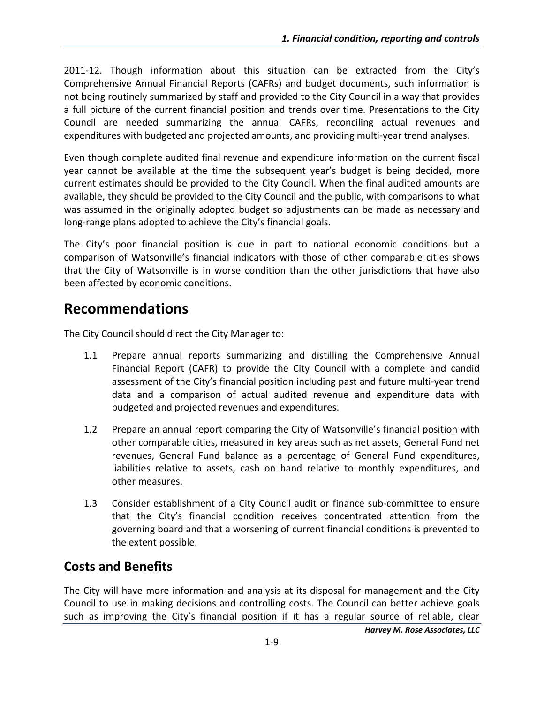2011-12. Though information about this situation can be extracted from the City's Comprehensive Annual Financial Reports (CAFRs) and budget documents, such information is not being routinely summarized by staff and provided to the City Council in a way that provides a full picture of the current financial position and trends over time. Presentations to the City Council are needed summarizing the annual CAFRs, reconciling actual revenues and expenditures with budgeted and projected amounts, and providing multi‐year trend analyses.

Even though complete audited final revenue and expenditure information on the current fiscal year cannot be available at the time the subsequent year's budget is being decided, more current estimates should be provided to the City Council. When the final audited amounts are available, they should be provided to the City Council and the public, with comparisons to what was assumed in the originally adopted budget so adjustments can be made as necessary and long-range plans adopted to achieve the City's financial goals.

The City's poor financial position is due in part to national economic conditions but a comparison of Watsonville's financial indicators with those of other comparable cities shows that the City of Watsonville is in worse condition than the other jurisdictions that have also been affected by economic conditions.

## **Recommendations**

The City Council should direct the City Manager to:

- 1.1 Prepare annual reports summarizing and distilling the Comprehensive Annual Financial Report (CAFR) to provide the City Council with a complete and candid assessment of the City's financial position including past and future multi‐year trend data and a comparison of actual audited revenue and expenditure data with budgeted and projected revenues and expenditures.
- 1.2 Prepare an annual report comparing the City of Watsonville's financial position with other comparable cities, measured in key areas such as net assets, General Fund net revenues, General Fund balance as a percentage of General Fund expenditures, liabilities relative to assets, cash on hand relative to monthly expenditures, and other measures.
- 1.3 Consider establishment of a City Council audit or finance sub‐committee to ensure that the City's financial condition receives concentrated attention from the governing board and that a worsening of current financial conditions is prevented to the extent possible.

## **Costs and Benefits**

The City will have more information and analysis at its disposal for management and the City Council to use in making decisions and controlling costs. The Council can better achieve goals such as improving the City's financial position if it has a regular source of reliable, clear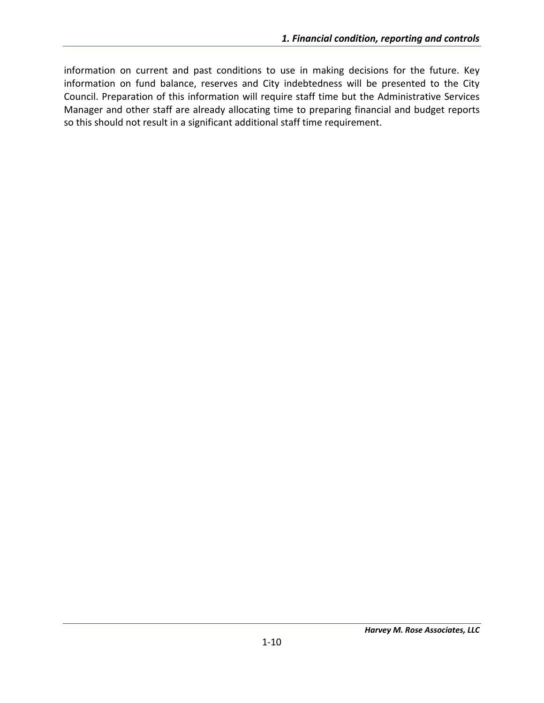information on current and past conditions to use in making decisions for the future. Key information on fund balance, reserves and City indebtedness will be presented to the City Council. Preparation of this information will require staff time but the Administrative Services Manager and other staff are already allocating time to preparing financial and budget reports so this should not result in a significant additional staff time requirement.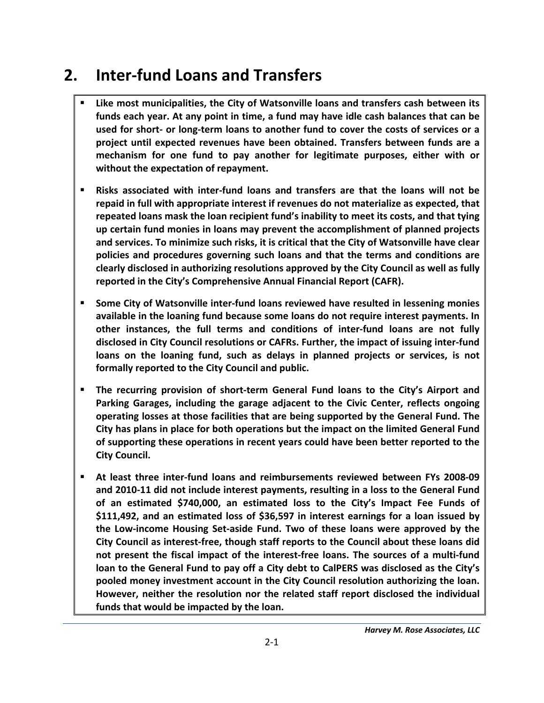# **2. Inter‐fund Loans and Transfers**

- **Like most municipalities, the City of Watsonville loans and transfers cash between its funds each year. At any point in time, a fund may have idle cash balances that can be** used for short- or long-term loans to another fund to cover the costs of services or a **project until expected revenues have been obtained. Transfers between funds are a mechanism for one fund to pay another for legitimate purposes, either with or without the expectation of repayment.**
- **Risks associated with inter‐fund loans and transfers are that the loans will not be repaid in full with appropriate interest if revenues do not materialize as expected, that repeated loans mask the loan recipient fund's inability to meet its costs, and that tying up certain fund monies in loans may prevent the accomplishment of planned projects and services. To minimize such risks, it is critical that the City of Watsonville have clear policies and procedures governing such loans and that the terms and conditions are clearly disclosed in authorizing resolutions approved by the City Council as well as fully reported in the City's Comprehensive Annual Financial Report (CAFR).**
- **Some City of Watsonville inter‐fund loans reviewed have resulted in lessening monies available in the loaning fund because some loans do not require interest payments. In other instances, the full terms and conditions of inter‐fund loans are not fully disclosed in City Council resolutions or CAFRs. Further, the impact of issuing inter‐fund loans on the loaning fund, such as delays in planned projects or services, is not formally reported to the City Council and public.**
- **The recurring provision of short‐term General Fund loans to the City's Airport and Parking Garages, including the garage adjacent to the Civic Center, reflects ongoing operating losses at those facilities that are being supported by the General Fund. The City has plans in place for both operations but the impact on the limited General Fund of supporting these operations in recent years could have been better reported to the City Council.**
- **At least three inter‐fund loans and reimbursements reviewed between FYs 2008‐09 and 2010‐11 did not include interest payments, resulting in a loss to the General Fund of an estimated \$740,000, an estimated loss to the City's Impact Fee Funds of \$111,492, and an estimated loss of \$36,597 in interest earnings for a loan issued by the Low‐income Housing Set‐aside Fund. Two of these loans were approved by the City Council as interest‐free, though staff reports to the Council about these loans did not present the fiscal impact of the interest‐free loans. The sources of a multi‐fund loan to the General Fund to pay off a City debt to CalPERS was disclosed as the City's pooled money investment account in the City Council resolution authorizing the loan. However, neither the resolution nor the related staff report disclosed the individual funds that would be impacted by the loan.**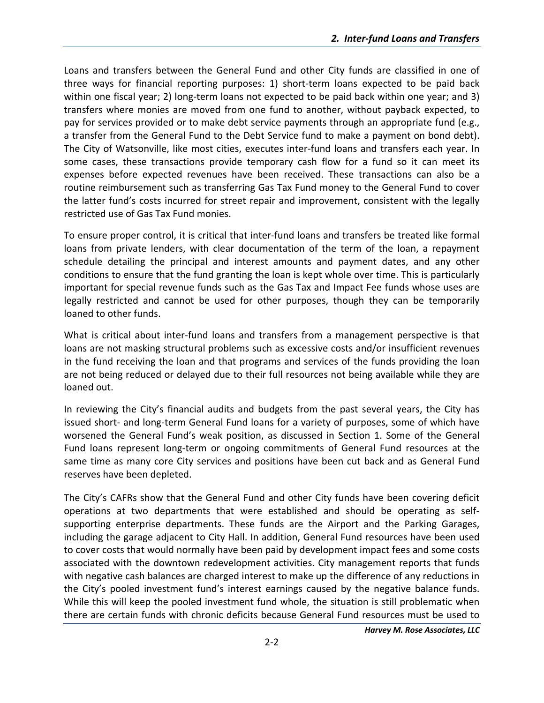Loans and transfers between the General Fund and other City funds are classified in one of three ways for financial reporting purposes: 1) short‐term loans expected to be paid back within one fiscal year; 2) long-term loans not expected to be paid back within one year; and 3) transfers where monies are moved from one fund to another, without payback expected, to pay for services provided or to make debt service payments through an appropriate fund (e.g., a transfer from the General Fund to the Debt Service fund to make a payment on bond debt). The City of Watsonville, like most cities, executes inter-fund loans and transfers each year. In some cases, these transactions provide temporary cash flow for a fund so it can meet its expenses before expected revenues have been received. These transactions can also be a routine reimbursement such as transferring Gas Tax Fund money to the General Fund to cover the latter fund's costs incurred for street repair and improvement, consistent with the legally restricted use of Gas Tax Fund monies.

To ensure proper control, it is critical that inter‐fund loans and transfers be treated like formal loans from private lenders, with clear documentation of the term of the loan, a repayment schedule detailing the principal and interest amounts and payment dates, and any other conditions to ensure that the fund granting the loan is kept whole over time. This is particularly important for special revenue funds such as the Gas Tax and Impact Fee funds whose uses are legally restricted and cannot be used for other purposes, though they can be temporarily loaned to other funds.

What is critical about inter-fund loans and transfers from a management perspective is that loans are not masking structural problems such as excessive costs and/or insufficient revenues in the fund receiving the loan and that programs and services of the funds providing the loan are not being reduced or delayed due to their full resources not being available while they are loaned out.

In reviewing the City's financial audits and budgets from the past several years, the City has issued short‐ and long‐term General Fund loans for a variety of purposes, some of which have worsened the General Fund's weak position, as discussed in Section 1. Some of the General Fund loans represent long-term or ongoing commitments of General Fund resources at the same time as many core City services and positions have been cut back and as General Fund reserves have been depleted.

The City's CAFRs show that the General Fund and other City funds have been covering deficit operations at two departments that were established and should be operating as self‐ supporting enterprise departments. These funds are the Airport and the Parking Garages, including the garage adjacent to City Hall. In addition, General Fund resources have been used to cover costs that would normally have been paid by development impact fees and some costs associated with the downtown redevelopment activities. City management reports that funds with negative cash balances are charged interest to make up the difference of any reductions in the City's pooled investment fund's interest earnings caused by the negative balance funds. While this will keep the pooled investment fund whole, the situation is still problematic when there are certain funds with chronic deficits because General Fund resources must be used to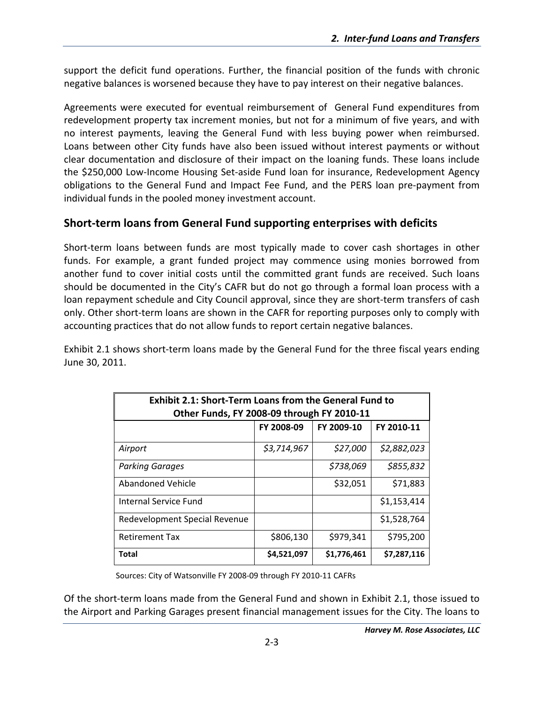support the deficit fund operations. Further, the financial position of the funds with chronic negative balances is worsened because they have to pay interest on their negative balances.

Agreements were executed for eventual reimbursement of General Fund expenditures from redevelopment property tax increment monies, but not for a minimum of five years, and with no interest payments, leaving the General Fund with less buying power when reimbursed. Loans between other City funds have also been issued without interest payments or without clear documentation and disclosure of their impact on the loaning funds. These loans include the \$250,000 Low‐Income Housing Set‐aside Fund loan for insurance, Redevelopment Agency obligations to the General Fund and Impact Fee Fund, and the PERS loan pre‐payment from individual funds in the pooled money investment account.

#### **Short‐term loans from General Fund supporting enterprises with deficits**

Short‐term loans between funds are most typically made to cover cash shortages in other funds. For example, a grant funded project may commence using monies borrowed from another fund to cover initial costs until the committed grant funds are received. Such loans should be documented in the City's CAFR but do not go through a formal loan process with a loan repayment schedule and City Council approval, since they are short-term transfers of cash only. Other short-term loans are shown in the CAFR for reporting purposes only to comply with accounting practices that do not allow funds to report certain negative balances.

Exhibit 2.1 shows short-term loans made by the General Fund for the three fiscal years ending June 30, 2011.

| <b>Exhibit 2.1: Short-Term Loans from the General Fund to</b><br>Other Funds, FY 2008-09 through FY 2010-11 |             |             |             |  |  |  |  |  |
|-------------------------------------------------------------------------------------------------------------|-------------|-------------|-------------|--|--|--|--|--|
|                                                                                                             | FY 2008-09  | FY 2009-10  | FY 2010-11  |  |  |  |  |  |
| Airport                                                                                                     | \$3,714,967 | \$27,000    | \$2,882,023 |  |  |  |  |  |
| <b>Parking Garages</b>                                                                                      |             | \$738,069   | \$855,832   |  |  |  |  |  |
| Abandoned Vehicle                                                                                           |             | \$32,051    | \$71,883    |  |  |  |  |  |
| Internal Service Fund                                                                                       |             |             | \$1,153,414 |  |  |  |  |  |
| Redevelopment Special Revenue                                                                               |             |             | \$1,528,764 |  |  |  |  |  |
| <b>Retirement Tax</b>                                                                                       | \$806,130   | \$979,341   | \$795,200   |  |  |  |  |  |
| Total                                                                                                       | \$4,521,097 | \$1,776,461 | \$7,287,116 |  |  |  |  |  |

Sources: City of Watsonville FY 2008‐09 through FY 2010‐11 CAFRs

Of the short‐term loans made from the General Fund and shown in Exhibit 2.1, those issued to the Airport and Parking Garages present financial management issues for the City. The loans to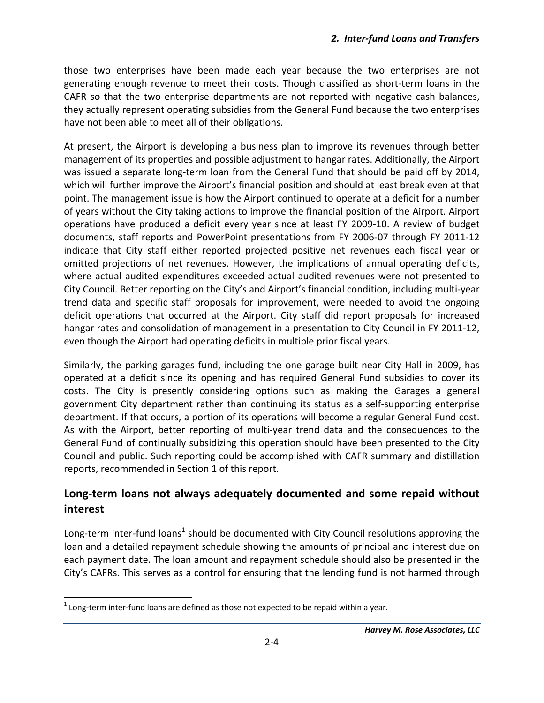those two enterprises have been made each year because the two enterprises are not generating enough revenue to meet their costs. Though classified as short‐term loans in the CAFR so that the two enterprise departments are not reported with negative cash balances, they actually represent operating subsidies from the General Fund because the two enterprises have not been able to meet all of their obligations.

At present, the Airport is developing a business plan to improve its revenues through better management of its properties and possible adjustment to hangar rates. Additionally, the Airport was issued a separate long-term loan from the General Fund that should be paid off by 2014, which will further improve the Airport's financial position and should at least break even at that point. The management issue is how the Airport continued to operate at a deficit for a number of years without the City taking actions to improve the financial position of the Airport. Airport operations have produced a deficit every year since at least FY 2009‐10. A review of budget documents, staff reports and PowerPoint presentations from FY 2006‐07 through FY 2011‐12 indicate that City staff either reported projected positive net revenues each fiscal year or omitted projections of net revenues. However, the implications of annual operating deficits, where actual audited expenditures exceeded actual audited revenues were not presented to City Council. Better reporting on the City's and Airport's financial condition, including multi‐year trend data and specific staff proposals for improvement, were needed to avoid the ongoing deficit operations that occurred at the Airport. City staff did report proposals for increased hangar rates and consolidation of management in a presentation to City Council in FY 2011-12, even though the Airport had operating deficits in multiple prior fiscal years.

Similarly, the parking garages fund, including the one garage built near City Hall in 2009, has operated at a deficit since its opening and has required General Fund subsidies to cover its costs. The City is presently considering options such as making the Garages a general government City department rather than continuing its status as a self‐supporting enterprise department. If that occurs, a portion of its operations will become a regular General Fund cost. As with the Airport, better reporting of multi‐year trend data and the consequences to the General Fund of continually subsidizing this operation should have been presented to the City Council and public. Such reporting could be accomplished with CAFR summary and distillation reports, recommended in Section 1 of this report.

#### **Long‐term loans not always adequately documented and some repaid without interest**

Long-term inter-fund loans<sup>1</sup> should be documented with City Council resolutions approving the loan and a detailed repayment schedule showing the amounts of principal and interest due on each payment date. The loan amount and repayment schedule should also be presented in the City's CAFRs. This serves as a control for ensuring that the lending fund is not harmed through

  $1$  Long-term inter-fund loans are defined as those not expected to be repaid within a year.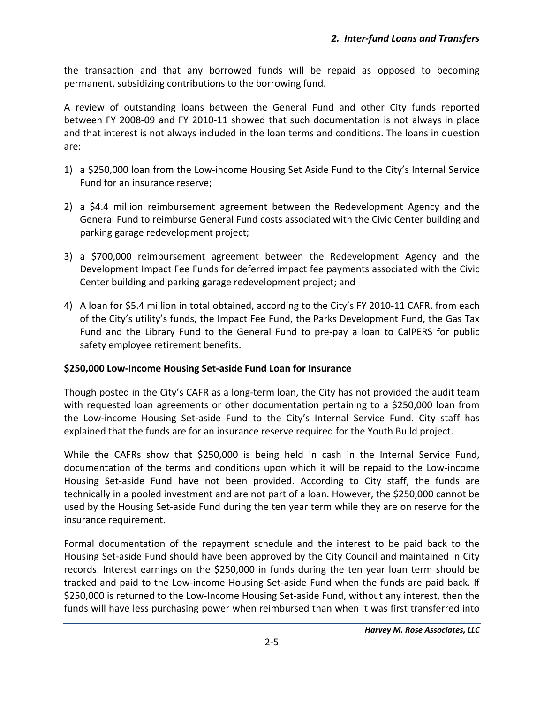the transaction and that any borrowed funds will be repaid as opposed to becoming permanent, subsidizing contributions to the borrowing fund.

A review of outstanding loans between the General Fund and other City funds reported between FY 2008‐09 and FY 2010‐11 showed that such documentation is not always in place and that interest is not always included in the loan terms and conditions. The loans in question are:

- 1) a \$250,000 loan from the Low‐income Housing Set Aside Fund to the City's Internal Service Fund for an insurance reserve;
- 2) a \$4.4 million reimbursement agreement between the Redevelopment Agency and the General Fund to reimburse General Fund costs associated with the Civic Center building and parking garage redevelopment project;
- 3) a \$700,000 reimbursement agreement between the Redevelopment Agency and the Development Impact Fee Funds for deferred impact fee payments associated with the Civic Center building and parking garage redevelopment project; and
- 4) A loan for \$5.4 million in total obtained, according to the City's FY 2010-11 CAFR, from each of the City's utility's funds, the Impact Fee Fund, the Parks Development Fund, the Gas Tax Fund and the Library Fund to the General Fund to pre‐pay a loan to CalPERS for public safety employee retirement benefits.

#### **\$250,000 Low‐Income Housing Set‐aside Fund Loan for Insurance**

Though posted in the City's CAFR as a long-term loan, the City has not provided the audit team with requested loan agreements or other documentation pertaining to a \$250,000 loan from the Low-income Housing Set-aside Fund to the City's Internal Service Fund. City staff has explained that the funds are for an insurance reserve required for the Youth Build project.

While the CAFRs show that \$250,000 is being held in cash in the Internal Service Fund, documentation of the terms and conditions upon which it will be repaid to the Low‐income Housing Set‐aside Fund have not been provided. According to City staff, the funds are technically in a pooled investment and are not part of a loan. However, the \$250,000 cannot be used by the Housing Set‐aside Fund during the ten year term while they are on reserve for the insurance requirement.

Formal documentation of the repayment schedule and the interest to be paid back to the Housing Set‐aside Fund should have been approved by the City Council and maintained in City records. Interest earnings on the \$250,000 in funds during the ten year loan term should be tracked and paid to the Low‐income Housing Set‐aside Fund when the funds are paid back. If \$250,000 is returned to the Low-Income Housing Set-aside Fund, without any interest, then the funds will have less purchasing power when reimbursed than when it was first transferred into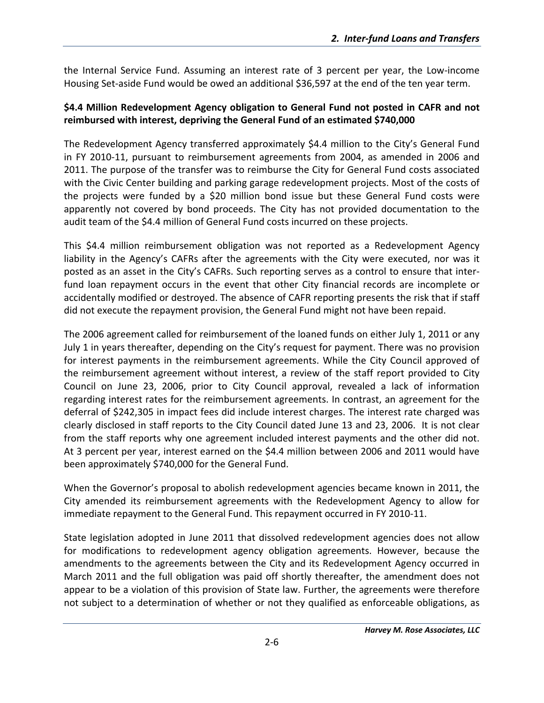the Internal Service Fund. Assuming an interest rate of 3 percent per year, the Low‐income Housing Set‐aside Fund would be owed an additional \$36,597 at the end of the ten year term.

#### **\$4.4 Million Redevelopment Agency obligation to General Fund not posted in CAFR and not reimbursed with interest, depriving the General Fund of an estimated \$740,000**

The Redevelopment Agency transferred approximately \$4.4 million to the City's General Fund in FY 2010‐11, pursuant to reimbursement agreements from 2004, as amended in 2006 and 2011. The purpose of the transfer was to reimburse the City for General Fund costs associated with the Civic Center building and parking garage redevelopment projects. Most of the costs of the projects were funded by a \$20 million bond issue but these General Fund costs were apparently not covered by bond proceeds. The City has not provided documentation to the audit team of the \$4.4 million of General Fund costs incurred on these projects.

This \$4.4 million reimbursement obligation was not reported as a Redevelopment Agency liability in the Agency's CAFRs after the agreements with the City were executed, nor was it posted as an asset in the City's CAFRs. Such reporting serves as a control to ensure that inter‐ fund loan repayment occurs in the event that other City financial records are incomplete or accidentally modified or destroyed. The absence of CAFR reporting presents the risk that if staff did not execute the repayment provision, the General Fund might not have been repaid.

The 2006 agreement called for reimbursement of the loaned funds on either July 1, 2011 or any July 1 in years thereafter, depending on the City's request for payment. There was no provision for interest payments in the reimbursement agreements. While the City Council approved of the reimbursement agreement without interest, a review of the staff report provided to City Council on June 23, 2006, prior to City Council approval, revealed a lack of information regarding interest rates for the reimbursement agreements. In contrast, an agreement for the deferral of \$242,305 in impact fees did include interest charges. The interest rate charged was clearly disclosed in staff reports to the City Council dated June 13 and 23, 2006. It is not clear from the staff reports why one agreement included interest payments and the other did not. At 3 percent per year, interest earned on the \$4.4 million between 2006 and 2011 would have been approximately \$740,000 for the General Fund.

When the Governor's proposal to abolish redevelopment agencies became known in 2011, the City amended its reimbursement agreements with the Redevelopment Agency to allow for immediate repayment to the General Fund. This repayment occurred in FY 2010‐11.

State legislation adopted in June 2011 that dissolved redevelopment agencies does not allow for modifications to redevelopment agency obligation agreements. However, because the amendments to the agreements between the City and its Redevelopment Agency occurred in March 2011 and the full obligation was paid off shortly thereafter, the amendment does not appear to be a violation of this provision of State law. Further, the agreements were therefore not subject to a determination of whether or not they qualified as enforceable obligations, as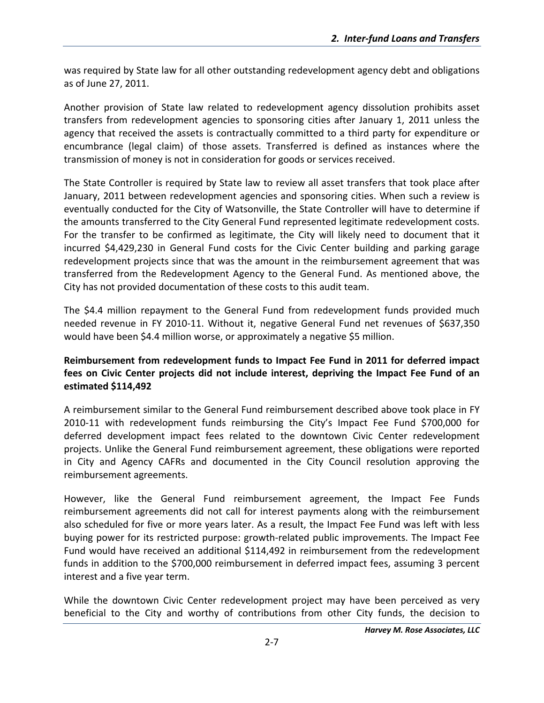was required by State law for all other outstanding redevelopment agency debt and obligations as of June 27, 2011.

Another provision of State law related to redevelopment agency dissolution prohibits asset transfers from redevelopment agencies to sponsoring cities after January 1, 2011 unless the agency that received the assets is contractually committed to a third party for expenditure or encumbrance (legal claim) of those assets. Transferred is defined as instances where the transmission of money is not in consideration for goods or services received.

The State Controller is required by State law to review all asset transfers that took place after January, 2011 between redevelopment agencies and sponsoring cities. When such a review is eventually conducted for the City of Watsonville, the State Controller will have to determine if the amounts transferred to the City General Fund represented legitimate redevelopment costs. For the transfer to be confirmed as legitimate, the City will likely need to document that it incurred \$4,429,230 in General Fund costs for the Civic Center building and parking garage redevelopment projects since that was the amount in the reimbursement agreement that was transferred from the Redevelopment Agency to the General Fund. As mentioned above, the City has not provided documentation of these costs to this audit team.

The \$4.4 million repayment to the General Fund from redevelopment funds provided much needed revenue in FY 2010‐11. Without it, negative General Fund net revenues of \$637,350 would have been \$4.4 million worse, or approximately a negative \$5 million.

#### **Reimbursement from redevelopment funds to Impact Fee Fund in 2011 for deferred impact fees on Civic Center projects did not include interest, depriving the Impact Fee Fund of an estimated \$114,492**

A reimbursement similar to the General Fund reimbursement described above took place in FY 2010‐11 with redevelopment funds reimbursing the City's Impact Fee Fund \$700,000 for deferred development impact fees related to the downtown Civic Center redevelopment projects. Unlike the General Fund reimbursement agreement, these obligations were reported in City and Agency CAFRs and documented in the City Council resolution approving the reimbursement agreements.

However, like the General Fund reimbursement agreement, the Impact Fee Funds reimbursement agreements did not call for interest payments along with the reimbursement also scheduled for five or more years later. As a result, the Impact Fee Fund was left with less buying power for its restricted purpose: growth‐related public improvements. The Impact Fee Fund would have received an additional \$114,492 in reimbursement from the redevelopment funds in addition to the \$700,000 reimbursement in deferred impact fees, assuming 3 percent interest and a five year term.

While the downtown Civic Center redevelopment project may have been perceived as very beneficial to the City and worthy of contributions from other City funds, the decision to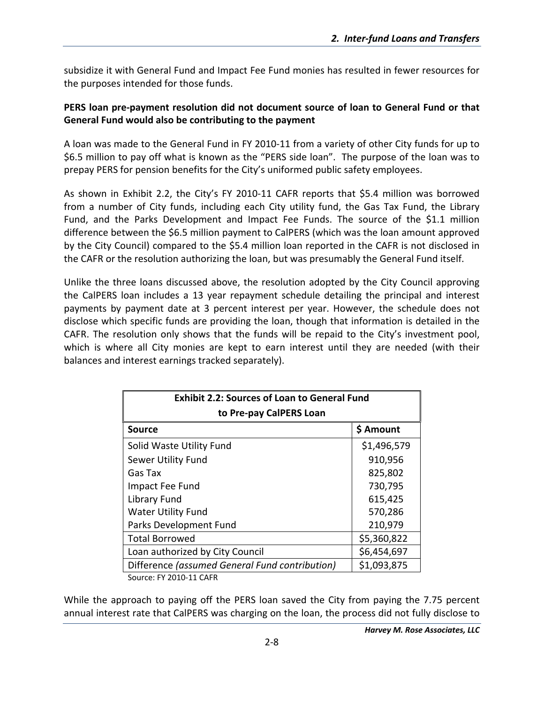subsidize it with General Fund and Impact Fee Fund monies has resulted in fewer resources for the purposes intended for those funds.

#### **PERS loan pre‐payment resolution did not document source of loan to General Fund or that General Fund would also be contributing to the payment**

A loan was made to the General Fund in FY 2010‐11 from a variety of other City funds for up to \$6.5 million to pay off what is known as the "PERS side loan". The purpose of the loan was to prepay PERS for pension benefits for the City's uniformed public safety employees.

As shown in Exhibit 2.2, the City's FY 2010‐11 CAFR reports that \$5.4 million was borrowed from a number of City funds, including each City utility fund, the Gas Tax Fund, the Library Fund, and the Parks Development and Impact Fee Funds. The source of the \$1.1 million difference between the \$6.5 million payment to CalPERS (which was the loan amount approved by the City Council) compared to the \$5.4 million loan reported in the CAFR is not disclosed in the CAFR or the resolution authorizing the loan, but was presumably the General Fund itself.

Unlike the three loans discussed above, the resolution adopted by the City Council approving the CalPERS loan includes a 13 year repayment schedule detailing the principal and interest payments by payment date at 3 percent interest per year. However, the schedule does not disclose which specific funds are providing the loan, though that information is detailed in the CAFR. The resolution only shows that the funds will be repaid to the City's investment pool, which is where all City monies are kept to earn interest until they are needed (with their balances and interest earnings tracked separately).

| <b>Exhibit 2.2: Sources of Loan to General Fund</b> |             |  |  |  |  |  |  |
|-----------------------------------------------------|-------------|--|--|--|--|--|--|
| to Pre-pay CalPERS Loan                             |             |  |  |  |  |  |  |
| <b>Source</b>                                       | \$ Amount   |  |  |  |  |  |  |
| Solid Waste Utility Fund                            | \$1,496,579 |  |  |  |  |  |  |
| Sewer Utility Fund                                  | 910,956     |  |  |  |  |  |  |
| Gas Tax                                             | 825,802     |  |  |  |  |  |  |
| Impact Fee Fund                                     | 730,795     |  |  |  |  |  |  |
| Library Fund                                        | 615,425     |  |  |  |  |  |  |
| <b>Water Utility Fund</b>                           | 570,286     |  |  |  |  |  |  |
| Parks Development Fund                              | 210,979     |  |  |  |  |  |  |
| <b>Total Borrowed</b>                               | \$5,360,822 |  |  |  |  |  |  |
| Loan authorized by City Council                     | \$6,454,697 |  |  |  |  |  |  |
| Difference (assumed General Fund contribution)      | \$1,093,875 |  |  |  |  |  |  |
| Source: FY 2010-11 CAFR                             |             |  |  |  |  |  |  |

While the approach to paying off the PERS loan saved the City from paying the 7.75 percent annual interest rate that CalPERS was charging on the loan, the process did not fully disclose to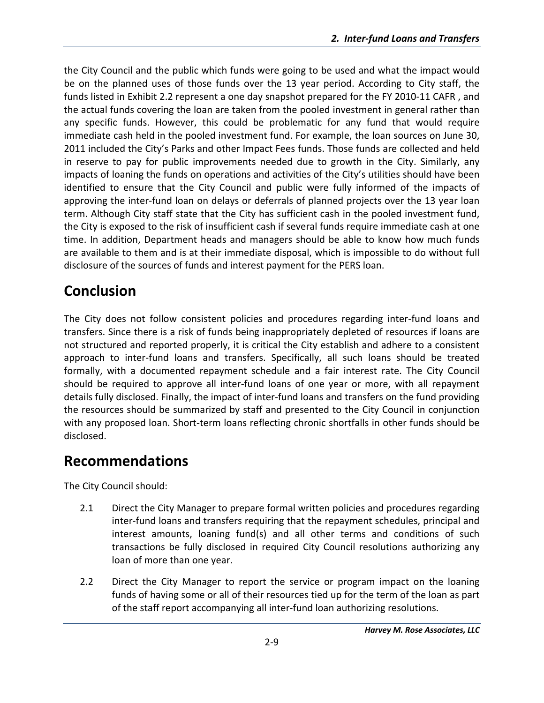the City Council and the public which funds were going to be used and what the impact would be on the planned uses of those funds over the 13 year period. According to City staff, the funds listed in Exhibit 2.2 represent a one day snapshot prepared for the FY 2010‐11 CAFR , and the actual funds covering the loan are taken from the pooled investment in general rather than any specific funds. However, this could be problematic for any fund that would require immediate cash held in the pooled investment fund. For example, the loan sources on June 30, 2011 included the City's Parks and other Impact Fees funds. Those funds are collected and held in reserve to pay for public improvements needed due to growth in the City. Similarly, any impacts of loaning the funds on operations and activities of the City's utilities should have been identified to ensure that the City Council and public were fully informed of the impacts of approving the inter-fund loan on delays or deferrals of planned projects over the 13 year loan term. Although City staff state that the City has sufficient cash in the pooled investment fund, the City is exposed to the risk of insufficient cash if several funds require immediate cash at one time. In addition, Department heads and managers should be able to know how much funds are available to them and is at their immediate disposal, which is impossible to do without full disclosure of the sources of funds and interest payment for the PERS loan.

## **Conclusion**

The City does not follow consistent policies and procedures regarding inter‐fund loans and transfers. Since there is a risk of funds being inappropriately depleted of resources if loans are not structured and reported properly, it is critical the City establish and adhere to a consistent approach to inter‐fund loans and transfers. Specifically, all such loans should be treated formally, with a documented repayment schedule and a fair interest rate. The City Council should be required to approve all inter‐fund loans of one year or more, with all repayment details fully disclosed. Finally, the impact of inter‐fund loans and transfers on the fund providing the resources should be summarized by staff and presented to the City Council in conjunction with any proposed loan. Short-term loans reflecting chronic shortfalls in other funds should be disclosed.

## **Recommendations**

The City Council should:

- 2.1 Direct the City Manager to prepare formal written policies and procedures regarding inter‐fund loans and transfers requiring that the repayment schedules, principal and interest amounts, loaning fund(s) and all other terms and conditions of such transactions be fully disclosed in required City Council resolutions authorizing any loan of more than one year.
- 2.2 Direct the City Manager to report the service or program impact on the loaning funds of having some or all of their resources tied up for the term of the loan as part of the staff report accompanying all inter‐fund loan authorizing resolutions.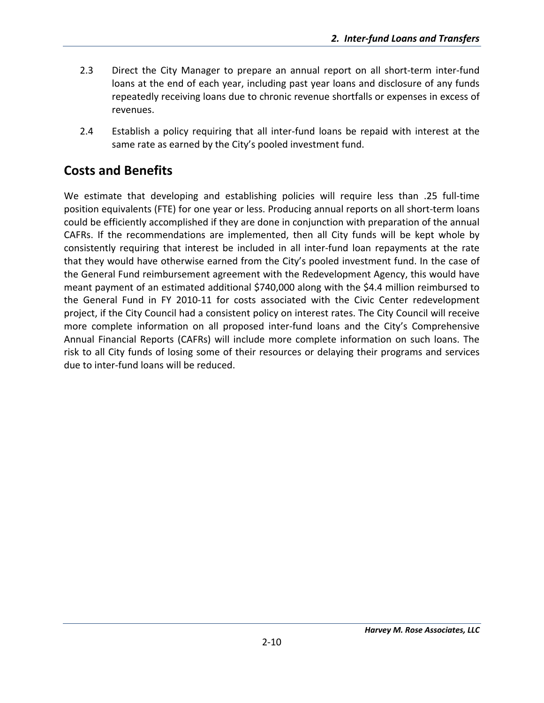- 2.3 Direct the City Manager to prepare an annual report on all short-term inter-fund loans at the end of each year, including past year loans and disclosure of any funds repeatedly receiving loans due to chronic revenue shortfalls or expenses in excess of revenues.
- 2.4 Establish a policy requiring that all inter-fund loans be repaid with interest at the same rate as earned by the City's pooled investment fund.

## **Costs and Benefits**

We estimate that developing and establishing policies will require less than .25 full‐time position equivalents (FTE) for one year or less. Producing annual reports on all short‐term loans could be efficiently accomplished if they are done in conjunction with preparation of the annual CAFRs. If the recommendations are implemented, then all City funds will be kept whole by consistently requiring that interest be included in all inter-fund loan repayments at the rate that they would have otherwise earned from the City's pooled investment fund. In the case of the General Fund reimbursement agreement with the Redevelopment Agency, this would have meant payment of an estimated additional \$740,000 along with the \$4.4 million reimbursed to the General Fund in FY 2010‐11 for costs associated with the Civic Center redevelopment project, if the City Council had a consistent policy on interest rates. The City Council will receive more complete information on all proposed inter-fund loans and the City's Comprehensive Annual Financial Reports (CAFRs) will include more complete information on such loans. The risk to all City funds of losing some of their resources or delaying their programs and services due to inter‐fund loans will be reduced.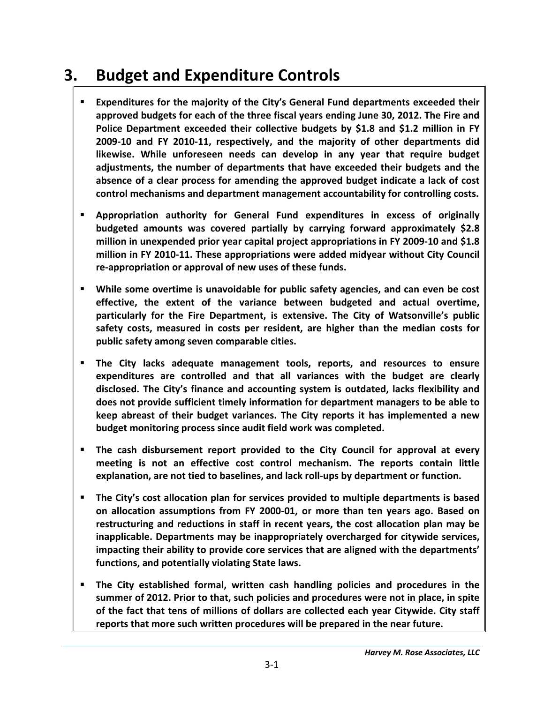# **3. Budget and Expenditure Controls**

- **Expenditures for the majority of the City's General Fund departments exceeded their approved budgets for each of the three fiscal years ending June 30, 2012. The Fire and Police Department exceeded their collective budgets by \$1.8 and \$1.2 million in FY 2009‐10 and FY 2010‐11, respectively, and the majority of other departments did likewise. While unforeseen needs can develop in any year that require budget adjustments, the number of departments that have exceeded their budgets and the absence of a clear process for amending the approved budget indicate a lack of cost control mechanisms and department management accountability for controlling costs.**
- **Appropriation authority for General Fund expenditures in excess of originally budgeted amounts was covered partially by carrying forward approximately \$2.8 million in unexpended prior year capital project appropriations in FY 2009‐10 and \$1.8 million in FY 2010‐11. These appropriations were added midyear without City Council re‐appropriation or approval of new uses of these funds.**
- **While some overtime is unavoidable for public safety agencies, and can even be cost effective, the extent of the variance between budgeted and actual overtime, particularly for the Fire Department, is extensive. The City of Watsonville's public safety costs, measured in costs per resident, are higher than the median costs for public safety among seven comparable cities.**
- **The City lacks adequate management tools, reports, and resources to ensure expenditures are controlled and that all variances with the budget are clearly disclosed. The City's finance and accounting system is outdated, lacks flexibility and does not provide sufficient timely information for department managers to be able to keep abreast of their budget variances. The City reports it has implemented a new budget monitoring process since audit field work was completed.**
- **The cash disbursement report provided to the City Council for approval at every meeting is not an effective cost control mechanism. The reports contain little explanation, are not tied to baselines, and lack roll‐ups by department or function.**
- **The City's cost allocation plan for services provided to multiple departments is based on allocation assumptions from FY 2000‐01, or more than ten years ago. Based on restructuring and reductions in staff in recent years, the cost allocation plan may be inapplicable. Departments may be inappropriately overcharged for citywide services, impacting their ability to provide core services that are aligned with the departments' functions, and potentially violating State laws.**
- **The City established formal, written cash handling policies and procedures in the summer of 2012. Prior to that, such policies and procedures were not in place, in spite of the fact that tens of millions of dollars are collected each year Citywide. City staff reports that more such written procedures will be prepared in the near future.**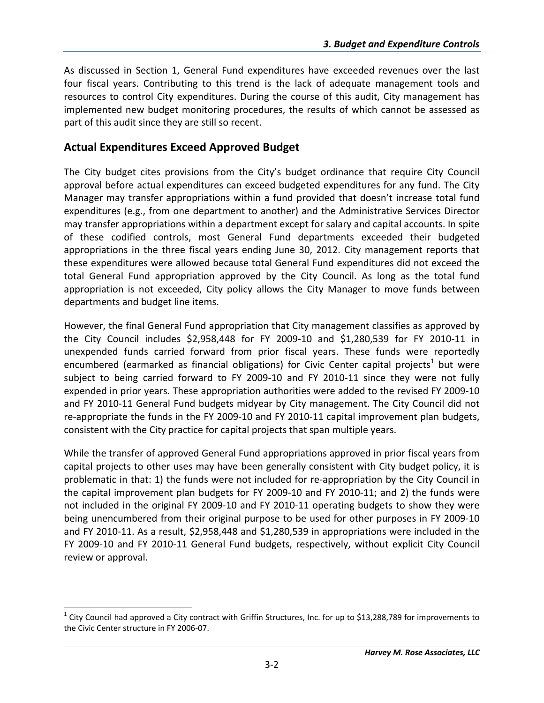As discussed in Section 1, General Fund expenditures have exceeded revenues over the last four fiscal years. Contributing to this trend is the lack of adequate management tools and resources to control City expenditures. During the course of this audit, City management has implemented new budget monitoring procedures, the results of which cannot be assessed as part of this audit since they are still so recent.

### **Actual Expenditures Exceed Approved Budget**

 $\overline{a}$ 

The City budget cites provisions from the City's budget ordinance that require City Council approval before actual expenditures can exceed budgeted expenditures for any fund. The City Manager may transfer appropriations within a fund provided that doesn't increase total fund expenditures (e.g., from one department to another) and the Administrative Services Director may transfer appropriations within a department except for salary and capital accounts. In spite of these codified controls, most General Fund departments exceeded their budgeted appropriations in the three fiscal years ending June 30, 2012. City management reports that these expenditures were allowed because total General Fund expenditures did not exceed the total General Fund appropriation approved by the City Council. As long as the total fund appropriation is not exceeded, City policy allows the City Manager to move funds between departments and budget line items.

However, the final General Fund appropriation that City management classifies as approved by the City Council includes \$2,958,448 for FY 2009‐10 and \$1,280,539 for FY 2010‐11 in unexpended funds carried forward from prior fiscal years. These funds were reportedly encumbered (earmarked as financial obligations) for Civic Center capital projects<sup>1</sup> but were subject to being carried forward to FY 2009-10 and FY 2010-11 since they were not fully expended in prior years. These appropriation authorities were added to the revised FY 2009‐10 and FY 2010‐11 General Fund budgets midyear by City management. The City Council did not re-appropriate the funds in the FY 2009-10 and FY 2010-11 capital improvement plan budgets, consistent with the City practice for capital projects that span multiple years.

While the transfer of approved General Fund appropriations approved in prior fiscal years from capital projects to other uses may have been generally consistent with City budget policy, it is problematic in that: 1) the funds were not included for re‐appropriation by the City Council in the capital improvement plan budgets for FY 2009‐10 and FY 2010‐11; and 2) the funds were not included in the original FY 2009‐10 and FY 2010‐11 operating budgets to show they were being unencumbered from their original purpose to be used for other purposes in FY 2009‐10 and FY 2010‐11. As a result, \$2,958,448 and \$1,280,539 in appropriations were included in the FY 2009‐10 and FY 2010‐11 General Fund budgets, respectively, without explicit City Council review or approval.

 $1$  City Council had approved a City contract with Griffin Structures, Inc. for up to \$13,288,789 for improvements to the Civic Center structure in FY 2006‐07.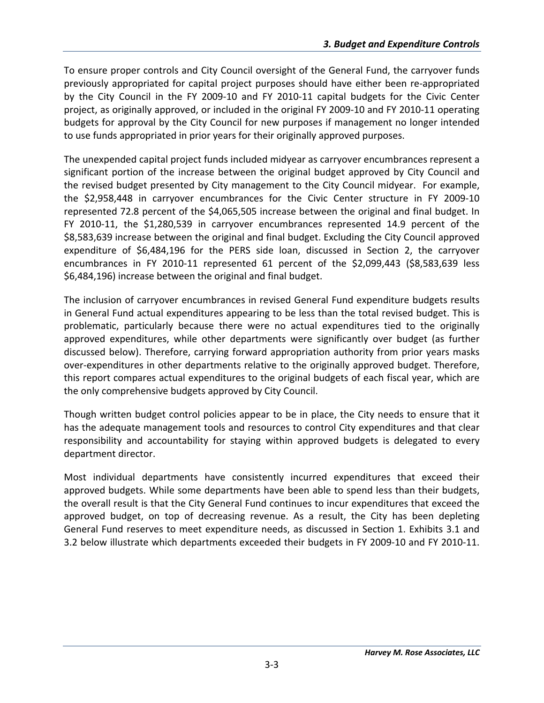To ensure proper controls and City Council oversight of the General Fund, the carryover funds previously appropriated for capital project purposes should have either been re‐appropriated by the City Council in the FY 2009‐10 and FY 2010‐11 capital budgets for the Civic Center project, as originally approved, or included in the original FY 2009‐10 and FY 2010‐11 operating budgets for approval by the City Council for new purposes if management no longer intended to use funds appropriated in prior years for their originally approved purposes.

The unexpended capital project funds included midyear as carryover encumbrances represent a significant portion of the increase between the original budget approved by City Council and the revised budget presented by City management to the City Council midyear. For example, the \$2,958,448 in carryover encumbrances for the Civic Center structure in FY 2009‐10 represented 72.8 percent of the \$4,065,505 increase between the original and final budget. In FY 2010‐11, the \$1,280,539 in carryover encumbrances represented 14.9 percent of the \$8,583,639 increase between the original and final budget. Excluding the City Council approved expenditure of \$6,484,196 for the PERS side loan, discussed in Section 2, the carryover encumbrances in FY 2010‐11 represented 61 percent of the \$2,099,443 (\$8,583,639 less \$6,484,196) increase between the original and final budget.

The inclusion of carryover encumbrances in revised General Fund expenditure budgets results in General Fund actual expenditures appearing to be less than the total revised budget. This is problematic, particularly because there were no actual expenditures tied to the originally approved expenditures, while other departments were significantly over budget (as further discussed below). Therefore, carrying forward appropriation authority from prior years masks over‐expenditures in other departments relative to the originally approved budget. Therefore, this report compares actual expenditures to the original budgets of each fiscal year, which are the only comprehensive budgets approved by City Council.

Though written budget control policies appear to be in place, the City needs to ensure that it has the adequate management tools and resources to control City expenditures and that clear responsibility and accountability for staying within approved budgets is delegated to every department director.

Most individual departments have consistently incurred expenditures that exceed their approved budgets. While some departments have been able to spend less than their budgets, the overall result is that the City General Fund continues to incur expenditures that exceed the approved budget, on top of decreasing revenue. As a result, the City has been depleting General Fund reserves to meet expenditure needs, as discussed in Section 1. Exhibits 3.1 and 3.2 below illustrate which departments exceeded their budgets in FY 2009‐10 and FY 2010‐11.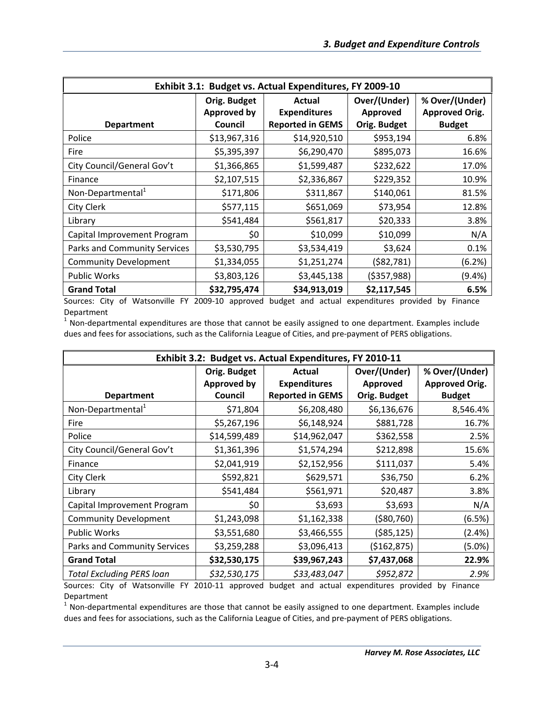| Exhibit 3.1: Budget vs. Actual Expenditures, FY 2009-10 |                                               |                                                          |                                          |                                                          |  |  |
|---------------------------------------------------------|-----------------------------------------------|----------------------------------------------------------|------------------------------------------|----------------------------------------------------------|--|--|
| <b>Department</b>                                       | Orig. Budget<br><b>Approved by</b><br>Council | Actual<br><b>Expenditures</b><br><b>Reported in GEMS</b> | Over/(Under)<br>Approved<br>Orig. Budget | % Over/(Under)<br><b>Approved Orig.</b><br><b>Budget</b> |  |  |
| Police                                                  | \$13,967,316                                  | \$14,920,510                                             | \$953,194                                | 6.8%                                                     |  |  |
| Fire                                                    | \$5,395,397                                   | \$6,290,470                                              | \$895,073                                | 16.6%                                                    |  |  |
| City Council/General Gov't                              | \$1,366,865                                   | \$1,599,487                                              | \$232,622                                | 17.0%                                                    |  |  |
| Finance                                                 | \$2,107,515                                   | \$2,336,867                                              | \$229,352                                | 10.9%                                                    |  |  |
| Non-Departmental <sup>1</sup>                           | \$171,806                                     | \$311,867                                                | \$140,061                                | 81.5%                                                    |  |  |
| City Clerk                                              | \$577,115                                     | \$651,069                                                | \$73,954                                 | 12.8%                                                    |  |  |
| Library                                                 | \$541,484                                     | \$561,817                                                | \$20,333                                 | 3.8%                                                     |  |  |
| Capital Improvement Program                             | \$0                                           | \$10,099                                                 | \$10,099                                 | N/A                                                      |  |  |
| Parks and Community Services                            | \$3,530,795                                   | \$3,534,419                                              | \$3,624                                  | 0.1%                                                     |  |  |
| <b>Community Development</b>                            | \$1,334,055                                   | \$1,251,274                                              | ( \$82, 781)                             | (6.2%)                                                   |  |  |
| <b>Public Works</b>                                     | \$3,803,126                                   | \$3,445,138                                              | ( \$357, 988)                            | (9.4%)                                                   |  |  |
| <b>Grand Total</b>                                      | \$32,795,474                                  | \$34,913,019                                             | \$2,117,545                              | 6.5%                                                     |  |  |

Sources: City of Watsonville FY 2009‐10 approved budget and actual expenditures provided by Finance Department

 $1$  Non-departmental expenditures are those that cannot be easily assigned to one department. Examples include dues and fees for associations, such as the California League of Cities, and pre‐payment of PERS obligations.

| Exhibit 3.2: Budget vs. Actual Expenditures, FY 2010-11 |                                                                                                           |              |                                          |                                                          |  |  |  |
|---------------------------------------------------------|-----------------------------------------------------------------------------------------------------------|--------------|------------------------------------------|----------------------------------------------------------|--|--|--|
| <b>Department</b>                                       | Orig. Budget<br>Actual<br><b>Approved by</b><br><b>Expenditures</b><br><b>Reported in GEMS</b><br>Council |              | Over/(Under)<br>Approved<br>Orig. Budget | % Over/(Under)<br><b>Approved Orig.</b><br><b>Budget</b> |  |  |  |
| Non-Departmental <sup>1</sup>                           | \$71,804                                                                                                  | \$6,208,480  | \$6,136,676                              | 8,546.4%                                                 |  |  |  |
| Fire                                                    | \$5,267,196                                                                                               | \$6,148,924  | \$881,728                                | 16.7%                                                    |  |  |  |
| Police                                                  | \$14,599,489                                                                                              | \$14,962,047 | \$362,558                                | 2.5%                                                     |  |  |  |
| City Council/General Gov't                              | \$1,361,396                                                                                               | \$1,574,294  | \$212,898                                | 15.6%                                                    |  |  |  |
| Finance                                                 | \$2,041,919                                                                                               | \$2,152,956  | \$111,037                                | 5.4%                                                     |  |  |  |
| City Clerk                                              | \$592,821                                                                                                 | \$629,571    | \$36,750                                 | 6.2%                                                     |  |  |  |
| Library                                                 | \$541,484                                                                                                 | \$561,971    | \$20,487                                 | 3.8%                                                     |  |  |  |
| Capital Improvement Program                             | \$0                                                                                                       | \$3,693      | \$3,693                                  | N/A                                                      |  |  |  |
| <b>Community Development</b>                            | \$1,243,098                                                                                               | \$1,162,338  | ( \$80, 760)                             | (6.5%)                                                   |  |  |  |
| <b>Public Works</b>                                     | \$3,551,680                                                                                               | \$3,466,555  | ( \$85, 125)                             | (2.4%)                                                   |  |  |  |
| Parks and Community Services                            | \$3,259,288                                                                                               | \$3,096,413  | (\$162,875)                              | (5.0%)                                                   |  |  |  |
| <b>Grand Total</b>                                      | \$32,530,175                                                                                              | \$39,967,243 | \$7,437,068                              | 22.9%                                                    |  |  |  |
| <b>Total Excluding PERS loan</b>                        | \$32,530,175                                                                                              | \$33,483,047 | \$952,872                                | 2.9%                                                     |  |  |  |

Sources: City of Watsonville FY 2010‐11 approved budget and actual expenditures provided by Finance Department

 $1$  Non-departmental expenditures are those that cannot be easily assigned to one department. Examples include dues and fees for associations, such as the California League of Cities, and pre‐payment of PERS obligations.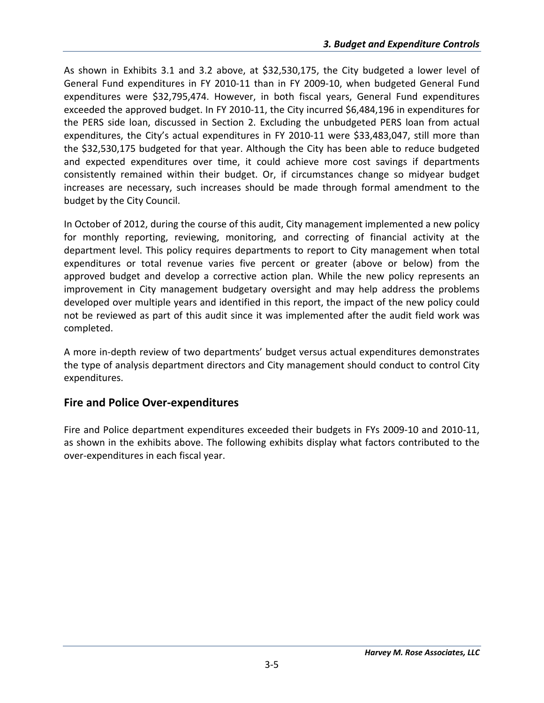As shown in Exhibits 3.1 and 3.2 above, at \$32,530,175, the City budgeted a lower level of General Fund expenditures in FY 2010‐11 than in FY 2009‐10, when budgeted General Fund expenditures were \$32,795,474. However, in both fiscal years, General Fund expenditures exceeded the approved budget. In FY 2010‐11, the City incurred \$6,484,196 in expenditures for the PERS side loan, discussed in Section 2. Excluding the unbudgeted PERS loan from actual expenditures, the City's actual expenditures in FY 2010-11 were \$33,483,047, still more than the \$32,530,175 budgeted for that year. Although the City has been able to reduce budgeted and expected expenditures over time, it could achieve more cost savings if departments consistently remained within their budget. Or, if circumstances change so midyear budget increases are necessary, such increases should be made through formal amendment to the budget by the City Council.

In October of 2012, during the course of this audit, City management implemented a new policy for monthly reporting, reviewing, monitoring, and correcting of financial activity at the department level. This policy requires departments to report to City management when total expenditures or total revenue varies five percent or greater (above or below) from the approved budget and develop a corrective action plan. While the new policy represents an improvement in City management budgetary oversight and may help address the problems developed over multiple years and identified in this report, the impact of the new policy could not be reviewed as part of this audit since it was implemented after the audit field work was completed.

A more in‐depth review of two departments' budget versus actual expenditures demonstrates the type of analysis department directors and City management should conduct to control City expenditures.

#### **Fire and Police Over‐expenditures**

Fire and Police department expenditures exceeded their budgets in FYs 2009‐10 and 2010‐11, as shown in the exhibits above. The following exhibits display what factors contributed to the over‐expenditures in each fiscal year.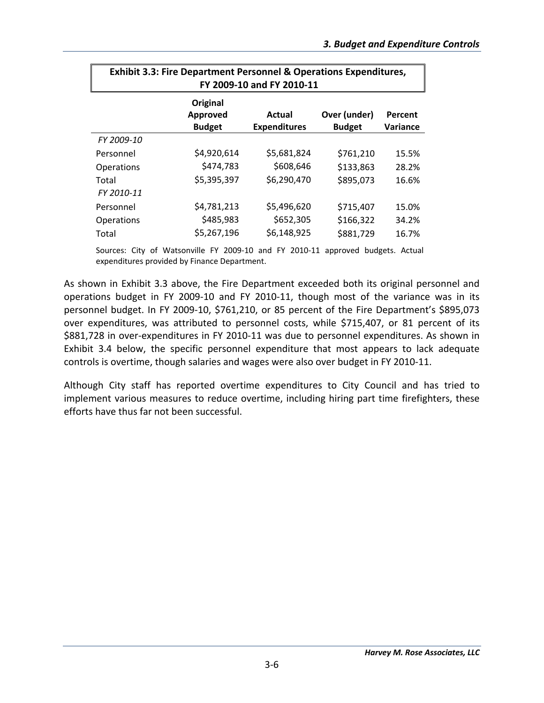| <b>Exhibit 3.3: Fire Department Personnel &amp; Operations Expenditures,</b><br>FY 2009-10 and FY 2010-11 |                                       |                               |                               |                     |  |  |
|-----------------------------------------------------------------------------------------------------------|---------------------------------------|-------------------------------|-------------------------------|---------------------|--|--|
|                                                                                                           | Original<br>Approved<br><b>Budget</b> | Actual<br><b>Expenditures</b> | Over (under)<br><b>Budget</b> | Percent<br>Variance |  |  |
| FY 2009-10                                                                                                |                                       |                               |                               |                     |  |  |
| Personnel                                                                                                 | \$4,920,614                           | \$5,681,824                   | \$761,210                     | 15.5%               |  |  |
| <b>Operations</b>                                                                                         | \$474,783                             | \$608,646                     | \$133,863                     | 28.2%               |  |  |
| Total<br>FY 2010-11                                                                                       | \$5,395,397                           | \$6,290,470                   | \$895,073                     | 16.6%               |  |  |
| Personnel                                                                                                 | \$4,781,213                           | \$5,496,620                   | \$715,407                     | 15.0%               |  |  |
| <b>Operations</b>                                                                                         | \$485,983                             | \$652,305                     | \$166,322                     | 34.2%               |  |  |
| Total                                                                                                     | \$5,267,196                           | \$6,148,925                   | \$881,729                     | 16.7%               |  |  |

Sources: City of Watsonville FY 2009-10 and FY 2010-11 approved budgets. Actual expenditures provided by Finance Department.

As shown in Exhibit 3.3 above, the Fire Department exceeded both its original personnel and operations budget in FY 2009‐10 and FY 2010‐11, though most of the variance was in its personnel budget. In FY 2009‐10, \$761,210, or 85 percent of the Fire Department's \$895,073 over expenditures, was attributed to personnel costs, while \$715,407, or 81 percent of its \$881,728 in over-expenditures in FY 2010-11 was due to personnel expenditures. As shown in Exhibit 3.4 below, the specific personnel expenditure that most appears to lack adequate controls is overtime, though salaries and wages were also over budget in FY 2010‐11.

Although City staff has reported overtime expenditures to City Council and has tried to implement various measures to reduce overtime, including hiring part time firefighters, these efforts have thus far not been successful.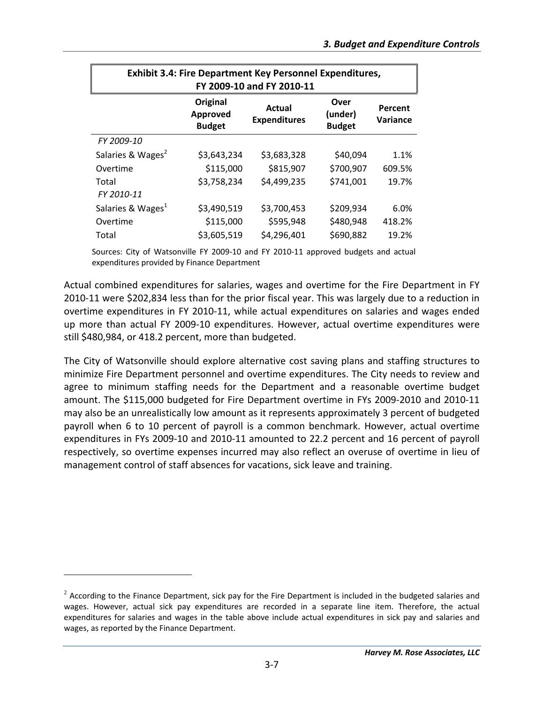| <b>Exhibit 3.4: Fire Department Key Personnel Expenditures,</b><br>FY 2009-10 and FY 2010-11 |                                              |                               |                                  |                     |  |
|----------------------------------------------------------------------------------------------|----------------------------------------------|-------------------------------|----------------------------------|---------------------|--|
|                                                                                              | <b>Original</b><br>Approved<br><b>Budget</b> | Actual<br><b>Expenditures</b> | Over<br>(under)<br><b>Budget</b> | Percent<br>Variance |  |
| FY 2009-10                                                                                   |                                              |                               |                                  |                     |  |
| Salaries & Wages <sup>2</sup>                                                                | \$3,643,234                                  | \$3,683,328                   | \$40,094                         | 1.1%                |  |
| Overtime                                                                                     | \$115,000                                    | \$815,907                     | \$700,907                        | 609.5%              |  |
| Total                                                                                        | \$3,758,234                                  | \$4,499,235                   | \$741,001                        | 19.7%               |  |
| FY 2010-11                                                                                   |                                              |                               |                                  |                     |  |
| Salaries & Wages <sup>1</sup>                                                                | \$3,490,519                                  | \$3,700,453                   | \$209,934                        | 6.0%                |  |
| Overtime                                                                                     | \$115,000                                    | \$595,948                     | \$480,948                        | 418.2%              |  |
| Total                                                                                        | \$3,605,519                                  | \$4,296,401                   | \$690,882                        | 19.2%               |  |

Sources: City of Watsonville FY 2009‐10 and FY 2010‐11 approved budgets and actual expenditures provided by Finance Department

Actual combined expenditures for salaries, wages and overtime for the Fire Department in FY 2010‐11 were \$202,834 less than for the prior fiscal year. This was largely due to a reduction in overtime expenditures in FY 2010‐11, while actual expenditures on salaries and wages ended up more than actual FY 2009‐10 expenditures. However, actual overtime expenditures were still \$480,984, or 418.2 percent, more than budgeted.

The City of Watsonville should explore alternative cost saving plans and staffing structures to minimize Fire Department personnel and overtime expenditures. The City needs to review and agree to minimum staffing needs for the Department and a reasonable overtime budget amount. The \$115,000 budgeted for Fire Department overtime in FYs 2009‐2010 and 2010‐11 may also be an unrealistically low amount as it represents approximately 3 percent of budgeted payroll when 6 to 10 percent of payroll is a common benchmark. However, actual overtime expenditures in FYs 2009‐10 and 2010‐11 amounted to 22.2 percent and 16 percent of payroll respectively, so overtime expenses incurred may also reflect an overuse of overtime in lieu of management control of staff absences for vacations, sick leave and training.

 $\overline{a}$ 

 $2$  According to the Finance Department, sick pay for the Fire Department is included in the budgeted salaries and wages. However, actual sick pay expenditures are recorded in a separate line item. Therefore, the actual expenditures for salaries and wages in the table above include actual expenditures in sick pay and salaries and wages, as reported by the Finance Department.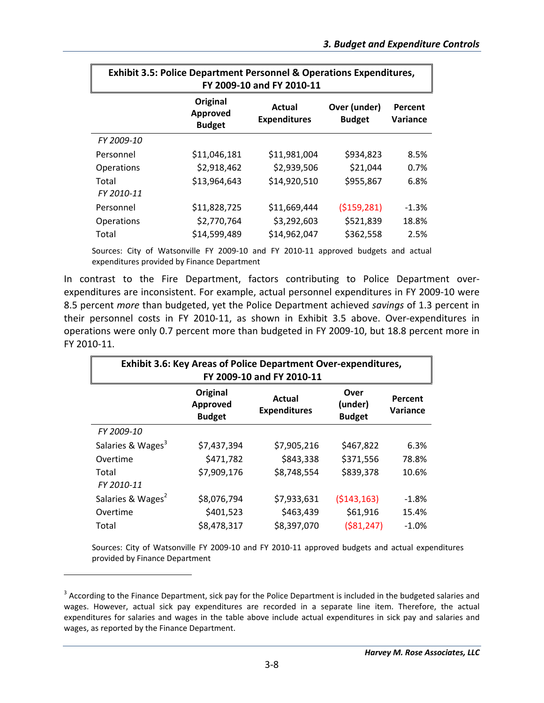| <b>Exhibit 3.5: Police Department Personnel &amp; Operations Expenditures,</b><br>FY 2009-10 and FY 2010-11 |                                       |                               |                               |                            |  |  |
|-------------------------------------------------------------------------------------------------------------|---------------------------------------|-------------------------------|-------------------------------|----------------------------|--|--|
|                                                                                                             | Original<br>Approved<br><b>Budget</b> | Actual<br><b>Expenditures</b> | Over (under)<br><b>Budget</b> | Percent<br><b>Variance</b> |  |  |
| FY 2009-10                                                                                                  |                                       |                               |                               |                            |  |  |
| Personnel                                                                                                   | \$11,046,181                          | \$11,981,004                  | \$934,823                     | 8.5%                       |  |  |
| <b>Operations</b>                                                                                           | \$2,918,462                           | \$2,939,506                   | \$21,044                      | 0.7%                       |  |  |
| Total<br>FY 2010-11                                                                                         | \$13,964,643                          | \$14,920,510                  | \$955,867                     | 6.8%                       |  |  |
| Personnel                                                                                                   | \$11,828,725                          | \$11,669,444                  | (5159, 281)                   | $-1.3%$                    |  |  |
| <b>Operations</b>                                                                                           | \$2,770,764                           | \$3,292,603                   | \$521,839                     | 18.8%                      |  |  |
| Total                                                                                                       | \$14,599,489                          | \$14,962,047                  | \$362,558                     | 2.5%                       |  |  |

Sources: City of Watsonville FY 2009‐10 and FY 2010‐11 approved budgets and actual expenditures provided by Finance Department

In contrast to the Fire Department, factors contributing to Police Department over‐ expenditures are inconsistent. For example, actual personnel expenditures in FY 2009‐10 were 8.5 percent *more* than budgeted, yet the Police Department achieved *savings* of 1.3 percent in their personnel costs in FY 2010‐11, as shown in Exhibit 3.5 above. Over‐expenditures in operations were only 0.7 percent more than budgeted in FY 2009‐10, but 18.8 percent more in FY 2010‐11.

| <b>Exhibit 3.6: Key Areas of Police Department Over-expenditures,</b><br>FY 2009-10 and FY 2010-11                                |             |             |              |         |  |  |  |
|-----------------------------------------------------------------------------------------------------------------------------------|-------------|-------------|--------------|---------|--|--|--|
| Original<br>Over<br>Actual<br>Percent<br>(under)<br>Approved<br><b>Expenditures</b><br>Variance<br><b>Budget</b><br><b>Budget</b> |             |             |              |         |  |  |  |
| FY 2009-10                                                                                                                        |             |             |              |         |  |  |  |
| Salaries & Wages <sup>3</sup>                                                                                                     | \$7,437,394 | \$7,905,216 | \$467,822    | 6.3%    |  |  |  |
| Overtime                                                                                                                          | \$471,782   | \$843,338   | \$371,556    | 78.8%   |  |  |  |
| Total<br>FY 2010-11                                                                                                               | \$7,909,176 | \$8,748,554 | \$839,378    | 10.6%   |  |  |  |
| Salaries & Wages <sup>2</sup>                                                                                                     | \$8,076,794 | \$7,933,631 | (5143, 163)  | $-1.8%$ |  |  |  |
| Overtime                                                                                                                          | \$401,523   | \$463,439   | \$61,916     | 15.4%   |  |  |  |
| Total                                                                                                                             | \$8,478,317 | \$8,397,070 | ( \$81, 247) | $-1.0%$ |  |  |  |

Sources: City of Watsonville FY 2009‐10 and FY 2010‐11 approved budgets and actual expenditures provided by Finance Department

 $\overline{a}$ 

 $3$  According to the Finance Department, sick pay for the Police Department is included in the budgeted salaries and wages. However, actual sick pay expenditures are recorded in a separate line item. Therefore, the actual expenditures for salaries and wages in the table above include actual expenditures in sick pay and salaries and wages, as reported by the Finance Department.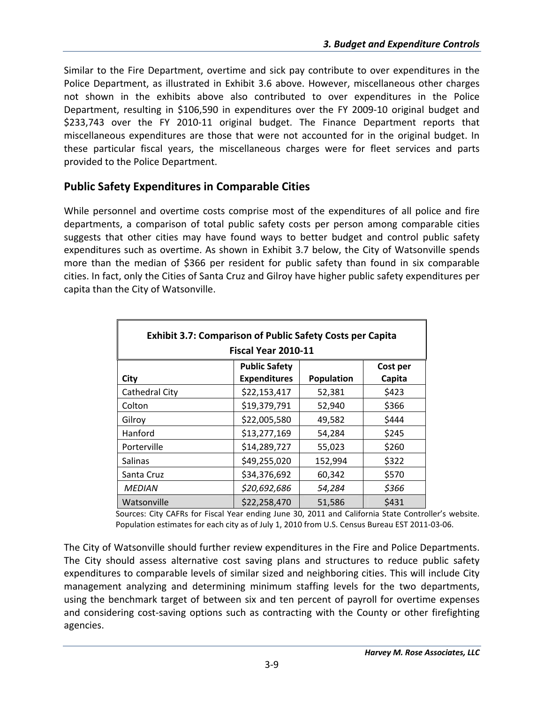Similar to the Fire Department, overtime and sick pay contribute to over expenditures in the Police Department, as illustrated in Exhibit 3.6 above. However, miscellaneous other charges not shown in the exhibits above also contributed to over expenditures in the Police Department, resulting in \$106,590 in expenditures over the FY 2009-10 original budget and \$233,743 over the FY 2010-11 original budget. The Finance Department reports that miscellaneous expenditures are those that were not accounted for in the original budget. In these particular fiscal years, the miscellaneous charges were for fleet services and parts provided to the Police Department.

### **Public Safety Expenditures in Comparable Cities**

While personnel and overtime costs comprise most of the expenditures of all police and fire departments, a comparison of total public safety costs per person among comparable cities suggests that other cities may have found ways to better budget and control public safety expenditures such as overtime. As shown in Exhibit 3.7 below, the City of Watsonville spends more than the median of \$366 per resident for public safety than found in six comparable cities. In fact, only the Cities of Santa Cruz and Gilroy have higher public safety expenditures per capita than the City of Watsonville.

| <b>Exhibit 3.7: Comparison of Public Safety Costs per Capita</b> |                      |                   |          |  |  |  |
|------------------------------------------------------------------|----------------------|-------------------|----------|--|--|--|
|                                                                  | Fiscal Year 2010-11  |                   |          |  |  |  |
|                                                                  | <b>Public Safety</b> |                   | Cost per |  |  |  |
| City                                                             | <b>Expenditures</b>  | <b>Population</b> | Capita   |  |  |  |
| Cathedral City                                                   | \$22,153,417         | 52,381            | \$423    |  |  |  |
| Colton                                                           | \$19,379,791         | 52,940            | \$366    |  |  |  |
| Gilroy                                                           | \$22,005,580         | 49,582            | \$444    |  |  |  |
| Hanford                                                          | \$13,277,169         | 54,284            | \$245    |  |  |  |
| Porterville                                                      | \$14,289,727         | 55,023            | \$260    |  |  |  |
| <b>Salinas</b>                                                   | \$49,255,020         | 152,994           | \$322    |  |  |  |
| Santa Cruz                                                       | \$34,376,692         | 60,342            | \$570    |  |  |  |
| <b>MEDIAN</b>                                                    | \$20,692,686         | 54,284            | \$366    |  |  |  |
| Watsonville                                                      | \$22,258,470         | 51,586            | \$431    |  |  |  |

Sources: City CAFRs for Fiscal Year ending June 30, 2011 and California State Controller's website. Population estimates for each city as of July 1, 2010 from U.S. Census Bureau EST 2011‐03‐06.

The City of Watsonville should further review expenditures in the Fire and Police Departments. The City should assess alternative cost saving plans and structures to reduce public safety expenditures to comparable levels of similar sized and neighboring cities. This will include City management analyzing and determining minimum staffing levels for the two departments, using the benchmark target of between six and ten percent of payroll for overtime expenses and considering cost-saving options such as contracting with the County or other firefighting agencies.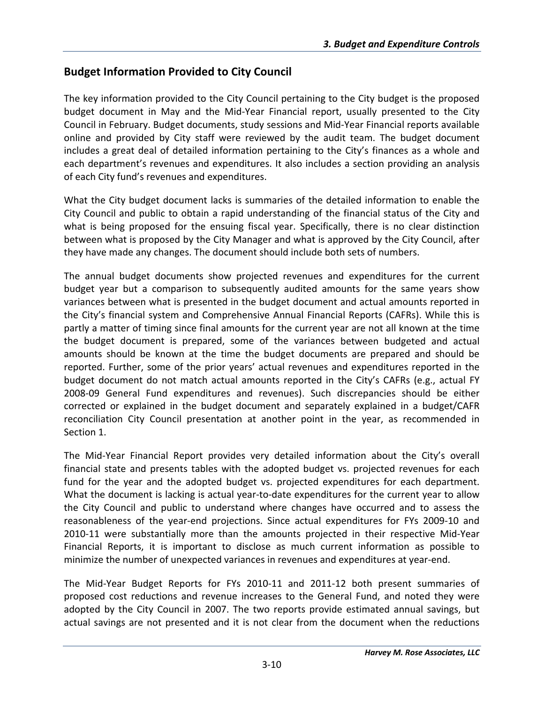### **Budget Information Provided to City Council**

The key information provided to the City Council pertaining to the City budget is the proposed budget document in May and the Mid‐Year Financial report, usually presented to the City Council in February. Budget documents, study sessions and Mid‐Year Financial reports available online and provided by City staff were reviewed by the audit team. The budget document includes a great deal of detailed information pertaining to the City's finances as a whole and each department's revenues and expenditures. It also includes a section providing an analysis of each City fund's revenues and expenditures.

What the City budget document lacks is summaries of the detailed information to enable the City Council and public to obtain a rapid understanding of the financial status of the City and what is being proposed for the ensuing fiscal year. Specifically, there is no clear distinction between what is proposed by the City Manager and what is approved by the City Council, after they have made any changes. The document should include both sets of numbers.

The annual budget documents show projected revenues and expenditures for the current budget year but a comparison to subsequently audited amounts for the same years show variances between what is presented in the budget document and actual amounts reported in the City's financial system and Comprehensive Annual Financial Reports (CAFRs). While this is partly a matter of timing since final amounts for the current year are not all known at the time the budget document is prepared, some of the variances between budgeted and actual amounts should be known at the time the budget documents are prepared and should be reported. Further, some of the prior years' actual revenues and expenditures reported in the budget document do not match actual amounts reported in the City's CAFRs (e.g., actual FY 2008‐09 General Fund expenditures and revenues). Such discrepancies should be either corrected or explained in the budget document and separately explained in a budget/CAFR reconciliation City Council presentation at another point in the year, as recommended in Section 1.

The Mid‐Year Financial Report provides very detailed information about the City's overall financial state and presents tables with the adopted budget vs. projected revenues for each fund for the year and the adopted budget vs. projected expenditures for each department. What the document is lacking is actual year-to-date expenditures for the current year to allow the City Council and public to understand where changes have occurred and to assess the reasonableness of the year‐end projections. Since actual expenditures for FYs 2009‐10 and 2010‐11 were substantially more than the amounts projected in their respective Mid‐Year Financial Reports, it is important to disclose as much current information as possible to minimize the number of unexpected variances in revenues and expenditures at year‐end.

The Mid‐Year Budget Reports for FYs 2010‐11 and 2011‐12 both present summaries of proposed cost reductions and revenue increases to the General Fund, and noted they were adopted by the City Council in 2007. The two reports provide estimated annual savings, but actual savings are not presented and it is not clear from the document when the reductions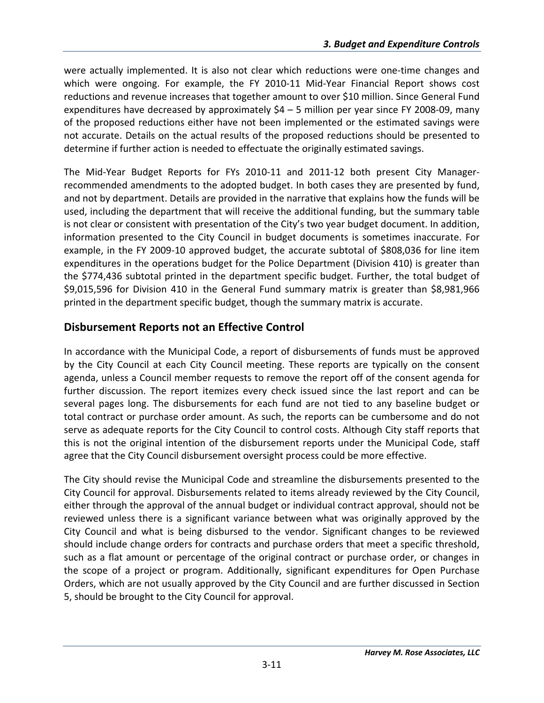were actually implemented. It is also not clear which reductions were one-time changes and which were ongoing. For example, the FY 2010-11 Mid-Year Financial Report shows cost reductions and revenue increases that together amount to over \$10 million. Since General Fund expenditures have decreased by approximately  $$4 - 5$  million per year since FY 2008-09, many of the proposed reductions either have not been implemented or the estimated savings were not accurate. Details on the actual results of the proposed reductions should be presented to determine if further action is needed to effectuate the originally estimated savings.

The Mid‐Year Budget Reports for FYs 2010‐11 and 2011‐12 both present City Manager‐ recommended amendments to the adopted budget. In both cases they are presented by fund, and not by department. Details are provided in the narrative that explains how the funds will be used, including the department that will receive the additional funding, but the summary table is not clear or consistent with presentation of the City's two year budget document. In addition, information presented to the City Council in budget documents is sometimes inaccurate. For example, in the FY 2009‐10 approved budget, the accurate subtotal of \$808,036 for line item expenditures in the operations budget for the Police Department (Division 410) is greater than the \$774,436 subtotal printed in the department specific budget. Further, the total budget of \$9,015,596 for Division 410 in the General Fund summary matrix is greater than \$8,981,966 printed in the department specific budget, though the summary matrix is accurate.

## **Disbursement Reports not an Effective Control**

In accordance with the Municipal Code, a report of disbursements of funds must be approved by the City Council at each City Council meeting. These reports are typically on the consent agenda, unless a Council member requests to remove the report off of the consent agenda for further discussion. The report itemizes every check issued since the last report and can be several pages long. The disbursements for each fund are not tied to any baseline budget or total contract or purchase order amount. As such, the reports can be cumbersome and do not serve as adequate reports for the City Council to control costs. Although City staff reports that this is not the original intention of the disbursement reports under the Municipal Code, staff agree that the City Council disbursement oversight process could be more effective.

The City should revise the Municipal Code and streamline the disbursements presented to the City Council for approval. Disbursements related to items already reviewed by the City Council, either through the approval of the annual budget or individual contract approval, should not be reviewed unless there is a significant variance between what was originally approved by the City Council and what is being disbursed to the vendor. Significant changes to be reviewed should include change orders for contracts and purchase orders that meet a specific threshold, such as a flat amount or percentage of the original contract or purchase order, or changes in the scope of a project or program. Additionally, significant expenditures for Open Purchase Orders, which are not usually approved by the City Council and are further discussed in Section 5, should be brought to the City Council for approval.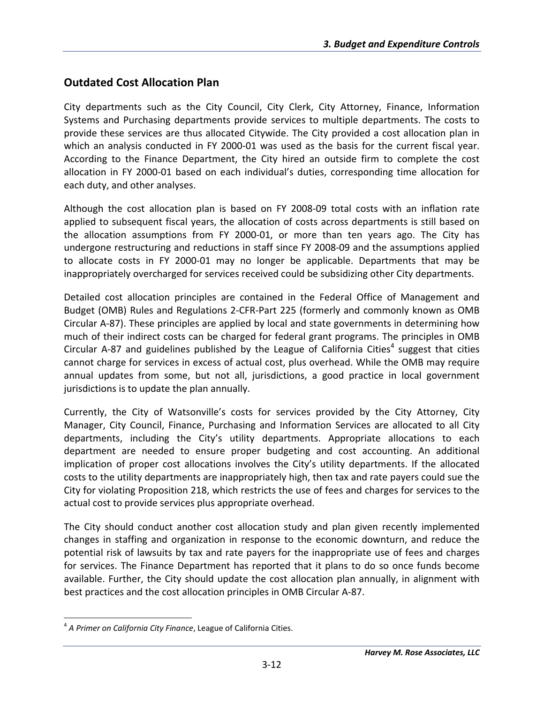### **Outdated Cost Allocation Plan**

City departments such as the City Council, City Clerk, City Attorney, Finance, Information Systems and Purchasing departments provide services to multiple departments. The costs to provide these services are thus allocated Citywide. The City provided a cost allocation plan in which an analysis conducted in FY 2000-01 was used as the basis for the current fiscal year. According to the Finance Department, the City hired an outside firm to complete the cost allocation in FY 2000‐01 based on each individual's duties, corresponding time allocation for each duty, and other analyses.

Although the cost allocation plan is based on FY 2008‐09 total costs with an inflation rate applied to subsequent fiscal years, the allocation of costs across departments is still based on the allocation assumptions from FY 2000‐01, or more than ten years ago. The City has undergone restructuring and reductions in staff since FY 2008‐09 and the assumptions applied to allocate costs in FY 2000‐01 may no longer be applicable. Departments that may be inappropriately overcharged for services received could be subsidizing other City departments.

Detailed cost allocation principles are contained in the Federal Office of Management and Budget (OMB) Rules and Regulations 2‐CFR‐Part 225 (formerly and commonly known as OMB Circular A‐87). These principles are applied by local and state governments in determining how much of their indirect costs can be charged for federal grant programs. The principles in OMB Circular A-87 and guidelines published by the League of California Cities<sup>4</sup> suggest that cities cannot charge for services in excess of actual cost, plus overhead. While the OMB may require annual updates from some, but not all, jurisdictions, a good practice in local government jurisdictions is to update the plan annually.

Currently, the City of Watsonville's costs for services provided by the City Attorney, City Manager, City Council, Finance, Purchasing and Information Services are allocated to all City departments, including the City's utility departments. Appropriate allocations to each department are needed to ensure proper budgeting and cost accounting. An additional implication of proper cost allocations involves the City's utility departments. If the allocated costs to the utility departments are inappropriately high, then tax and rate payers could sue the City for violating Proposition 218, which restricts the use of fees and charges for services to the actual cost to provide services plus appropriate overhead.

The City should conduct another cost allocation study and plan given recently implemented changes in staffing and organization in response to the economic downturn, and reduce the potential risk of lawsuits by tax and rate payers for the inappropriate use of fees and charges for services. The Finance Department has reported that it plans to do so once funds become available. Further, the City should update the cost allocation plan annually, in alignment with best practices and the cost allocation principles in OMB Circular A‐87.

 $\overline{a}$ <sup>4</sup> *A Primer on California City Finance*, League of California Cities.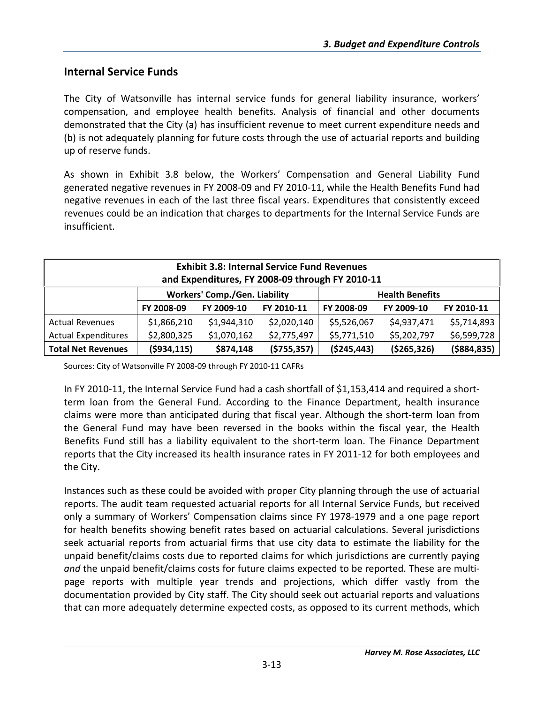#### **Internal Service Funds**

The City of Watsonville has internal service funds for general liability insurance, workers' compensation, and employee health benefits. Analysis of financial and other documents demonstrated that the City (a) has insufficient revenue to meet current expenditure needs and (b) is not adequately planning for future costs through the use of actuarial reports and building up of reserve funds.

As shown in Exhibit 3.8 below, the Workers' Compensation and General Liability Fund generated negative revenues in FY 2008‐09 and FY 2010‐11, while the Health Benefits Fund had negative revenues in each of the last three fiscal years. Expenditures that consistently exceed revenues could be an indication that charges to departments for the Internal Service Funds are insufficient.

| <b>Exhibit 3.8: Internal Service Fund Revenues</b> |               |                                      |               |                        |               |               |
|----------------------------------------------------|---------------|--------------------------------------|---------------|------------------------|---------------|---------------|
| and Expenditures, FY 2008-09 through FY 2010-11    |               |                                      |               |                        |               |               |
|                                                    |               | <b>Workers' Comp./Gen. Liability</b> |               | <b>Health Benefits</b> |               |               |
|                                                    | FY 2008-09    | FY 2009-10                           | FY 2010-11    | FY 2008-09             | FY 2009-10    | FY 2010-11    |
| <b>Actual Revenues</b>                             | \$1,866,210   | \$1,944,310                          | \$2,020,140   | \$5,526,067            | \$4,937,471   | \$5,714,893   |
| <b>Actual Expenditures</b>                         | \$2,800,325   | \$1,070,162                          | \$2,775,497   | \$5,771,510            | \$5,202,797   | \$6,599,728   |
| <b>Total Net Revenues</b>                          | ( \$934, 115) | \$874,148                            | ( \$755, 357) | ( \$245, 443)          | ( \$265, 326) | ( \$884, 835) |

Sources: City of Watsonville FY 2008‐09 through FY 2010‐11 CAFRs

In FY 2010‐11, the Internal Service Fund had a cash shortfall of \$1,153,414 and required a short‐ term loan from the General Fund. According to the Finance Department, health insurance claims were more than anticipated during that fiscal year. Although the short‐term loan from the General Fund may have been reversed in the books within the fiscal year, the Health Benefits Fund still has a liability equivalent to the short-term loan. The Finance Department reports that the City increased its health insurance rates in FY 2011‐12 for both employees and the City.

Instances such as these could be avoided with proper City planning through the use of actuarial reports. The audit team requested actuarial reports for all Internal Service Funds, but received only a summary of Workers' Compensation claims since FY 1978‐1979 and a one page report for health benefits showing benefit rates based on actuarial calculations. Several jurisdictions seek actuarial reports from actuarial firms that use city data to estimate the liability for the unpaid benefit/claims costs due to reported claims for which jurisdictions are currently paying *and* the unpaid benefit/claims costs for future claims expected to be reported. These are multi‐ page reports with multiple year trends and projections, which differ vastly from the documentation provided by City staff. The City should seek out actuarial reports and valuations that can more adequately determine expected costs, as opposed to its current methods, which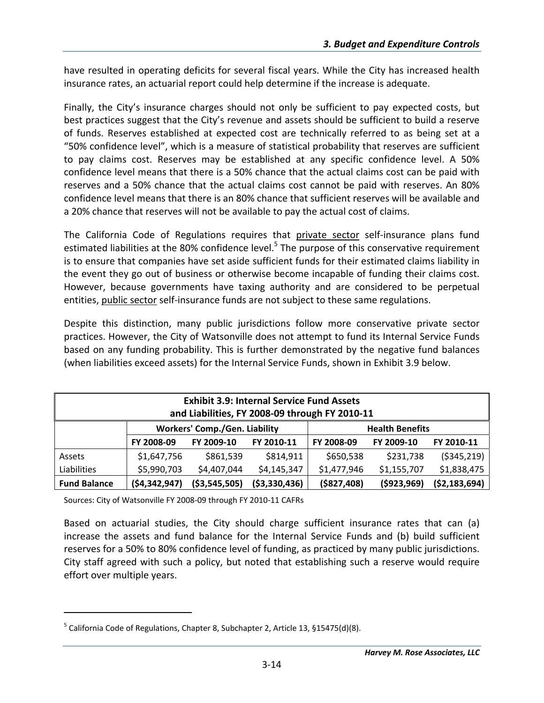have resulted in operating deficits for several fiscal years. While the City has increased health insurance rates, an actuarial report could help determine if the increase is adequate.

Finally, the City's insurance charges should not only be sufficient to pay expected costs, but best practices suggest that the City's revenue and assets should be sufficient to build a reserve of funds. Reserves established at expected cost are technically referred to as being set at a "50% confidence level", which is a measure of statistical probability that reserves are sufficient to pay claims cost. Reserves may be established at any specific confidence level. A 50% confidence level means that there is a 50% chance that the actual claims cost can be paid with reserves and a 50% chance that the actual claims cost cannot be paid with reserves. An 80% confidence level means that there is an 80% chance that sufficient reserves will be available and a 20% chance that reserves will not be available to pay the actual cost of claims.

The California Code of Regulations requires that private sector self-insurance plans fund estimated liabilities at the 80% confidence level.<sup>5</sup> The purpose of this conservative requirement is to ensure that companies have set aside sufficient funds for their estimated claims liability in the event they go out of business or otherwise become incapable of funding their claims cost. However, because governments have taxing authority and are considered to be perpetual entities, public sector self‐insurance funds are not subject to these same regulations.

Despite this distinction, many public jurisdictions follow more conservative private sector practices. However, the City of Watsonville does not attempt to fund its Internal Service Funds based on any funding probability. This is further demonstrated by the negative fund balances (when liabilities exceed assets) for the Internal Service Funds, shown in Exhibit 3.9 below.

| <b>Exhibit 3.9: Internal Service Fund Assets</b><br>and Liabilities, FY 2008-09 through FY 2010-11 |                                      |                |                |                        |             |                |
|----------------------------------------------------------------------------------------------------|--------------------------------------|----------------|----------------|------------------------|-------------|----------------|
|                                                                                                    | <b>Workers' Comp./Gen. Liability</b> |                |                | <b>Health Benefits</b> |             |                |
|                                                                                                    | FY 2008-09                           | FY 2009-10     | FY 2010-11     | FY 2008-09             | FY 2009-10  | FY 2010-11     |
| Assets                                                                                             | \$1,647,756                          | \$861,539      | \$814,911      | \$650,538              | \$231,738   | ( \$345, 219)  |
| Liabilities                                                                                        | \$5,990,703                          | \$4,407,044    | \$4,145,347    | \$1,477,946            | \$1,155,707 | \$1,838,475    |
| <b>Fund Balance</b>                                                                                | (54, 342, 947)                       | ( \$3,545,505) | ( \$3,330,436) | ( \$827, 408)          | (\$923,969) | ( \$2,183,694) |

Sources: City of Watsonville FY 2008‐09 through FY 2010‐11 CAFRs

 $\overline{a}$ 

Based on actuarial studies, the City should charge sufficient insurance rates that can (a) increase the assets and fund balance for the Internal Service Funds and (b) build sufficient reserves for a 50% to 80% confidence level of funding, as practiced by many public jurisdictions. City staff agreed with such a policy, but noted that establishing such a reserve would require effort over multiple years.

 $^5$  California Code of Regulations, Chapter 8, Subchapter 2, Article 13, §15475(d)(8).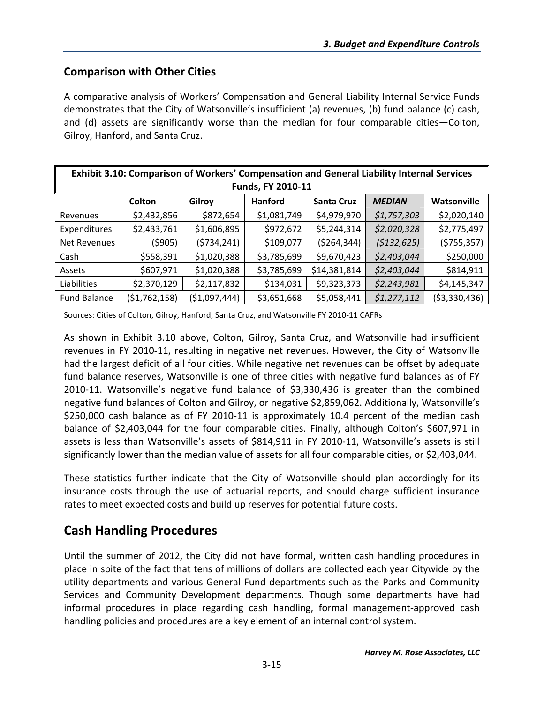### **Comparison with Other Cities**

A comparative analysis of Workers' Compensation and General Liability Internal Service Funds demonstrates that the City of Watsonville's insufficient (a) revenues, (b) fund balance (c) cash, and (d) assets are significantly worse than the median for four comparable cities—Colton, Gilroy, Hanford, and Santa Cruz.

| Exhibit 3.10: Comparison of Workers' Compensation and General Liability Internal Services<br>Funds, FY 2010-11 |                                                                                  |               |             |               |             |                |  |  |
|----------------------------------------------------------------------------------------------------------------|----------------------------------------------------------------------------------|---------------|-------------|---------------|-------------|----------------|--|--|
|                                                                                                                | Watsonville<br>Colton<br><b>Santa Cruz</b><br>Hanford<br>Gilroy<br><b>MEDIAN</b> |               |             |               |             |                |  |  |
| Revenues                                                                                                       | \$2,432,856                                                                      | \$872,654     | \$1,081,749 | \$4,979,970   | \$1,757,303 | \$2,020,140    |  |  |
| Expenditures                                                                                                   | \$2,433,761                                                                      | \$1,606,895   | \$972,672   | \$5,244,314   | \$2,020,328 | \$2,775,497    |  |  |
| Net Revenues                                                                                                   | (\$905)                                                                          | (5734, 241)   | \$109,077   | ( \$264, 344) | (5132, 625) | (\$755,357)    |  |  |
| Cash                                                                                                           | \$558,391                                                                        | \$1,020,388   | \$3,785,699 | \$9,670,423   | \$2,403,044 | \$250,000      |  |  |
| Assets                                                                                                         | \$607,971                                                                        | \$1,020,388   | \$3,785,699 | \$14,381,814  | \$2,403,044 | \$814,911      |  |  |
| Liabilities                                                                                                    | \$2,370,129                                                                      | \$2,117,832   | \$134,031   | \$9,323,373   | \$2,243,981 | \$4,145,347    |  |  |
| <b>Fund Balance</b>                                                                                            | (51, 762, 158)                                                                   | (\$1,097,444) | \$3,651,668 | \$5,058,441   | \$1,277,112 | ( \$3,330,436) |  |  |

Sources: Cities of Colton, Gilroy, Hanford, Santa Cruz, and Watsonville FY 2010‐11 CAFRs

As shown in Exhibit 3.10 above, Colton, Gilroy, Santa Cruz, and Watsonville had insufficient revenues in FY 2010‐11, resulting in negative net revenues. However, the City of Watsonville had the largest deficit of all four cities. While negative net revenues can be offset by adequate fund balance reserves, Watsonville is one of three cities with negative fund balances as of FY 2010‐11. Watsonville's negative fund balance of \$3,330,436 is greater than the combined negative fund balances of Colton and Gilroy, or negative \$2,859,062. Additionally, Watsonville's \$250,000 cash balance as of FY 2010-11 is approximately 10.4 percent of the median cash balance of \$2,403,044 for the four comparable cities. Finally, although Colton's \$607,971 in assets is less than Watsonville's assets of \$814,911 in FY 2010‐11, Watsonville's assets is still significantly lower than the median value of assets for all four comparable cities, or \$2,403,044.

These statistics further indicate that the City of Watsonville should plan accordingly for its insurance costs through the use of actuarial reports, and should charge sufficient insurance rates to meet expected costs and build up reserves for potential future costs.

## **Cash Handling Procedures**

Until the summer of 2012, the City did not have formal, written cash handling procedures in place in spite of the fact that tens of millions of dollars are collected each year Citywide by the utility departments and various General Fund departments such as the Parks and Community Services and Community Development departments. Though some departments have had informal procedures in place regarding cash handling, formal management‐approved cash handling policies and procedures are a key element of an internal control system.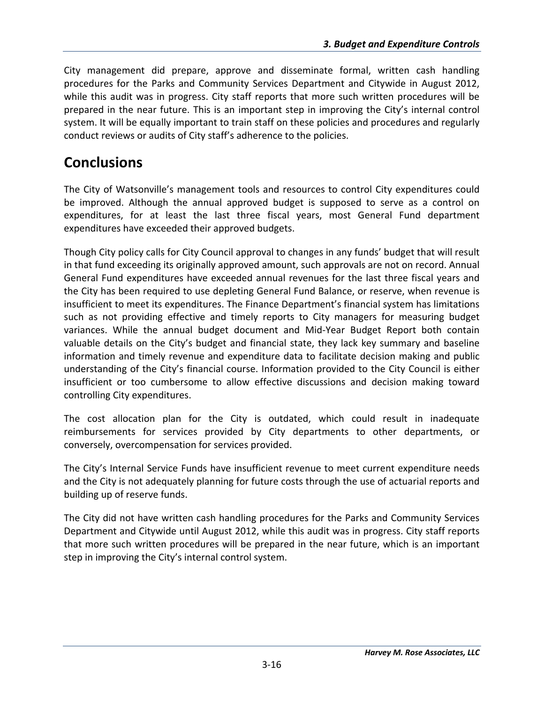City management did prepare, approve and disseminate formal, written cash handling procedures for the Parks and Community Services Department and Citywide in August 2012, while this audit was in progress. City staff reports that more such written procedures will be prepared in the near future. This is an important step in improving the City's internal control system. It will be equally important to train staff on these policies and procedures and regularly conduct reviews or audits of City staff's adherence to the policies.

# **Conclusions**

The City of Watsonville's management tools and resources to control City expenditures could be improved. Although the annual approved budget is supposed to serve as a control on expenditures, for at least the last three fiscal years, most General Fund department expenditures have exceeded their approved budgets.

Though City policy calls for City Council approval to changes in any funds' budget that will result in that fund exceeding its originally approved amount, such approvals are not on record. Annual General Fund expenditures have exceeded annual revenues for the last three fiscal years and the City has been required to use depleting General Fund Balance, or reserve, when revenue is insufficient to meet its expenditures. The Finance Department's financial system has limitations such as not providing effective and timely reports to City managers for measuring budget variances. While the annual budget document and Mid‐Year Budget Report both contain valuable details on the City's budget and financial state, they lack key summary and baseline information and timely revenue and expenditure data to facilitate decision making and public understanding of the City's financial course. Information provided to the City Council is either insufficient or too cumbersome to allow effective discussions and decision making toward controlling City expenditures.

The cost allocation plan for the City is outdated, which could result in inadequate reimbursements for services provided by City departments to other departments, or conversely, overcompensation for services provided.

The City's Internal Service Funds have insufficient revenue to meet current expenditure needs and the City is not adequately planning for future costs through the use of actuarial reports and building up of reserve funds.

The City did not have written cash handling procedures for the Parks and Community Services Department and Citywide until August 2012, while this audit was in progress. City staff reports that more such written procedures will be prepared in the near future, which is an important step in improving the City's internal control system.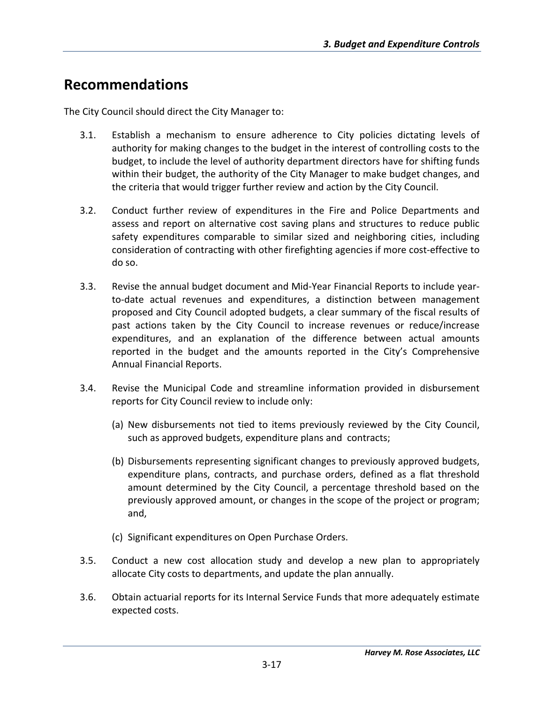# **Recommendations**

The City Council should direct the City Manager to:

- 3.1. Establish a mechanism to ensure adherence to City policies dictating levels of authority for making changes to the budget in the interest of controlling costs to the budget, to include the level of authority department directors have for shifting funds within their budget, the authority of the City Manager to make budget changes, and the criteria that would trigger further review and action by the City Council.
- 3.2. Conduct further review of expenditures in the Fire and Police Departments and assess and report on alternative cost saving plans and structures to reduce public safety expenditures comparable to similar sized and neighboring cities, including consideration of contracting with other firefighting agencies if more cost-effective to do so.
- 3.3. Revise the annual budget document and Mid‐Year Financial Reports to include year‐ to‐date actual revenues and expenditures, a distinction between management proposed and City Council adopted budgets, a clear summary of the fiscal results of past actions taken by the City Council to increase revenues or reduce/increase expenditures, and an explanation of the difference between actual amounts reported in the budget and the amounts reported in the City's Comprehensive Annual Financial Reports.
- 3.4. Revise the Municipal Code and streamline information provided in disbursement reports for City Council review to include only:
	- (a) New disbursements not tied to items previously reviewed by the City Council, such as approved budgets, expenditure plans and contracts;
	- (b) Disbursements representing significant changes to previously approved budgets, expenditure plans, contracts, and purchase orders, defined as a flat threshold amount determined by the City Council, a percentage threshold based on the previously approved amount, or changes in the scope of the project or program; and,
	- (c) Significant expenditures on Open Purchase Orders.
- 3.5. Conduct a new cost allocation study and develop a new plan to appropriately allocate City costs to departments, and update the plan annually.
- 3.6. Obtain actuarial reports for its Internal Service Funds that more adequately estimate expected costs.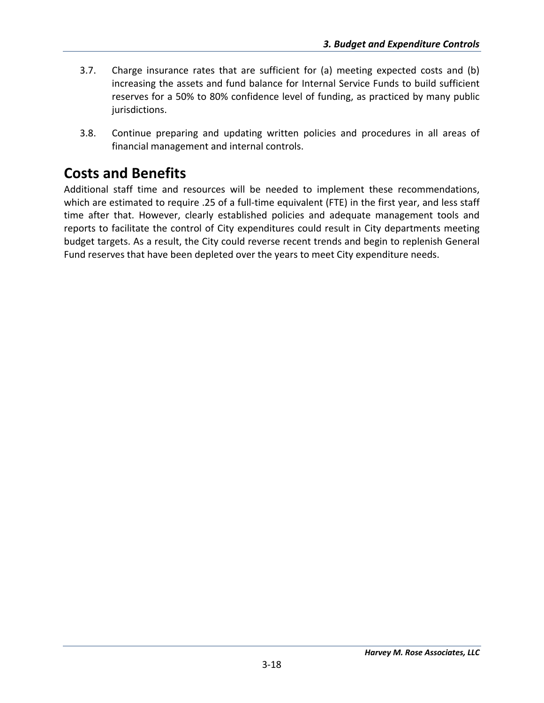- 3.7. Charge insurance rates that are sufficient for (a) meeting expected costs and (b) increasing the assets and fund balance for Internal Service Funds to build sufficient reserves for a 50% to 80% confidence level of funding, as practiced by many public jurisdictions.
- 3.8. Continue preparing and updating written policies and procedures in all areas of financial management and internal controls.

# **Costs and Benefits**

Additional staff time and resources will be needed to implement these recommendations, which are estimated to require .25 of a full-time equivalent (FTE) in the first year, and less staff time after that. However, clearly established policies and adequate management tools and reports to facilitate the control of City expenditures could result in City departments meeting budget targets. As a result, the City could reverse recent trends and begin to replenish General Fund reserves that have been depleted over the years to meet City expenditure needs.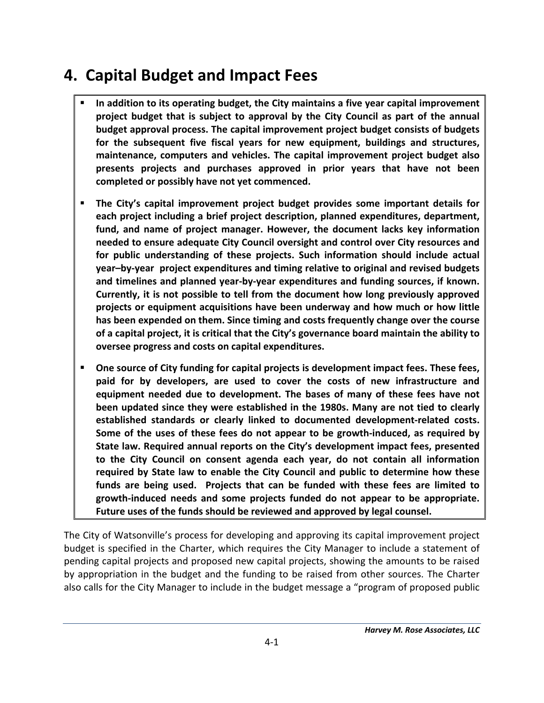# **4. Capital Budget and Impact Fees**

- **In addition to its operating budget, the City maintains a five year capital improvement project budget that is subject to approval by the City Council as part of the annual budget approval process. The capital improvement project budget consists of budgets for the subsequent five fiscal years for new equipment, buildings and structures, maintenance, computers and vehicles. The capital improvement project budget also presents projects and purchases approved in prior years that have not been completed or possibly have not yet commenced.**
- **The City's capital improvement project budget provides some important details for each project including a brief project description, planned expenditures, department, fund, and name of project manager. However, the document lacks key information needed to ensure adequate City Council oversight and control over City resources and for public understanding of these projects. Such information should include actual year–by‐year project expenditures and timing relative to original and revised budgets and timelines and planned year‐by‐year expenditures and funding sources, if known. Currently, it is not possible to tell from the document how long previously approved projects or equipment acquisitions have been underway and how much or how little has been expended on them. Since timing and costs frequently change over the course of a capital project, it is critical that the City's governance board maintain the ability to oversee progress and costs on capital expenditures.**
- **One source of City funding for capital projects is development impact fees. These fees, paid for by developers, are used to cover the costs of new infrastructure and equipment needed due to development. The bases of many of these fees have not been updated since they were established in the 1980s. Many are not tied to clearly established standards or clearly linked to documented development‐related costs. Some of the uses of these fees do not appear to be growth‐induced, as required by State law. Required annual reports on the City's development impact fees, presented to the City Council on consent agenda each year, do not contain all information required by State law to enable the City Council and public to determine how these funds are being used. Projects that can be funded with these fees are limited to growth‐induced needs and some projects funded do not appear to be appropriate. Future uses of the funds should be reviewed and approved by legal counsel.**

The City of Watsonville's process for developing and approving its capital improvement project budget is specified in the Charter, which requires the City Manager to include a statement of pending capital projects and proposed new capital projects, showing the amounts to be raised by appropriation in the budget and the funding to be raised from other sources. The Charter also calls for the City Manager to include in the budget message a "program of proposed public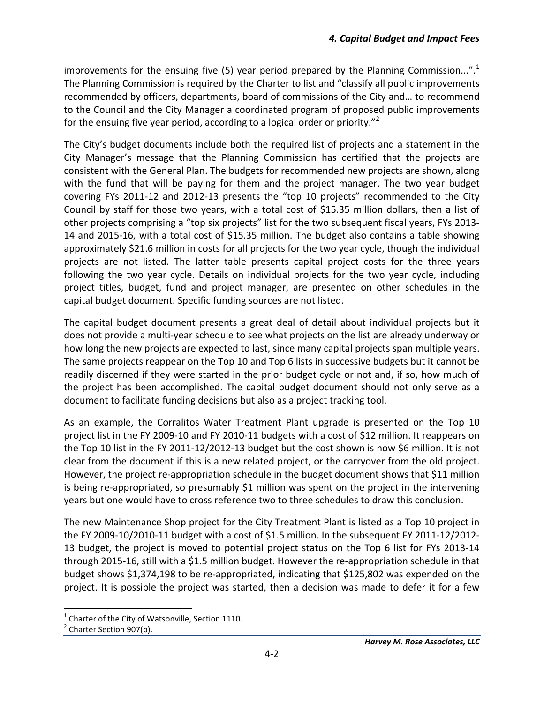improvements for the ensuing five (5) year period prepared by the Planning Commission...".<sup>1</sup> The Planning Commission is required by the Charter to list and "classify all public improvements recommended by officers, departments, board of commissions of the City and… to recommend to the Council and the City Manager a coordinated program of proposed public improvements for the ensuing five year period, according to a logical order or priority."<sup>2</sup>

The City's budget documents include both the required list of projects and a statement in the City Manager's message that the Planning Commission has certified that the projects are consistent with the General Plan. The budgets for recommended new projects are shown, along with the fund that will be paying for them and the project manager. The two year budget covering FYs 2011‐12 and 2012‐13 presents the "top 10 projects" recommended to the City Council by staff for those two years, with a total cost of \$15.35 million dollars, then a list of other projects comprising a "top six projects" list for the two subsequent fiscal years, FYs 2013‐ 14 and 2015‐16, with a total cost of \$15.35 million. The budget also contains a table showing approximately \$21.6 million in costs for all projects for the two year cycle, though the individual projects are not listed. The latter table presents capital project costs for the three years following the two year cycle. Details on individual projects for the two year cycle, including project titles, budget, fund and project manager, are presented on other schedules in the capital budget document. Specific funding sources are not listed.

The capital budget document presents a great deal of detail about individual projects but it does not provide a multi‐year schedule to see what projects on the list are already underway or how long the new projects are expected to last, since many capital projects span multiple years. The same projects reappear on the Top 10 and Top 6 lists in successive budgets but it cannot be readily discerned if they were started in the prior budget cycle or not and, if so, how much of the project has been accomplished. The capital budget document should not only serve as a document to facilitate funding decisions but also as a project tracking tool.

As an example, the Corralitos Water Treatment Plant upgrade is presented on the Top 10 project list in the FY 2009‐10 and FY 2010‐11 budgets with a cost of \$12 million. It reappears on the Top 10 list in the FY 2011‐12/2012‐13 budget but the cost shown is now \$6 million. It is not clear from the document if this is a new related project, or the carryover from the old project. However, the project re-appropriation schedule in the budget document shows that \$11 million is being re‐appropriated, so presumably \$1 million was spent on the project in the intervening years but one would have to cross reference two to three schedules to draw this conclusion.

The new Maintenance Shop project for the City Treatment Plant is listed as a Top 10 project in the FY 2009‐10/2010‐11 budget with a cost of \$1.5 million. In the subsequent FY 2011‐12/2012‐ 13 budget, the project is moved to potential project status on the Top 6 list for FYs 2013‐14 through 2015‐16, still with a \$1.5 million budget. However the re‐appropriation schedule in that budget shows \$1,374,198 to be re‐appropriated, indicating that \$125,802 was expended on the project. It is possible the project was started, then a decision was made to defer it for a few

<sup>&</sup>lt;sup>1</sup> Charter of the City of Watsonville, Section 1110.<br><sup>2</sup> Charter Section 907(b).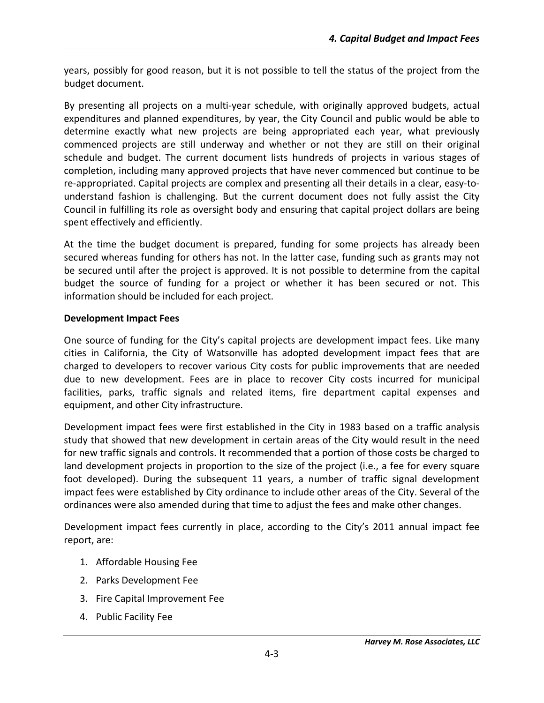years, possibly for good reason, but it is not possible to tell the status of the project from the budget document.

By presenting all projects on a multi-year schedule, with originally approved budgets, actual expenditures and planned expenditures, by year, the City Council and public would be able to determine exactly what new projects are being appropriated each year, what previously commenced projects are still underway and whether or not they are still on their original schedule and budget. The current document lists hundreds of projects in various stages of completion, including many approved projects that have never commenced but continue to be re-appropriated. Capital projects are complex and presenting all their details in a clear, easy-tounderstand fashion is challenging. But the current document does not fully assist the City Council in fulfilling its role as oversight body and ensuring that capital project dollars are being spent effectively and efficiently.

At the time the budget document is prepared, funding for some projects has already been secured whereas funding for others has not. In the latter case, funding such as grants may not be secured until after the project is approved. It is not possible to determine from the capital budget the source of funding for a project or whether it has been secured or not. This information should be included for each project.

#### **Development Impact Fees**

One source of funding for the City's capital projects are development impact fees. Like many cities in California, the City of Watsonville has adopted development impact fees that are charged to developers to recover various City costs for public improvements that are needed due to new development. Fees are in place to recover City costs incurred for municipal facilities, parks, traffic signals and related items, fire department capital expenses and equipment, and other City infrastructure.

Development impact fees were first established in the City in 1983 based on a traffic analysis study that showed that new development in certain areas of the City would result in the need for new traffic signals and controls. It recommended that a portion of those costs be charged to land development projects in proportion to the size of the project (i.e., a fee for every square foot developed). During the subsequent 11 years, a number of traffic signal development impact fees were established by City ordinance to include other areas of the City. Several of the ordinances were also amended during that time to adjust the fees and make other changes.

Development impact fees currently in place, according to the City's 2011 annual impact fee report, are:

- 1. Affordable Housing Fee
- 2. Parks Development Fee
- 3. Fire Capital Improvement Fee
- 4. Public Facility Fee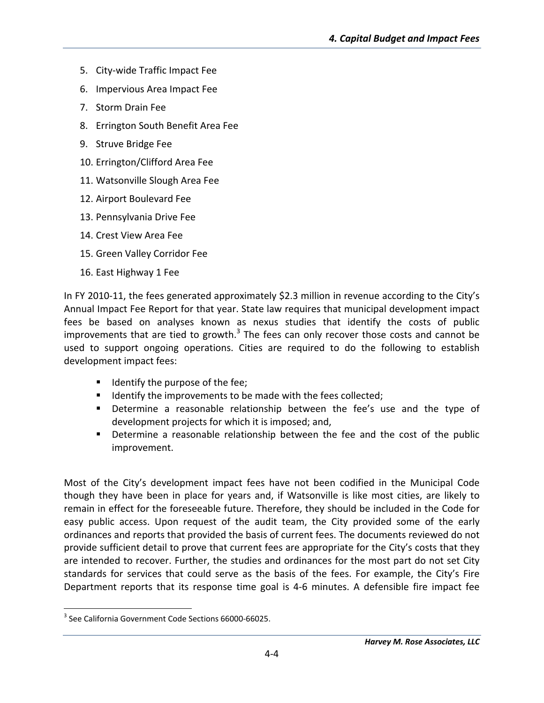- 5. City‐wide Traffic Impact Fee
- 6. Impervious Area Impact Fee
- 7. Storm Drain Fee
- 8. Errington South Benefit Area Fee
- 9. Struve Bridge Fee
- 10. Errington/Clifford Area Fee
- 11. Watsonville Slough Area Fee
- 12. Airport Boulevard Fee
- 13. Pennsylvania Drive Fee
- 14. Crest View Area Fee
- 15. Green Valley Corridor Fee
- 16. East Highway 1 Fee

In FY 2010‐11, the fees generated approximately \$2.3 million in revenue according to the City's Annual Impact Fee Report for that year. State law requires that municipal development impact fees be based on analyses known as nexus studies that identify the costs of public improvements that are tied to growth. $3$  The fees can only recover those costs and cannot be used to support ongoing operations. Cities are required to do the following to establish development impact fees:

- $\blacksquare$  Identify the purpose of the fee;
- Identify the improvements to be made with the fees collected;
- **Determine a reasonable relationship between the fee's use and the type of** development projects for which it is imposed; and,
- Determine a reasonable relationship between the fee and the cost of the public improvement.

Most of the City's development impact fees have not been codified in the Municipal Code though they have been in place for years and, if Watsonville is like most cities, are likely to remain in effect for the foreseeable future. Therefore, they should be included in the Code for easy public access. Upon request of the audit team, the City provided some of the early ordinances and reports that provided the basis of current fees. The documents reviewed do not provide sufficient detail to prove that current fees are appropriate for the City's costs that they are intended to recover. Further, the studies and ordinances for the most part do not set City standards for services that could serve as the basis of the fees. For example, the City's Fire Department reports that its response time goal is 4‐6 minutes. A defensible fire impact fee

 <sup>3</sup> See California Government Code Sections 66000-66025.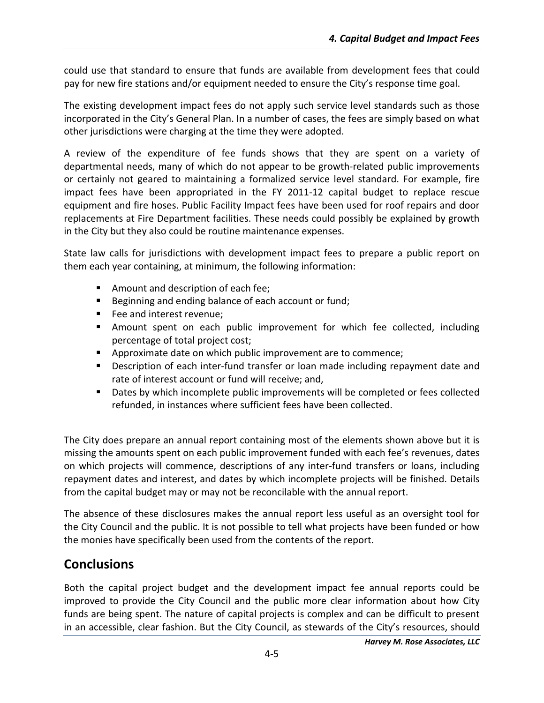could use that standard to ensure that funds are available from development fees that could pay for new fire stations and/or equipment needed to ensure the City's response time goal.

The existing development impact fees do not apply such service level standards such as those incorporated in the City's General Plan. In a number of cases, the fees are simply based on what other jurisdictions were charging at the time they were adopted.

A review of the expenditure of fee funds shows that they are spent on a variety of departmental needs, many of which do not appear to be growth‐related public improvements or certainly not geared to maintaining a formalized service level standard. For example, fire impact fees have been appropriated in the FY 2011‐12 capital budget to replace rescue equipment and fire hoses. Public Facility Impact fees have been used for roof repairs and door replacements at Fire Department facilities. These needs could possibly be explained by growth in the City but they also could be routine maintenance expenses.

State law calls for jurisdictions with development impact fees to prepare a public report on them each year containing, at minimum, the following information:

- **Amount and description of each fee;**
- Beginning and ending balance of each account or fund;
- **Fee and interest revenue:**
- Amount spent on each public improvement for which fee collected, including percentage of total project cost;
- **EXTE** Approximate date on which public improvement are to commence;
- Description of each inter-fund transfer or loan made including repayment date and rate of interest account or fund will receive; and,
- **Dates by which incomplete public improvements will be completed or fees collected** refunded, in instances where sufficient fees have been collected.

The City does prepare an annual report containing most of the elements shown above but it is missing the amounts spent on each public improvement funded with each fee's revenues, dates on which projects will commence, descriptions of any inter‐fund transfers or loans, including repayment dates and interest, and dates by which incomplete projects will be finished. Details from the capital budget may or may not be reconcilable with the annual report.

The absence of these disclosures makes the annual report less useful as an oversight tool for the City Council and the public. It is not possible to tell what projects have been funded or how the monies have specifically been used from the contents of the report.

## **Conclusions**

Both the capital project budget and the development impact fee annual reports could be improved to provide the City Council and the public more clear information about how City funds are being spent. The nature of capital projects is complex and can be difficult to present in an accessible, clear fashion. But the City Council, as stewards of the City's resources, should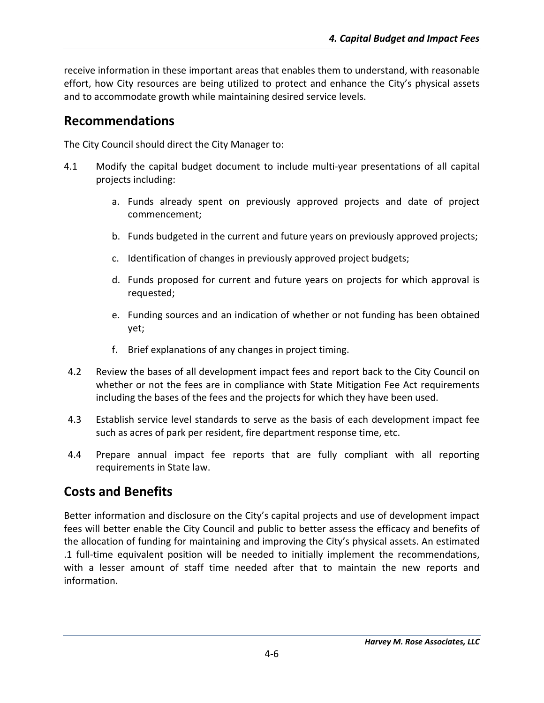receive information in these important areas that enables them to understand, with reasonable effort, how City resources are being utilized to protect and enhance the City's physical assets and to accommodate growth while maintaining desired service levels.

## **Recommendations**

The City Council should direct the City Manager to:

- 4.1 Modify the capital budget document to include multi‐year presentations of all capital projects including:
	- a. Funds already spent on previously approved projects and date of project commencement;
	- b. Funds budgeted in the current and future years on previously approved projects;
	- c. Identification of changes in previously approved project budgets;
	- d. Funds proposed for current and future years on projects for which approval is requested;
	- e. Funding sources and an indication of whether or not funding has been obtained yet;
	- f. Brief explanations of any changes in project timing.
- 4.2 Review the bases of all development impact fees and report back to the City Council on whether or not the fees are in compliance with State Mitigation Fee Act requirements including the bases of the fees and the projects for which they have been used.
- 4.3 Establish service level standards to serve as the basis of each development impact fee such as acres of park per resident, fire department response time, etc.
- 4.4 Prepare annual impact fee reports that are fully compliant with all reporting requirements in State law.

## **Costs and Benefits**

Better information and disclosure on the City's capital projects and use of development impact fees will better enable the City Council and public to better assess the efficacy and benefits of the allocation of funding for maintaining and improving the City's physical assets. An estimated .1 full‐time equivalent position will be needed to initially implement the recommendations, with a lesser amount of staff time needed after that to maintain the new reports and information.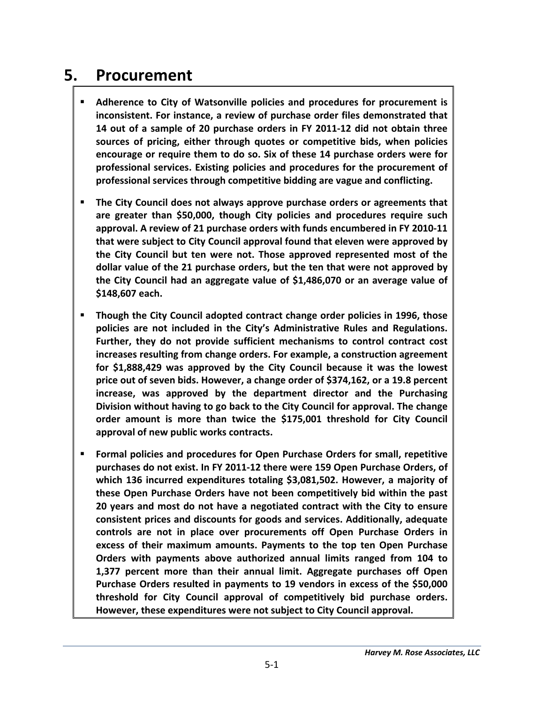# **5. Procurement**

- **Adherence to City of Watsonville policies and procedures for procurement is inconsistent. For instance, a review of purchase order files demonstrated that 14 out of a sample of 20 purchase orders in FY 2011‐12 did not obtain three sources of pricing, either through quotes or competitive bids, when policies encourage or require them to do so. Six of these 14 purchase orders were for professional services. Existing policies and procedures for the procurement of professional services through competitive bidding are vague and conflicting.**
- **The City Council does not always approve purchase orders or agreements that are greater than \$50,000, though City policies and procedures require such approval. A review of 21 purchase orders with funds encumbered in FY 2010‐11 that were subject to City Council approval found that eleven were approved by the City Council but ten were not. Those approved represented most of the dollar value of the 21 purchase orders, but the ten that were not approved by the City Council had an aggregate value of \$1,486,070 or an average value of \$148,607 each.**
- **Though the City Council adopted contract change order policies in 1996, those policies are not included in the City's Administrative Rules and Regulations. Further, they do not provide sufficient mechanisms to control contract cost increases resulting from change orders. For example, a construction agreement for \$1,888,429 was approved by the City Council because it was the lowest price out of seven bids. However, a change order of \$374,162, or a 19.8 percent increase, was approved by the department director and the Purchasing Division without having to go back to the City Council for approval. The change order amount is more than twice the \$175,001 threshold for City Council approval of new public works contracts.**
- **Formal policies and procedures for Open Purchase Orders for small, repetitive purchases do not exist. In FY 2011‐12 there were 159 Open Purchase Orders, of which 136 incurred expenditures totaling \$3,081,502. However, a majority of these Open Purchase Orders have not been competitively bid within the past 20 years and most do not have a negotiated contract with the City to ensure consistent prices and discounts for goods and services. Additionally, adequate controls are not in place over procurements off Open Purchase Orders in excess of their maximum amounts. Payments to the top ten Open Purchase Orders with payments above authorized annual limits ranged from 104 to 1,377 percent more than their annual limit. Aggregate purchases off Open Purchase Orders resulted in payments to 19 vendors in excess of the \$50,000 threshold for City Council approval of competitively bid purchase orders. However, these expenditures were not subject to City Council approval.**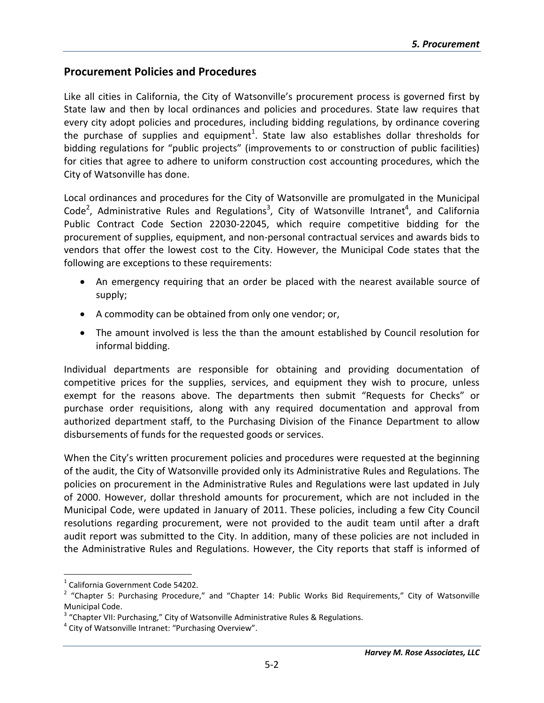#### **Procurement Policies and Procedures**

Like all cities in California, the City of Watsonville's procurement process is governed first by State law and then by local ordinances and policies and procedures. State law requires that every city adopt policies and procedures, including bidding regulations, by ordinance covering the purchase of supplies and equipment<sup>1</sup>. State law also establishes dollar thresholds for bidding regulations for "public projects" (improvements to or construction of public facilities) for cities that agree to adhere to uniform construction cost accounting procedures, which the City of Watsonville has done.

Local ordinances and procedures for the City of Watsonville are promulgated in the Municipal Code<sup>2</sup>, Administrative Rules and Regulations<sup>3</sup>, City of Watsonville Intranet<sup>4</sup>, and California Public Contract Code Section 22030‐22045, which require competitive bidding for the procurement of supplies, equipment, and non‐personal contractual services and awards bids to vendors that offer the lowest cost to the City. However, the Municipal Code states that the following are exceptions to these requirements:

- An emergency requiring that an order be placed with the nearest available source of supply;
- A commodity can be obtained from only one vendor; or,
- The amount involved is less the than the amount established by Council resolution for informal bidding.

Individual departments are responsible for obtaining and providing documentation of competitive prices for the supplies, services, and equipment they wish to procure, unless exempt for the reasons above. The departments then submit "Requests for Checks" or purchase order requisitions, along with any required documentation and approval from authorized department staff, to the Purchasing Division of the Finance Department to allow disbursements of funds for the requested goods or services.

When the City's written procurement policies and procedures were requested at the beginning of the audit, the City of Watsonville provided only its Administrative Rules and Regulations. The policies on procurement in the Administrative Rules and Regulations were last updated in July of 2000. However, dollar threshold amounts for procurement, which are not included in the Municipal Code, were updated in January of 2011. These policies, including a few City Council resolutions regarding procurement, were not provided to the audit team until after a draft audit report was submitted to the City. In addition, many of these policies are not included in the Administrative Rules and Regulations. However, the City reports that staff is informed of

 $\overline{a}$ 

<sup>&</sup>lt;sup>1</sup> California Government Code 54202.<br><sup>2</sup> "Chapter 5: Purchasing Procedure," and "Chapter 14: Public Works Bid Requirements," City of Watsonville

Municipal Code.<br><sup>3</sup> "Chapter VII: Purchasing," City of Watsonville Administrative Rules & Regulations.<br><sup>4</sup> City of Watsonville Intranet: "Purchasing Overview".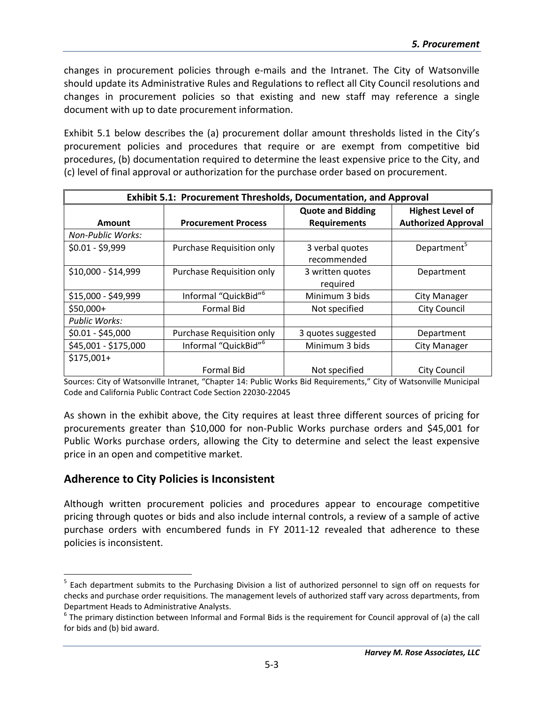changes in procurement policies through e‐mails and the Intranet. The City of Watsonville should update its Administrative Rules and Regulations to reflect all City Council resolutions and changes in procurement policies so that existing and new staff may reference a single document with up to date procurement information.

Exhibit 5.1 below describes the (a) procurement dollar amount thresholds listed in the City's procurement policies and procedures that require or are exempt from competitive bid procedures, (b) documentation required to determine the least expensive price to the City, and (c) level of final approval or authorization for the purchase order based on procurement.

| <b>Exhibit 5.1: Procurement Thresholds, Documentation, and Approval</b> |                                  |                                |                            |  |  |  |
|-------------------------------------------------------------------------|----------------------------------|--------------------------------|----------------------------|--|--|--|
|                                                                         |                                  | <b>Quote and Bidding</b>       | <b>Highest Level of</b>    |  |  |  |
| Amount                                                                  | <b>Procurement Process</b>       | <b>Requirements</b>            | <b>Authorized Approval</b> |  |  |  |
| Non-Public Works:                                                       |                                  |                                |                            |  |  |  |
| $$0.01 - $9,999$                                                        | Purchase Requisition only        | 3 verbal quotes<br>recommended | Department <sup>5</sup>    |  |  |  |
| \$10,000 - \$14,999                                                     | Purchase Requisition only        | 3 written quotes<br>required   | Department                 |  |  |  |
| \$15,000 - \$49,999                                                     | Informal "QuickBid" <sup>6</sup> | Minimum 3 bids                 | City Manager               |  |  |  |
| $$50,000+$                                                              | <b>Formal Bid</b>                | Not specified                  | <b>City Council</b>        |  |  |  |
| Public Works:                                                           |                                  |                                |                            |  |  |  |
| $$0.01 - $45,000$                                                       | Purchase Requisition only        | 3 quotes suggested             | Department                 |  |  |  |
| \$45,001 - \$175,000                                                    | Informal "QuickBid" <sup>6</sup> | Minimum 3 bids                 | City Manager               |  |  |  |
| \$175,001+                                                              | <b>Formal Bid</b>                | Not specified                  | <b>City Council</b>        |  |  |  |

Sources: City of Watsonville Intranet, "Chapter 14: Public Works Bid Requirements," City of Watsonville Municipal Code and California Public Contract Code Section 22030‐22045

As shown in the exhibit above, the City requires at least three different sources of pricing for procurements greater than \$10,000 for non‐Public Works purchase orders and \$45,001 for Public Works purchase orders, allowing the City to determine and select the least expensive price in an open and competitive market.

#### **Adherence to City Policies is Inconsistent**

1

Although written procurement policies and procedures appear to encourage competitive pricing through quotes or bids and also include internal controls, a review of a sample of active purchase orders with encumbered funds in FY 2011‐12 revealed that adherence to these policies is inconsistent.

<sup>&</sup>lt;sup>5</sup> Each department submits to the Purchasing Division a list of authorized personnel to sign off on requests for checks and purchase order requisitions. The management levels of authorized staff vary across departments, from Department Heads to Administrative Analysts.<br><sup>6</sup> The primary distinction between Informal and Formal Bids is the requirement for Council approval of (a) the call

for bids and (b) bid award.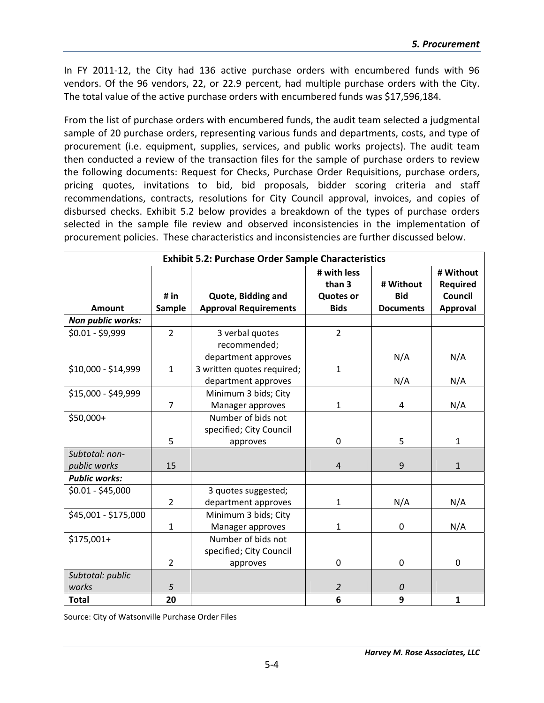In FY 2011‐12, the City had 136 active purchase orders with encumbered funds with 96 vendors. Of the 96 vendors, 22, or 22.9 percent, had multiple purchase orders with the City. The total value of the active purchase orders with encumbered funds was \$17,596,184.

From the list of purchase orders with encumbered funds, the audit team selected a judgmental sample of 20 purchase orders, representing various funds and departments, costs, and type of procurement (i.e. equipment, supplies, services, and public works projects). The audit team then conducted a review of the transaction files for the sample of purchase orders to review the following documents: Request for Checks, Purchase Order Requisitions, purchase orders, pricing quotes, invitations to bid, bid proposals, bidder scoring criteria and staff recommendations, contracts, resolutions for City Council approval, invoices, and copies of disbursed checks. Exhibit 5.2 below provides a breakdown of the types of purchase orders selected in the sample file review and observed inconsistencies in the implementation of procurement policies. These characteristics and inconsistencies are further discussed below.

|                      |                | <b>Exhibit 5.2: Purchase Order Sample Characteristics</b> |                       |                  |                              |
|----------------------|----------------|-----------------------------------------------------------|-----------------------|------------------|------------------------------|
|                      |                |                                                           | # with less<br>than 3 | # Without        | # Without<br><b>Required</b> |
|                      | # $in$         | Quote, Bidding and                                        | <b>Quotes or</b>      | <b>Bid</b>       | Council                      |
| Amount               | Sample         | <b>Approval Requirements</b>                              | <b>Bids</b>           | <b>Documents</b> | Approval                     |
| Non public works:    |                |                                                           |                       |                  |                              |
| $$0.01 - $9,999$     | $\overline{2}$ | 3 verbal quotes                                           | $\overline{2}$        |                  |                              |
|                      |                | recommended;                                              |                       |                  |                              |
|                      |                | department approves                                       |                       | N/A              | N/A                          |
| \$10,000 - \$14,999  | $\mathbf{1}$   | 3 written quotes required;                                | $\mathbf{1}$          |                  |                              |
|                      |                | department approves                                       |                       | N/A              | N/A                          |
| \$15,000 - \$49,999  |                | Minimum 3 bids; City                                      |                       |                  |                              |
|                      | $\overline{7}$ | Manager approves                                          | $\mathbf{1}$          | 4                | N/A                          |
| \$50,000+            |                | Number of bids not                                        |                       |                  |                              |
|                      |                | specified; City Council                                   |                       |                  |                              |
|                      | 5              | approves                                                  | $\mathbf 0$           | 5                | $\mathbf{1}$                 |
| Subtotal: non-       |                |                                                           |                       |                  |                              |
| public works         | 15             |                                                           | $\sqrt{4}$            | 9                | $\mathbf{1}$                 |
| <b>Public works:</b> |                |                                                           |                       |                  |                              |
| $$0.01 - $45,000$    |                | 3 quotes suggested;                                       |                       |                  |                              |
|                      | $\overline{2}$ | department approves                                       | $\mathbf{1}$          | N/A              | N/A                          |
| \$45,001 - \$175,000 |                | Minimum 3 bids; City                                      |                       |                  |                              |
|                      | $\mathbf{1}$   | Manager approves                                          | $\mathbf{1}$          | 0                | N/A                          |
| \$175,001+           |                | Number of bids not                                        |                       |                  |                              |
|                      |                | specified; City Council                                   |                       |                  |                              |
|                      | $\overline{2}$ | approves                                                  | $\mathbf 0$           | $\mathbf 0$      | 0                            |
| Subtotal: public     |                |                                                           |                       |                  |                              |
| works                | 5              |                                                           | $\overline{2}$        | 0                |                              |
| <b>Total</b>         | 20             |                                                           | 6                     | 9                | $\mathbf{1}$                 |

Source: City of Watsonville Purchase Order Files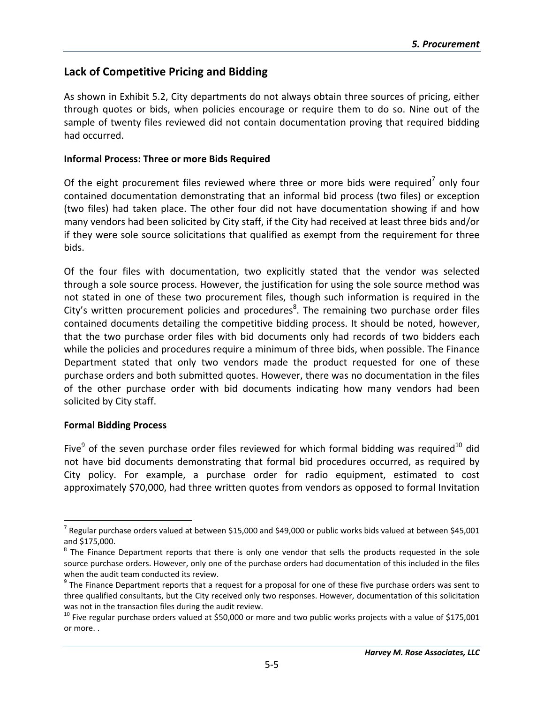#### **Lack of Competitive Pricing and Bidding**

As shown in Exhibit 5.2, City departments do not always obtain three sources of pricing, either through quotes or bids, when policies encourage or require them to do so. Nine out of the sample of twenty files reviewed did not contain documentation proving that required bidding had occurred.

#### **Informal Process: Three or more Bids Required**

Of the eight procurement files reviewed where three or more bids were required<sup>7</sup> only four contained documentation demonstrating that an informal bid process (two files) or exception (two files) had taken place. The other four did not have documentation showing if and how many vendors had been solicited by City staff, if the City had received at least three bids and/or if they were sole source solicitations that qualified as exempt from the requirement for three bids.

Of the four files with documentation, two explicitly stated that the vendor was selected through a sole source process. However, the justification for using the sole source method was not stated in one of these two procurement files, though such information is required in the City's written procurement policies and procedures<sup>8</sup>. The remaining two purchase order files contained documents detailing the competitive bidding process. It should be noted, however, that the two purchase order files with bid documents only had records of two bidders each while the policies and procedures require a minimum of three bids, when possible. The Finance Department stated that only two vendors made the product requested for one of these purchase orders and both submitted quotes. However, there was no documentation in the files of the other purchase order with bid documents indicating how many vendors had been solicited by City staff.

#### **Formal Bidding Process**

1

Five<sup>9</sup> of the seven purchase order files reviewed for which formal bidding was required<sup>10</sup> did not have bid documents demonstrating that formal bid procedures occurred, as required by City policy. For example, a purchase order for radio equipment, estimated to cost approximately \$70,000, had three written quotes from vendors as opposed to formal Invitation

 $^7$  Regular purchase orders valued at between \$15,000 and \$49,000 or public works bids valued at between \$45,001 and \$175,000.

 $8$  The Finance Department reports that there is only one vendor that sells the products requested in the sole source purchase orders. However, only one of the purchase orders had documentation of this included in the files

when the audit team conducted its review.<br><sup>9</sup> The Finance Department reports that a request for a proposal for one of these five purchase orders was sent to three qualified consultants, but the City received only two responses. However, documentation of this solicitation was not in the transaction files during the audit review.<br><sup>10</sup> Five regular purchase orders valued at \$50,000 or more and two public works projects with a value of \$175,001

or more. .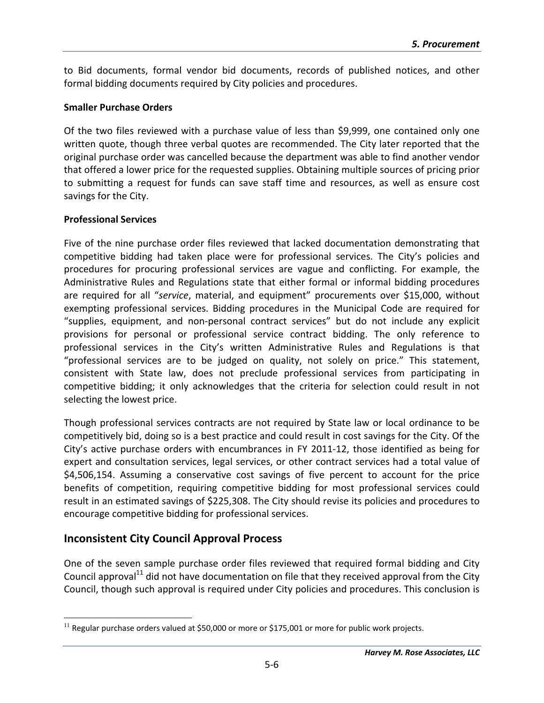to Bid documents, formal vendor bid documents, records of published notices, and other formal bidding documents required by City policies and procedures.

#### **Smaller Purchase Orders**

Of the two files reviewed with a purchase value of less than \$9,999, one contained only one written quote, though three verbal quotes are recommended. The City later reported that the original purchase order was cancelled because the department was able to find another vendor that offered a lower price for the requested supplies. Obtaining multiple sources of pricing prior to submitting a request for funds can save staff time and resources, as well as ensure cost savings for the City.

#### **Professional Services**

Five of the nine purchase order files reviewed that lacked documentation demonstrating that competitive bidding had taken place were for professional services. The City's policies and procedures for procuring professional services are vague and conflicting. For example, the Administrative Rules and Regulations state that either formal or informal bidding procedures are required for all "*service*, material, and equipment" procurements over \$15,000, without exempting professional services. Bidding procedures in the Municipal Code are required for "supplies, equipment, and non‐personal contract services" but do not include any explicit provisions for personal or professional service contract bidding. The only reference to professional services in the City's written Administrative Rules and Regulations is that "professional services are to be judged on quality, not solely on price." This statement, consistent with State law, does not preclude professional services from participating in competitive bidding; it only acknowledges that the criteria for selection could result in not selecting the lowest price.

Though professional services contracts are not required by State law or local ordinance to be competitively bid, doing so is a best practice and could result in cost savings for the City. Of the City's active purchase orders with encumbrances in FY 2011‐12, those identified as being for expert and consultation services, legal services, or other contract services had a total value of \$4,506,154. Assuming a conservative cost savings of five percent to account for the price benefits of competition, requiring competitive bidding for most professional services could result in an estimated savings of \$225,308. The City should revise its policies and procedures to encourage competitive bidding for professional services.

#### **Inconsistent City Council Approval Process**

One of the seven sample purchase order files reviewed that required formal bidding and City Council approval $^{11}$  did not have documentation on file that they received approval from the City Council, though such approval is required under City policies and procedures. This conclusion is

 $\overline{a}$  $11$  Regular purchase orders valued at \$50,000 or more or \$175,001 or more for public work projects.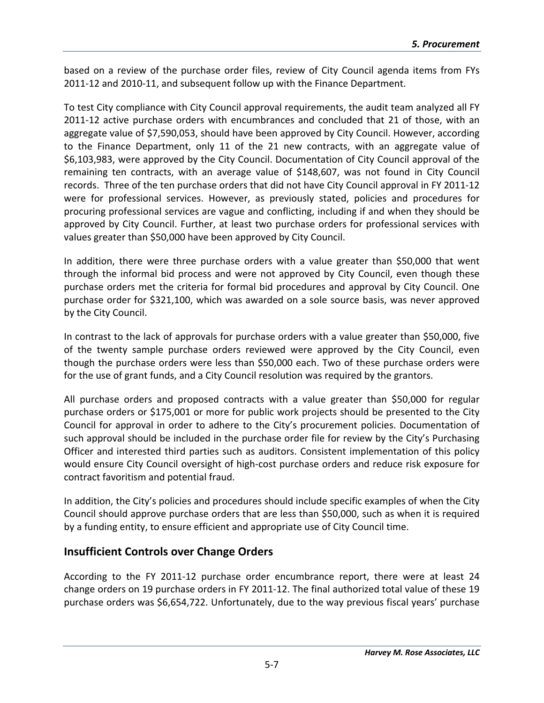based on a review of the purchase order files, review of City Council agenda items from FYs 2011‐12 and 2010‐11, and subsequent follow up with the Finance Department.

To test City compliance with City Council approval requirements, the audit team analyzed all FY 2011-12 active purchase orders with encumbrances and concluded that 21 of those, with an aggregate value of \$7,590,053, should have been approved by City Council. However, according to the Finance Department, only 11 of the 21 new contracts, with an aggregate value of \$6,103,983, were approved by the City Council. Documentation of City Council approval of the remaining ten contracts, with an average value of \$148,607, was not found in City Council records. Three of the ten purchase orders that did not have City Council approval in FY 2011‐12 were for professional services. However, as previously stated, policies and procedures for procuring professional services are vague and conflicting, including if and when they should be approved by City Council. Further, at least two purchase orders for professional services with values greater than \$50,000 have been approved by City Council.

In addition, there were three purchase orders with a value greater than \$50,000 that went through the informal bid process and were not approved by City Council, even though these purchase orders met the criteria for formal bid procedures and approval by City Council. One purchase order for \$321,100, which was awarded on a sole source basis, was never approved by the City Council.

In contrast to the lack of approvals for purchase orders with a value greater than \$50,000, five of the twenty sample purchase orders reviewed were approved by the City Council, even though the purchase orders were less than \$50,000 each. Two of these purchase orders were for the use of grant funds, and a City Council resolution was required by the grantors.

All purchase orders and proposed contracts with a value greater than \$50,000 for regular purchase orders or \$175,001 or more for public work projects should be presented to the City Council for approval in order to adhere to the City's procurement policies. Documentation of such approval should be included in the purchase order file for review by the City's Purchasing Officer and interested third parties such as auditors. Consistent implementation of this policy would ensure City Council oversight of high‐cost purchase orders and reduce risk exposure for contract favoritism and potential fraud.

In addition, the City's policies and procedures should include specific examples of when the City Council should approve purchase orders that are less than \$50,000, such as when it is required by a funding entity, to ensure efficient and appropriate use of City Council time.

#### **Insufficient Controls over Change Orders**

According to the FY 2011‐12 purchase order encumbrance report, there were at least 24 change orders on 19 purchase orders in FY 2011‐12. The final authorized total value of these 19 purchase orders was \$6,654,722. Unfortunately, due to the way previous fiscal years' purchase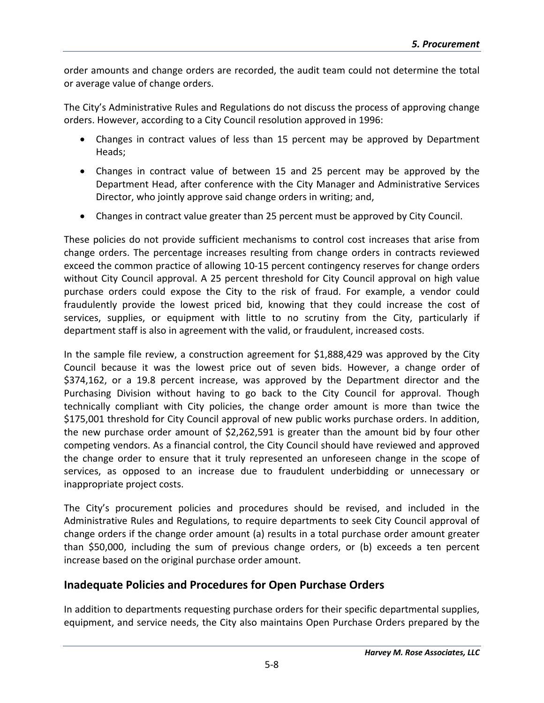order amounts and change orders are recorded, the audit team could not determine the total or average value of change orders.

The City's Administrative Rules and Regulations do not discuss the process of approving change orders. However, according to a City Council resolution approved in 1996:

- Changes in contract values of less than 15 percent may be approved by Department Heads;
- Changes in contract value of between 15 and 25 percent may be approved by the Department Head, after conference with the City Manager and Administrative Services Director, who jointly approve said change orders in writing; and,
- Changes in contract value greater than 25 percent must be approved by City Council.

These policies do not provide sufficient mechanisms to control cost increases that arise from change orders. The percentage increases resulting from change orders in contracts reviewed exceed the common practice of allowing 10‐15 percent contingency reserves for change orders without City Council approval. A 25 percent threshold for City Council approval on high value purchase orders could expose the City to the risk of fraud. For example, a vendor could fraudulently provide the lowest priced bid, knowing that they could increase the cost of services, supplies, or equipment with little to no scrutiny from the City, particularly if department staff is also in agreement with the valid, or fraudulent, increased costs.

In the sample file review, a construction agreement for \$1,888,429 was approved by the City Council because it was the lowest price out of seven bids. However, a change order of \$374,162, or a 19.8 percent increase, was approved by the Department director and the Purchasing Division without having to go back to the City Council for approval. Though technically compliant with City policies, the change order amount is more than twice the \$175,001 threshold for City Council approval of new public works purchase orders. In addition, the new purchase order amount of \$2,262,591 is greater than the amount bid by four other competing vendors. As a financial control, the City Council should have reviewed and approved the change order to ensure that it truly represented an unforeseen change in the scope of services, as opposed to an increase due to fraudulent underbidding or unnecessary or inappropriate project costs.

The City's procurement policies and procedures should be revised, and included in the Administrative Rules and Regulations, to require departments to seek City Council approval of change orders if the change order amount (a) results in a total purchase order amount greater than \$50,000, including the sum of previous change orders, or (b) exceeds a ten percent increase based on the original purchase order amount.

#### **Inadequate Policies and Procedures for Open Purchase Orders**

In addition to departments requesting purchase orders for their specific departmental supplies, equipment, and service needs, the City also maintains Open Purchase Orders prepared by the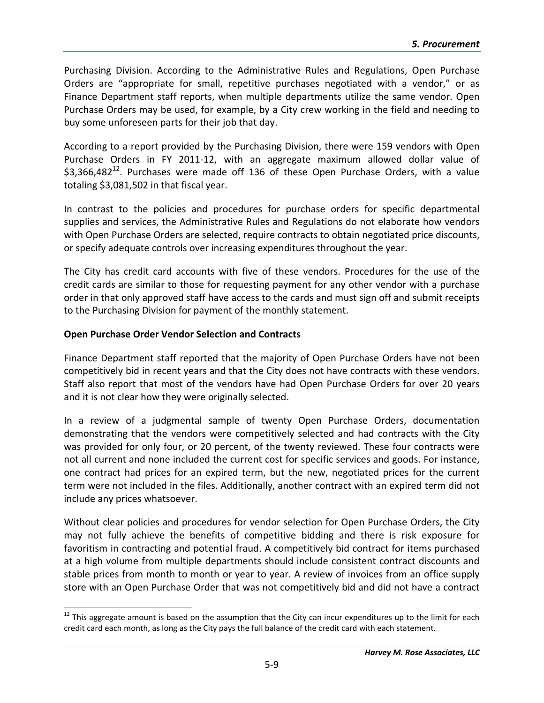Purchasing Division. According to the Administrative Rules and Regulations, Open Purchase Orders are "appropriate for small, repetitive purchases negotiated with a vendor," or as Finance Department staff reports, when multiple departments utilize the same vendor. Open Purchase Orders may be used, for example, by a City crew working in the field and needing to buy some unforeseen parts for their job that day.

According to a report provided by the Purchasing Division, there were 159 vendors with Open Purchase Orders in FY 2011‐12, with an aggregate maximum allowed dollar value of  $$3,366,482^{12}$ . Purchases were made off 136 of these Open Purchase Orders, with a value totaling \$3,081,502 in that fiscal year.

In contrast to the policies and procedures for purchase orders for specific departmental supplies and services, the Administrative Rules and Regulations do not elaborate how vendors with Open Purchase Orders are selected, require contracts to obtain negotiated price discounts, or specify adequate controls over increasing expenditures throughout the year.

The City has credit card accounts with five of these vendors. Procedures for the use of the credit cards are similar to those for requesting payment for any other vendor with a purchase order in that only approved staff have access to the cards and must sign off and submit receipts to the Purchasing Division for payment of the monthly statement.

#### **Open Purchase Order Vendor Selection and Contracts**

 $\overline{a}$ 

Finance Department staff reported that the majority of Open Purchase Orders have not been competitively bid in recent years and that the City does not have contracts with these vendors. Staff also report that most of the vendors have had Open Purchase Orders for over 20 years and it is not clear how they were originally selected.

In a review of a judgmental sample of twenty Open Purchase Orders, documentation demonstrating that the vendors were competitively selected and had contracts with the City was provided for only four, or 20 percent, of the twenty reviewed. These four contracts were not all current and none included the current cost for specific services and goods. For instance, one contract had prices for an expired term, but the new, negotiated prices for the current term were not included in the files. Additionally, another contract with an expired term did not include any prices whatsoever.

Without clear policies and procedures for vendor selection for Open Purchase Orders, the City may not fully achieve the benefits of competitive bidding and there is risk exposure for favoritism in contracting and potential fraud. A competitively bid contract for items purchased at a high volume from multiple departments should include consistent contract discounts and stable prices from month to month or year to year. A review of invoices from an office supply store with an Open Purchase Order that was not competitively bid and did not have a contract

 $12$  This aggregate amount is based on the assumption that the City can incur expenditures up to the limit for each credit card each month, as long as the City pays the full balance of the credit card with each statement.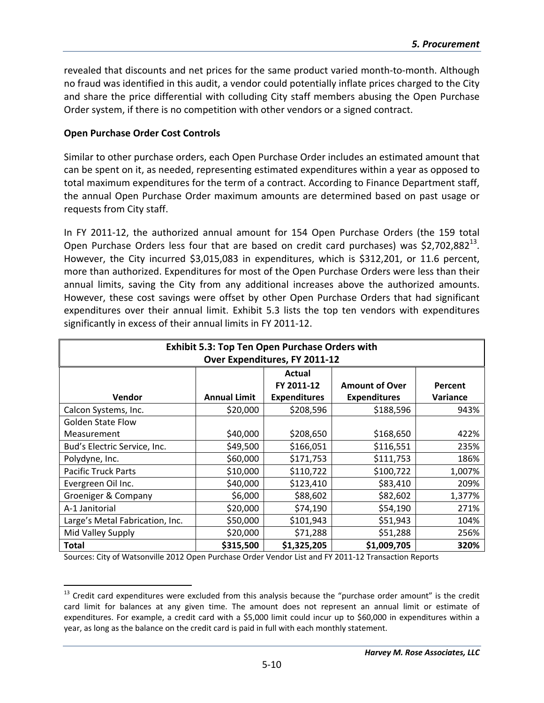revealed that discounts and net prices for the same product varied month‐to‐month. Although no fraud was identified in this audit, a vendor could potentially inflate prices charged to the City and share the price differential with colluding City staff members abusing the Open Purchase Order system, if there is no competition with other vendors or a signed contract.

#### **Open Purchase Order Cost Controls**

1

Similar to other purchase orders, each Open Purchase Order includes an estimated amount that can be spent on it, as needed, representing estimated expenditures within a year as opposed to total maximum expenditures for the term of a contract. According to Finance Department staff, the annual Open Purchase Order maximum amounts are determined based on past usage or requests from City staff.

In FY 2011‐12, the authorized annual amount for 154 Open Purchase Orders (the 159 total Open Purchase Orders less four that are based on credit card purchases) was \$2,702,882 $^{13}$ . However, the City incurred \$3,015,083 in expenditures, which is \$312,201, or 11.6 percent, more than authorized. Expenditures for most of the Open Purchase Orders were less than their annual limits, saving the City from any additional increases above the authorized amounts. However, these cost savings were offset by other Open Purchase Orders that had significant expenditures over their annual limit. Exhibit 5.3 lists the top ten vendors with expenditures significantly in excess of their annual limits in FY 2011‐12.

| <b>Exhibit 5.3: Top Ten Open Purchase Orders with</b> |                     |                     |                       |                 |
|-------------------------------------------------------|---------------------|---------------------|-----------------------|-----------------|
| Over Expenditures, FY 2011-12                         |                     |                     |                       |                 |
|                                                       |                     | <b>Actual</b>       |                       |                 |
|                                                       |                     | FY 2011-12          | <b>Amount of Over</b> | Percent         |
| Vendor                                                | <b>Annual Limit</b> | <b>Expenditures</b> | <b>Expenditures</b>   | <b>Variance</b> |
| Calcon Systems, Inc.                                  | \$20,000            | \$208,596           | \$188,596             | 943%            |
| <b>Golden State Flow</b>                              |                     |                     |                       |                 |
| Measurement                                           | \$40,000            | \$208,650           | \$168,650             | 422%            |
| Bud's Electric Service, Inc.                          | \$49,500            | \$166,051           | \$116,551             | 235%            |
| Polydyne, Inc.                                        | \$60,000            | \$171,753           | \$111,753             | 186%            |
| <b>Pacific Truck Parts</b>                            | \$10,000            | \$110,722           | \$100,722             | 1,007%          |
| Evergreen Oil Inc.                                    | \$40,000            | \$123,410           | \$83,410              | 209%            |
| Groeniger & Company                                   | \$6,000             | \$88,602            | \$82,602              | 1,377%          |
| A-1 Janitorial                                        | \$20,000            | \$74,190            | \$54,190              | 271%            |
| Large's Metal Fabrication, Inc.                       | \$50,000            | \$101,943           | \$51,943              | 104%            |
| Mid Valley Supply                                     | \$20,000            | \$71,288            | \$51,288              | 256%            |
| Total                                                 | \$315,500           | \$1,325,205         | \$1,009,705           | 320%            |

Sources: City of Watsonville 2012 Open Purchase Order Vendor List and FY 2011‐12 Transaction Reports

 $13$  Credit card expenditures were excluded from this analysis because the "purchase order amount" is the credit card limit for balances at any given time. The amount does not represent an annual limit or estimate of expenditures. For example, a credit card with a \$5,000 limit could incur up to \$60,000 in expenditures within a year, as long as the balance on the credit card is paid in full with each monthly statement.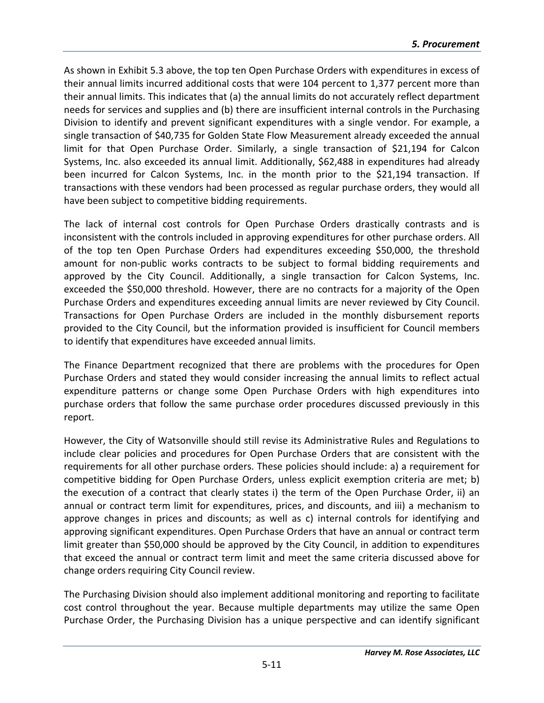As shown in Exhibit 5.3 above, the top ten Open Purchase Orders with expenditures in excess of their annual limits incurred additional costs that were 104 percent to 1,377 percent more than their annual limits. This indicates that (a) the annual limits do not accurately reflect department needs for services and supplies and (b) there are insufficient internal controls in the Purchasing Division to identify and prevent significant expenditures with a single vendor. For example, a single transaction of \$40,735 for Golden State Flow Measurement already exceeded the annual limit for that Open Purchase Order. Similarly, a single transaction of \$21,194 for Calcon Systems, Inc. also exceeded its annual limit. Additionally, \$62,488 in expenditures had already been incurred for Calcon Systems, Inc. in the month prior to the \$21,194 transaction. If transactions with these vendors had been processed as regular purchase orders, they would all have been subject to competitive bidding requirements.

The lack of internal cost controls for Open Purchase Orders drastically contrasts and is inconsistent with the controls included in approving expenditures for other purchase orders. All of the top ten Open Purchase Orders had expenditures exceeding \$50,000, the threshold amount for non‐public works contracts to be subject to formal bidding requirements and approved by the City Council. Additionally, a single transaction for Calcon Systems, Inc. exceeded the \$50,000 threshold. However, there are no contracts for a majority of the Open Purchase Orders and expenditures exceeding annual limits are never reviewed by City Council. Transactions for Open Purchase Orders are included in the monthly disbursement reports provided to the City Council, but the information provided is insufficient for Council members to identify that expenditures have exceeded annual limits.

The Finance Department recognized that there are problems with the procedures for Open Purchase Orders and stated they would consider increasing the annual limits to reflect actual expenditure patterns or change some Open Purchase Orders with high expenditures into purchase orders that follow the same purchase order procedures discussed previously in this report.

However, the City of Watsonville should still revise its Administrative Rules and Regulations to include clear policies and procedures for Open Purchase Orders that are consistent with the requirements for all other purchase orders. These policies should include: a) a requirement for competitive bidding for Open Purchase Orders, unless explicit exemption criteria are met; b) the execution of a contract that clearly states i) the term of the Open Purchase Order, ii) an annual or contract term limit for expenditures, prices, and discounts, and iii) a mechanism to approve changes in prices and discounts; as well as c) internal controls for identifying and approving significant expenditures. Open Purchase Orders that have an annual or contract term limit greater than \$50,000 should be approved by the City Council, in addition to expenditures that exceed the annual or contract term limit and meet the same criteria discussed above for change orders requiring City Council review.

The Purchasing Division should also implement additional monitoring and reporting to facilitate cost control throughout the year. Because multiple departments may utilize the same Open Purchase Order, the Purchasing Division has a unique perspective and can identify significant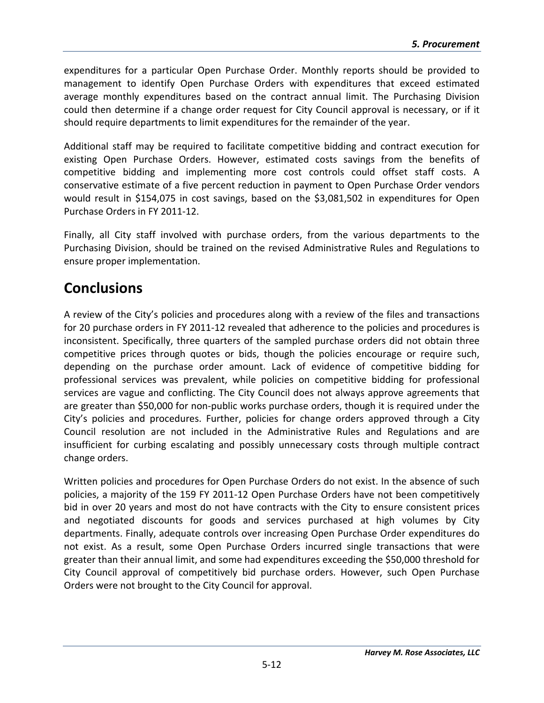expenditures for a particular Open Purchase Order. Monthly reports should be provided to management to identify Open Purchase Orders with expenditures that exceed estimated average monthly expenditures based on the contract annual limit. The Purchasing Division could then determine if a change order request for City Council approval is necessary, or if it should require departments to limit expenditures for the remainder of the year.

Additional staff may be required to facilitate competitive bidding and contract execution for existing Open Purchase Orders. However, estimated costs savings from the benefits of competitive bidding and implementing more cost controls could offset staff costs. A conservative estimate of a five percent reduction in payment to Open Purchase Order vendors would result in \$154,075 in cost savings, based on the \$3,081,502 in expenditures for Open Purchase Orders in FY 2011‐12.

Finally, all City staff involved with purchase orders, from the various departments to the Purchasing Division, should be trained on the revised Administrative Rules and Regulations to ensure proper implementation.

# **Conclusions**

A review of the City's policies and procedures along with a review of the files and transactions for 20 purchase orders in FY 2011-12 revealed that adherence to the policies and procedures is inconsistent. Specifically, three quarters of the sampled purchase orders did not obtain three competitive prices through quotes or bids, though the policies encourage or require such, depending on the purchase order amount. Lack of evidence of competitive bidding for professional services was prevalent, while policies on competitive bidding for professional services are vague and conflicting. The City Council does not always approve agreements that are greater than \$50,000 for non‐public works purchase orders, though it is required under the City's policies and procedures. Further, policies for change orders approved through a City Council resolution are not included in the Administrative Rules and Regulations and are insufficient for curbing escalating and possibly unnecessary costs through multiple contract change orders.

Written policies and procedures for Open Purchase Orders do not exist. In the absence of such policies, a majority of the 159 FY 2011‐12 Open Purchase Orders have not been competitively bid in over 20 years and most do not have contracts with the City to ensure consistent prices and negotiated discounts for goods and services purchased at high volumes by City departments. Finally, adequate controls over increasing Open Purchase Order expenditures do not exist. As a result, some Open Purchase Orders incurred single transactions that were greater than their annual limit, and some had expenditures exceeding the \$50,000 threshold for City Council approval of competitively bid purchase orders. However, such Open Purchase Orders were not brought to the City Council for approval.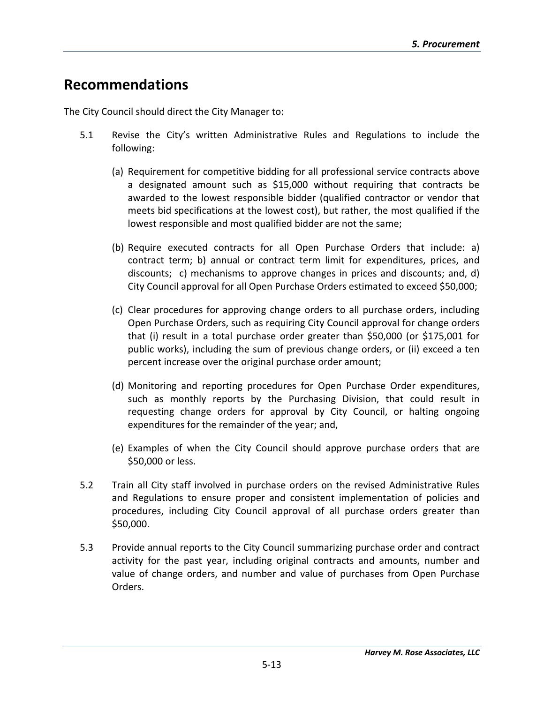# **Recommendations**

The City Council should direct the City Manager to:

- 5.1 Revise the City's written Administrative Rules and Regulations to include the following:
	- (a) Requirement for competitive bidding for all professional service contracts above a designated amount such as \$15,000 without requiring that contracts be awarded to the lowest responsible bidder (qualified contractor or vendor that meets bid specifications at the lowest cost), but rather, the most qualified if the lowest responsible and most qualified bidder are not the same;
	- (b) Require executed contracts for all Open Purchase Orders that include: a) contract term; b) annual or contract term limit for expenditures, prices, and discounts; c) mechanisms to approve changes in prices and discounts; and, d) City Council approval for all Open Purchase Orders estimated to exceed \$50,000;
	- (c) Clear procedures for approving change orders to all purchase orders, including Open Purchase Orders, such as requiring City Council approval for change orders that (i) result in a total purchase order greater than \$50,000 (or \$175,001 for public works), including the sum of previous change orders, or (ii) exceed a ten percent increase over the original purchase order amount;
	- (d) Monitoring and reporting procedures for Open Purchase Order expenditures, such as monthly reports by the Purchasing Division, that could result in requesting change orders for approval by City Council, or halting ongoing expenditures for the remainder of the year; and,
	- (e) Examples of when the City Council should approve purchase orders that are \$50,000 or less.
- 5.2 Train all City staff involved in purchase orders on the revised Administrative Rules and Regulations to ensure proper and consistent implementation of policies and procedures, including City Council approval of all purchase orders greater than \$50,000.
- 5.3 Provide annual reports to the City Council summarizing purchase order and contract activity for the past year, including original contracts and amounts, number and value of change orders, and number and value of purchases from Open Purchase Orders.